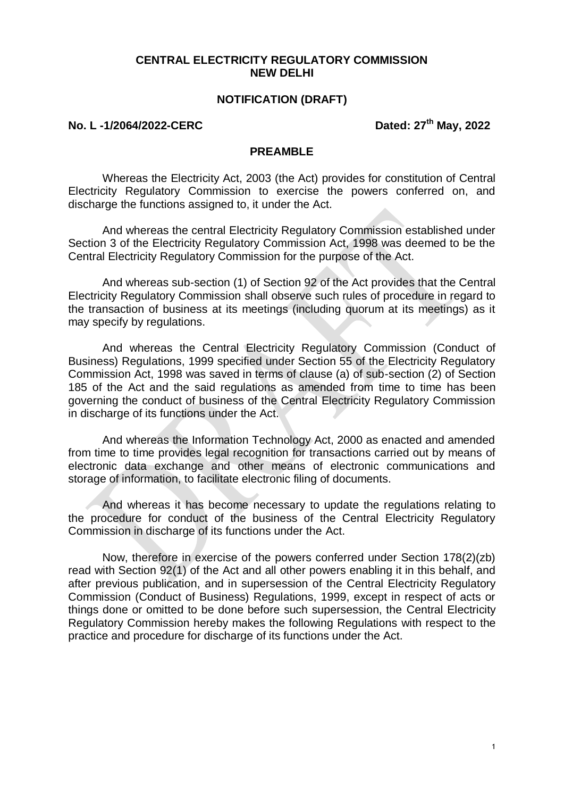#### **CENTRAL ELECTRICITY REGULATORY COMMISSION NEW DELHI**

#### **NOTIFICATION (DRAFT)**

### **No. L -1/2064/2022-CERC Dated: 27th May, 2022**

#### **PREAMBLE**

Whereas the Electricity Act, 2003 (the Act) provides for constitution of Central Electricity Regulatory Commission to exercise the powers conferred on, and discharge the functions assigned to, it under the Act.

And whereas the central Electricity Regulatory Commission established under Section 3 of the Electricity Regulatory Commission Act, 1998 was deemed to be the Central Electricity Regulatory Commission for the purpose of the Act.

And whereas sub-section (1) of Section 92 of the Act provides that the Central Electricity Regulatory Commission shall observe such rules of procedure in regard to the transaction of business at its meetings (including quorum at its meetings) as it may specify by regulations.

And whereas the Central Electricity Regulatory Commission (Conduct of Business) Regulations, 1999 specified under Section 55 of the Electricity Regulatory Commission Act, 1998 was saved in terms of clause (a) of sub-section (2) of Section 185 of the Act and the said regulations as amended from time to time has been governing the conduct of business of the Central Electricity Regulatory Commission in discharge of its functions under the Act.

And whereas the Information Technology Act, 2000 as enacted and amended from time to time provides legal recognition for transactions carried out by means of electronic data exchange and other means of electronic communications and storage of information, to facilitate electronic filing of documents.

And whereas it has become necessary to update the regulations relating to the procedure for conduct of the business of the Central Electricity Regulatory Commission in discharge of its functions under the Act.

Now, therefore in exercise of the powers conferred under Section 178(2)(zb) read with Section 92(1) of the Act and all other powers enabling it in this behalf, and after previous publication, and in supersession of the Central Electricity Regulatory Commission (Conduct of Business) Regulations, 1999, except in respect of acts or things done or omitted to be done before such supersession, the Central Electricity Regulatory Commission hereby makes the following Regulations with respect to the practice and procedure for discharge of its functions under the Act.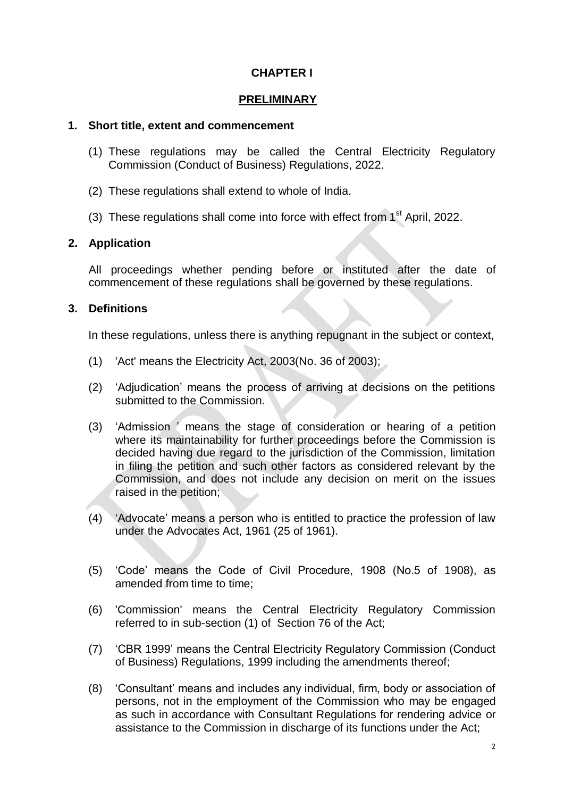## **CHAPTER I**

#### **PRELIMINARY**

#### **1. Short title, extent and commencement**

- (1) These regulations may be called the Central Electricity Regulatory Commission (Conduct of Business) Regulations, 2022.
- (2) These regulations shall extend to whole of India.
- (3) These regulations shall come into force with effect from  $1<sup>st</sup>$  April, 2022.

### **2. Application**

All proceedings whether pending before or instituted after the date of commencement of these regulations shall be governed by these regulations.

### **3. Definitions**

In these regulations, unless there is anything repugnant in the subject or context,

- (1) 'Act' means the Electricity Act, 2003(No. 36 of 2003);
- (2) "Adjudication" means the process of arriving at decisions on the petitions submitted to the Commission.
- (3) "Admission " means the stage of consideration or hearing of a petition where its maintainability for further proceedings before the Commission is decided having due regard to the jurisdiction of the Commission, limitation in filing the petition and such other factors as considered relevant by the Commission, and does not include any decision on merit on the issues raised in the petition;
- (4) "Advocate" means a person who is entitled to practice the profession of law under the Advocates Act, 1961 (25 of 1961).
- (5) "Code" means the Code of Civil Procedure, 1908 (No.5 of 1908), as amended from time to time;
- (6) 'Commission' means the Central Electricity Regulatory Commission referred to in sub-section (1) of Section 76 of the Act;
- (7) "CBR 1999" means the Central Electricity Regulatory Commission (Conduct of Business) Regulations, 1999 including the amendments thereof;
- (8) "Consultant" means and includes any individual, firm, body or association of persons, not in the employment of the Commission who may be engaged as such in accordance with Consultant Regulations for rendering advice or assistance to the Commission in discharge of its functions under the Act;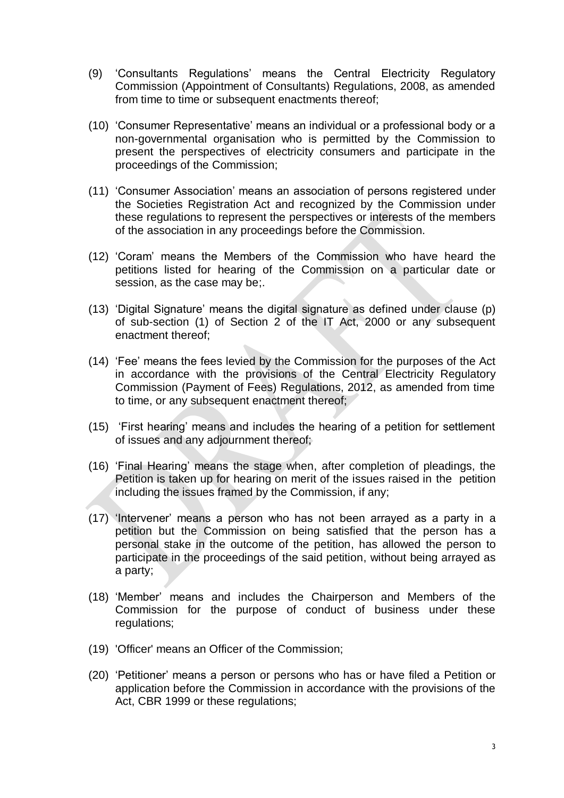- (9) "Consultants Regulations" means the Central Electricity Regulatory Commission (Appointment of Consultants) Regulations, 2008, as amended from time to time or subsequent enactments thereof;
- (10) "Consumer Representative" means an individual or a professional body or a non-governmental organisation who is permitted by the Commission to present the perspectives of electricity consumers and participate in the proceedings of the Commission;
- (11) "Consumer Association" means an association of persons registered under the Societies Registration Act and recognized by the Commission under these regulations to represent the perspectives or interests of the members of the association in any proceedings before the Commission.
- (12) "Coram" means the Members of the Commission who have heard the petitions listed for hearing of the Commission on a particular date or session, as the case may be;.
- (13) "Digital Signature" means the digital signature as defined under clause (p) of sub-section (1) of Section 2 of the IT Act, 2000 or any subsequent enactment thereof;
- (14) "Fee" means the fees levied by the Commission for the purposes of the Act in accordance with the provisions of the Central Electricity Regulatory Commission (Payment of Fees) Regulations, 2012, as amended from time to time, or any subsequent enactment thereof;
- (15) "First hearing" means and includes the hearing of a petition for settlement of issues and any adjournment thereof;
- (16) "Final Hearing" means the stage when, after completion of pleadings, the Petition is taken up for hearing on merit of the issues raised in the petition including the issues framed by the Commission, if any;
- (17) "Intervener" means a person who has not been arrayed as a party in a petition but the Commission on being satisfied that the person has a personal stake in the outcome of the petition, has allowed the person to participate in the proceedings of the said petition, without being arrayed as a party;
- (18) "Member" means and includes the Chairperson and Members of the Commission for the purpose of conduct of business under these regulations;
- (19) 'Officer' means an Officer of the Commission;
- (20) "Petitioner" means a person or persons who has or have filed a Petition or application before the Commission in accordance with the provisions of the Act, CBR 1999 or these regulations;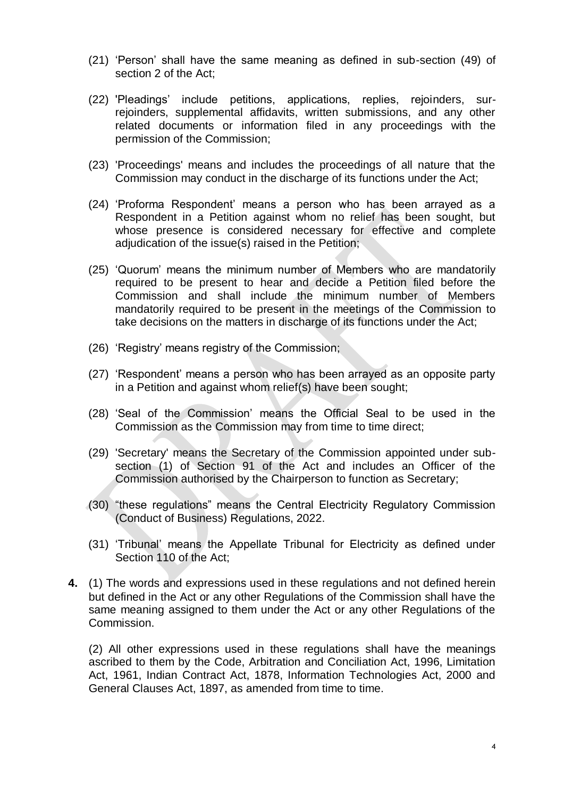- (21) "Person" shall have the same meaning as defined in sub-section (49) of section 2 of the Act;
- (22) 'Pleadings" include petitions, applications, replies, rejoinders, surrejoinders, supplemental affidavits, written submissions, and any other related documents or information filed in any proceedings with the permission of the Commission;
- (23) 'Proceedings' means and includes the proceedings of all nature that the Commission may conduct in the discharge of its functions under the Act;
- (24) "Proforma Respondent" means a person who has been arrayed as a Respondent in a Petition against whom no relief has been sought, but whose presence is considered necessary for effective and complete adjudication of the issue(s) raised in the Petition;
- (25) "Quorum" means the minimum number of Members who are mandatorily required to be present to hear and decide a Petition filed before the Commission and shall include the minimum number of Members mandatorily required to be present in the meetings of the Commission to take decisions on the matters in discharge of its functions under the Act;
- (26) "Registry" means registry of the Commission;
- (27) "Respondent" means a person who has been arrayed as an opposite party in a Petition and against whom relief(s) have been sought;
- (28) "Seal of the Commission" means the Official Seal to be used in the Commission as the Commission may from time to time direct;
- (29) 'Secretary' means the Secretary of the Commission appointed under subsection (1) of Section 91 of the Act and includes an Officer of the Commission authorised by the Chairperson to function as Secretary;
- (30) "these regulations" means the Central Electricity Regulatory Commission (Conduct of Business) Regulations, 2022.
- (31) "Tribunal" means the Appellate Tribunal for Electricity as defined under Section 110 of the Act;
- **4.** (1) The words and expressions used in these regulations and not defined herein but defined in the Act or any other Regulations of the Commission shall have the same meaning assigned to them under the Act or any other Regulations of the Commission.

(2) All other expressions used in these regulations shall have the meanings ascribed to them by the Code, Arbitration and Conciliation Act, 1996, Limitation Act, 1961, Indian Contract Act, 1878, Information Technologies Act, 2000 and General Clauses Act, 1897, as amended from time to time.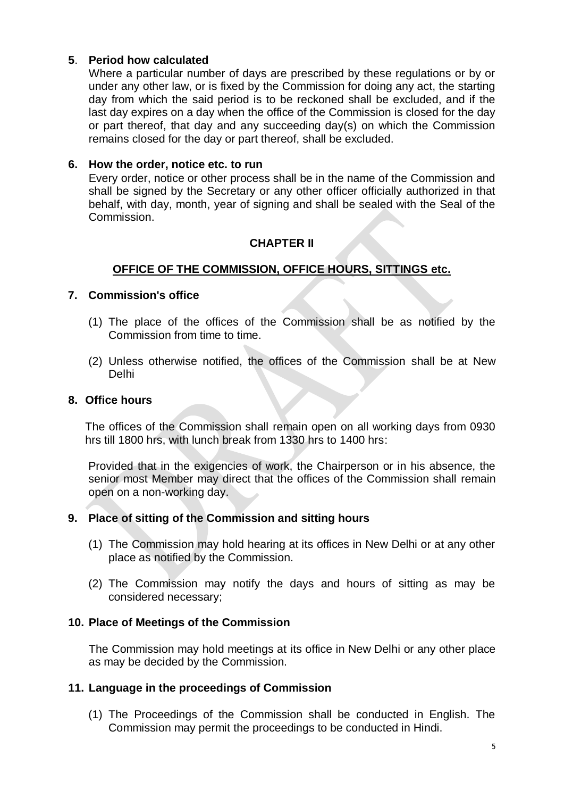## **5**. **Period how calculated**

Where a particular number of days are prescribed by these regulations or by or under any other law, or is fixed by the Commission for doing any act, the starting day from which the said period is to be reckoned shall be excluded, and if the last day expires on a day when the office of the Commission is closed for the day or part thereof, that day and any succeeding day(s) on which the Commission remains closed for the day or part thereof, shall be excluded.

#### **6. How the order, notice etc. to run**

Every order, notice or other process shall be in the name of the Commission and shall be signed by the Secretary or any other officer officially authorized in that behalf, with day, month, year of signing and shall be sealed with the Seal of the Commission.

## **CHAPTER II**

## **OFFICE OF THE COMMISSION, OFFICE HOURS, SITTINGS etc.**

### **7. Commission's office**

- (1) The place of the offices of the Commission shall be as notified by the Commission from time to time.
- (2) Unless otherwise notified, the offices of the Commission shall be at New Delhi

#### **8. Office hours**

The offices of the Commission shall remain open on all working days from 0930 hrs till 1800 hrs, with lunch break from 1330 hrs to 1400 hrs:

Provided that in the exigencies of work, the Chairperson or in his absence, the senior most Member may direct that the offices of the Commission shall remain open on a non-working day.

### **9. Place of sitting of the Commission and sitting hours**

- (1) The Commission may hold hearing at its offices in New Delhi or at any other place as notified by the Commission.
- (2) The Commission may notify the days and hours of sitting as may be considered necessary;

### **10. Place of Meetings of the Commission**

The Commission may hold meetings at its office in New Delhi or any other place as may be decided by the Commission.

#### **11. Language in the proceedings of Commission**

(1) The Proceedings of the Commission shall be conducted in English. The Commission may permit the proceedings to be conducted in Hindi.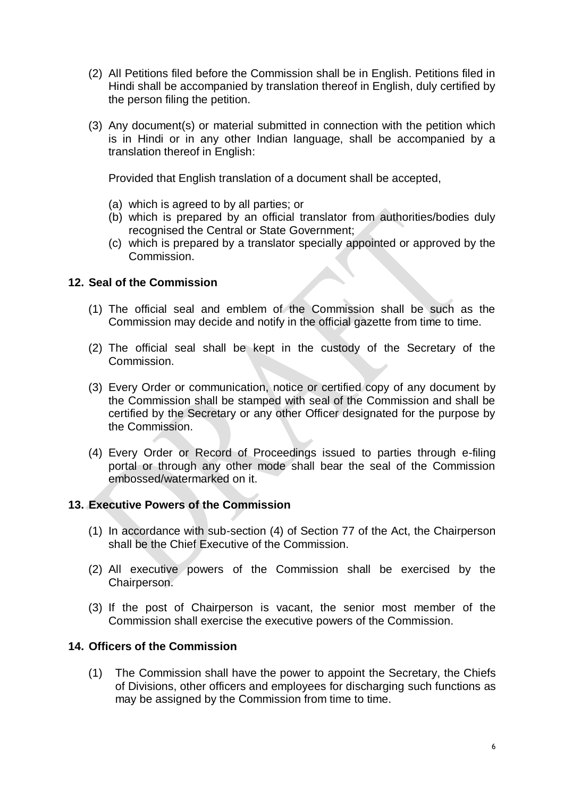- (2) All Petitions filed before the Commission shall be in English. Petitions filed in Hindi shall be accompanied by translation thereof in English, duly certified by the person filing the petition.
- (3) Any document(s) or material submitted in connection with the petition which is in Hindi or in any other Indian language, shall be accompanied by a translation thereof in English:

Provided that English translation of a document shall be accepted,

- (a) which is agreed to by all parties; or
- (b) which is prepared by an official translator from authorities/bodies duly recognised the Central or State Government;
- (c) which is prepared by a translator specially appointed or approved by the Commission.

### **12. Seal of the Commission**

- (1) The official seal and emblem of the Commission shall be such as the Commission may decide and notify in the official gazette from time to time.
- (2) The official seal shall be kept in the custody of the Secretary of the Commission.
- (3) Every Order or communication, notice or certified copy of any document by the Commission shall be stamped with seal of the Commission and shall be certified by the Secretary or any other Officer designated for the purpose by the Commission.
- (4) Every Order or Record of Proceedings issued to parties through e-filing portal or through any other mode shall bear the seal of the Commission embossed/watermarked on it.

### **13. Executive Powers of the Commission**

- (1) In accordance with sub-section (4) of Section 77 of the Act, the Chairperson shall be the Chief Executive of the Commission.
- (2) All executive powers of the Commission shall be exercised by the Chairperson.
- (3) If the post of Chairperson is vacant, the senior most member of the Commission shall exercise the executive powers of the Commission.

### **14. Officers of the Commission**

(1) The Commission shall have the power to appoint the Secretary, the Chiefs of Divisions, other officers and employees for discharging such functions as may be assigned by the Commission from time to time.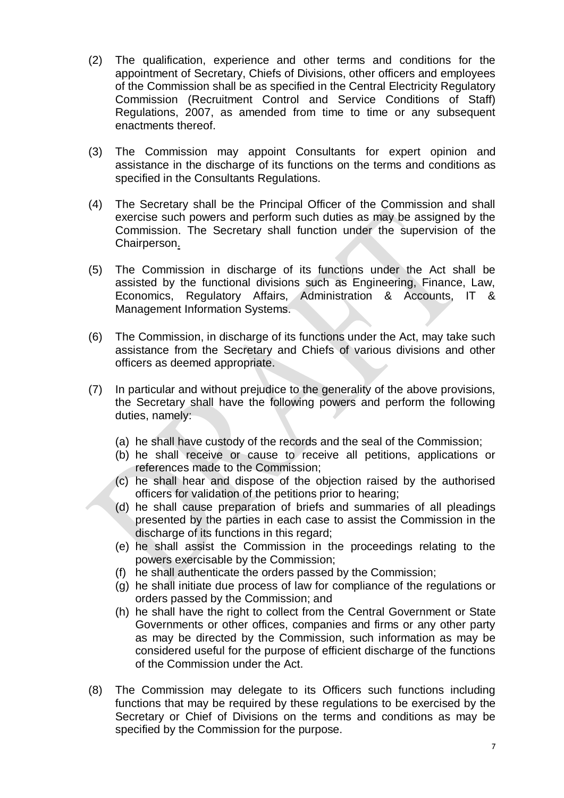- (2) The qualification, experience and other terms and conditions for the appointment of Secretary, Chiefs of Divisions, other officers and employees of the Commission shall be as specified in the Central Electricity Regulatory Commission (Recruitment Control and Service Conditions of Staff) Regulations, 2007, as amended from time to time or any subsequent enactments thereof.
- (3) The Commission may appoint Consultants for expert opinion and assistance in the discharge of its functions on the terms and conditions as specified in the Consultants Regulations.
- (4) The Secretary shall be the Principal Officer of the Commission and shall exercise such powers and perform such duties as may be assigned by the Commission. The Secretary shall function under the supervision of the Chairperson.
- (5) The Commission in discharge of its functions under the Act shall be assisted by the functional divisions such as Engineering, Finance, Law, Economics, Regulatory Affairs, Administration & Accounts, IT & Management Information Systems.
- (6) The Commission, in discharge of its functions under the Act, may take such assistance from the Secretary and Chiefs of various divisions and other officers as deemed appropriate.
- (7) In particular and without prejudice to the generality of the above provisions, the Secretary shall have the following powers and perform the following duties, namely:
	- (a) he shall have custody of the records and the seal of the Commission;
	- (b) he shall receive or cause to receive all petitions, applications or references made to the Commission;
	- (c) he shall hear and dispose of the objection raised by the authorised officers for validation of the petitions prior to hearing;
	- (d) he shall cause preparation of briefs and summaries of all pleadings presented by the parties in each case to assist the Commission in the discharge of its functions in this regard;
	- (e) he shall assist the Commission in the proceedings relating to the powers exercisable by the Commission;
	- (f) he shall authenticate the orders passed by the Commission;
	- (g) he shall initiate due process of law for compliance of the regulations or orders passed by the Commission; and
	- (h) he shall have the right to collect from the Central Government or State Governments or other offices, companies and firms or any other party as may be directed by the Commission, such information as may be considered useful for the purpose of efficient discharge of the functions of the Commission under the Act.
- (8) The Commission may delegate to its Officers such functions including functions that may be required by these regulations to be exercised by the Secretary or Chief of Divisions on the terms and conditions as may be specified by the Commission for the purpose.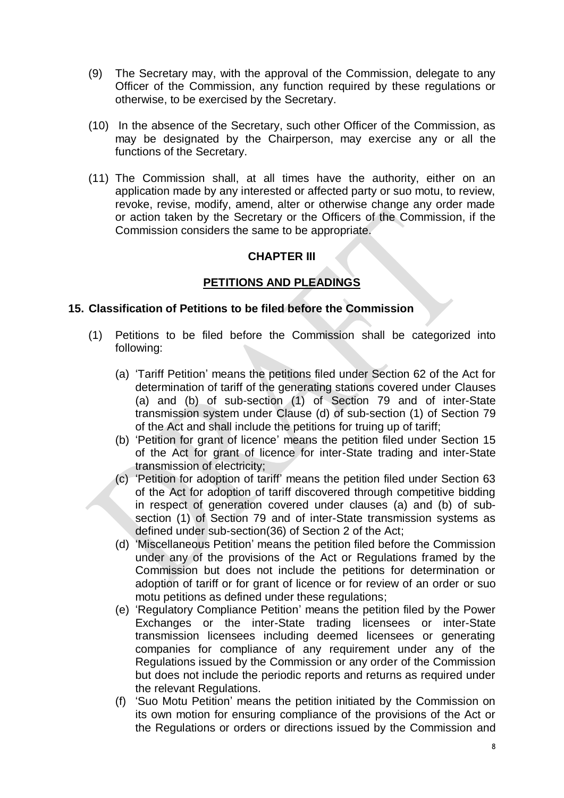- (9) The Secretary may, with the approval of the Commission, delegate to any Officer of the Commission, any function required by these regulations or otherwise, to be exercised by the Secretary.
- (10) In the absence of the Secretary, such other Officer of the Commission, as may be designated by the Chairperson, may exercise any or all the functions of the Secretary.
- (11) The Commission shall, at all times have the authority, either on an application made by any interested or affected party or suo motu, to review, revoke, revise, modify, amend, alter or otherwise change any order made or action taken by the Secretary or the Officers of the Commission, if the Commission considers the same to be appropriate.

## **CHAPTER III**

## **PETITIONS AND PLEADINGS**

### **15. Classification of Petitions to be filed before the Commission**

- (1) Petitions to be filed before the Commission shall be categorized into following:
	- (a) "Tariff Petition" means the petitions filed under Section 62 of the Act for determination of tariff of the generating stations covered under Clauses (a) and (b) of sub-section (1) of Section 79 and of inter-State transmission system under Clause (d) of sub-section (1) of Section 79 of the Act and shall include the petitions for truing up of tariff;
	- (b) "Petition for grant of licence" means the petition filed under Section 15 of the Act for grant of licence for inter-State trading and inter-State transmission of electricity;
	- (c) "Petition for adoption of tariff" means the petition filed under Section 63 of the Act for adoption of tariff discovered through competitive bidding in respect of generation covered under clauses (a) and (b) of subsection (1) of Section 79 and of inter-State transmission systems as defined under sub-section(36) of Section 2 of the Act;
	- (d) "Miscellaneous Petition" means the petition filed before the Commission under any of the provisions of the Act or Regulations framed by the Commission but does not include the petitions for determination or adoption of tariff or for grant of licence or for review of an order or suo motu petitions as defined under these regulations;
	- (e) "Regulatory Compliance Petition" means the petition filed by the Power Exchanges or the inter-State trading licensees or inter-State transmission licensees including deemed licensees or generating companies for compliance of any requirement under any of the Regulations issued by the Commission or any order of the Commission but does not include the periodic reports and returns as required under the relevant Regulations.
	- (f) "Suo Motu Petition" means the petition initiated by the Commission on its own motion for ensuring compliance of the provisions of the Act or the Regulations or orders or directions issued by the Commission and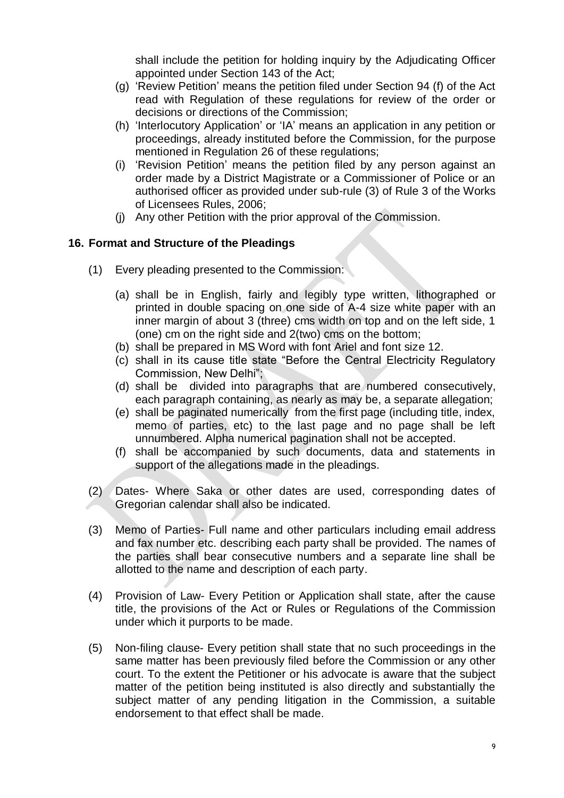shall include the petition for holding inquiry by the Adjudicating Officer appointed under Section 143 of the Act;

- (g) "Review Petition" means the petition filed under Section 94 (f) of the Act read with Regulation of these regulations for review of the order or decisions or directions of the Commission;
- (h) "Interlocutory Application" or "IA" means an application in any petition or proceedings, already instituted before the Commission, for the purpose mentioned in Regulation 26 of these regulations;
- (i) "Revision Petition" means the petition filed by any person against an order made by a District Magistrate or a Commissioner of Police or an authorised officer as provided under sub-rule (3) of Rule 3 of the Works of Licensees Rules, 2006;
- (j) Any other Petition with the prior approval of the Commission.

# **16. Format and Structure of the Pleadings**

- (1) Every pleading presented to the Commission:
	- (a) shall be in English, fairly and legibly type written, lithographed or printed in double spacing on one side of A-4 size white paper with an inner margin of about 3 (three) cms width on top and on the left side, 1 (one) cm on the right side and 2(two) cms on the bottom;
	- (b) shall be prepared in MS Word with font Ariel and font size 12.
	- (c) shall in its cause title state "Before the Central Electricity Regulatory Commission, New Delhi";
	- (d) shall be divided into paragraphs that are numbered consecutively, each paragraph containing, as nearly as may be, a separate allegation;
	- (e) shall be paginated numerically from the first page (including title, index, memo of parties, etc) to the last page and no page shall be left unnumbered. Alpha numerical pagination shall not be accepted.
	- (f) shall be accompanied by such documents, data and statements in support of the allegations made in the pleadings.
- (2) Dates- Where Saka or other dates are used, corresponding dates of Gregorian calendar shall also be indicated.
- (3) Memo of Parties- Full name and other particulars including email address and fax number etc. describing each party shall be provided. The names of the parties shall bear consecutive numbers and a separate line shall be allotted to the name and description of each party.
- (4) Provision of Law- Every Petition or Application shall state, after the cause title, the provisions of the Act or Rules or Regulations of the Commission under which it purports to be made.
- (5) Non-filing clause- Every petition shall state that no such proceedings in the same matter has been previously filed before the Commission or any other court. To the extent the Petitioner or his advocate is aware that the subject matter of the petition being instituted is also directly and substantially the subject matter of any pending litigation in the Commission, a suitable endorsement to that effect shall be made.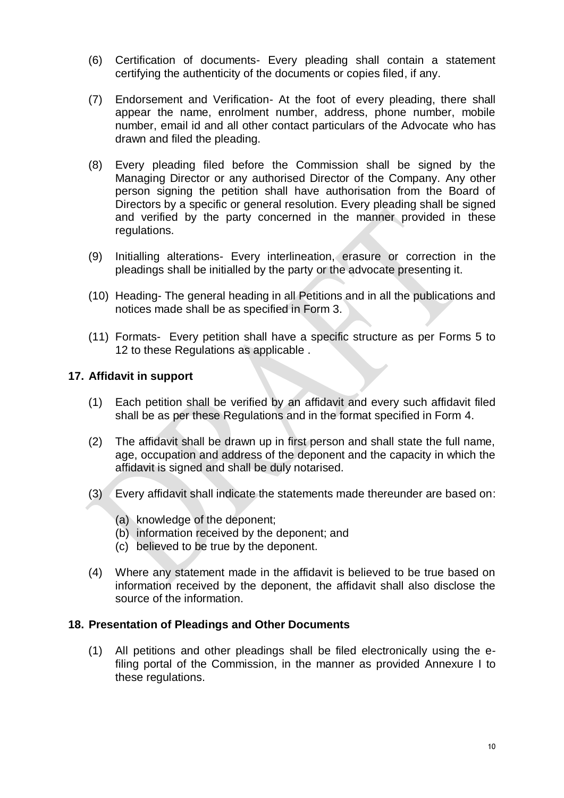- (6) Certification of documents- Every pleading shall contain a statement certifying the authenticity of the documents or copies filed, if any.
- (7) Endorsement and Verification- At the foot of every pleading, there shall appear the name, enrolment number, address, phone number, mobile number, email id and all other contact particulars of the Advocate who has drawn and filed the pleading.
- (8) Every pleading filed before the Commission shall be signed by the Managing Director or any authorised Director of the Company. Any other person signing the petition shall have authorisation from the Board of Directors by a specific or general resolution. Every pleading shall be signed and verified by the party concerned in the manner provided in these regulations.
- (9) Initialling alterations- Every interlineation, erasure or correction in the pleadings shall be initialled by the party or the advocate presenting it.
- (10) Heading- The general heading in all Petitions and in all the publications and notices made shall be as specified in Form 3.
- (11) Formats- Every petition shall have a specific structure as per Forms 5 to 12 to these Regulations as applicable .

## **17. Affidavit in support**

- (1) Each petition shall be verified by an affidavit and every such affidavit filed shall be as per these Regulations and in the format specified in Form 4.
- (2) The affidavit shall be drawn up in first person and shall state the full name, age, occupation and address of the deponent and the capacity in which the affidavit is signed and shall be duly notarised.
- (3) Every affidavit shall indicate the statements made thereunder are based on:
	- (a) knowledge of the deponent;
	- (b) information received by the deponent; and
	- (c) believed to be true by the deponent.
- (4) Where any statement made in the affidavit is believed to be true based on information received by the deponent, the affidavit shall also disclose the source of the information.

### **18. Presentation of Pleadings and Other Documents**

(1) All petitions and other pleadings shall be filed electronically using the efiling portal of the Commission, in the manner as provided Annexure I to these regulations.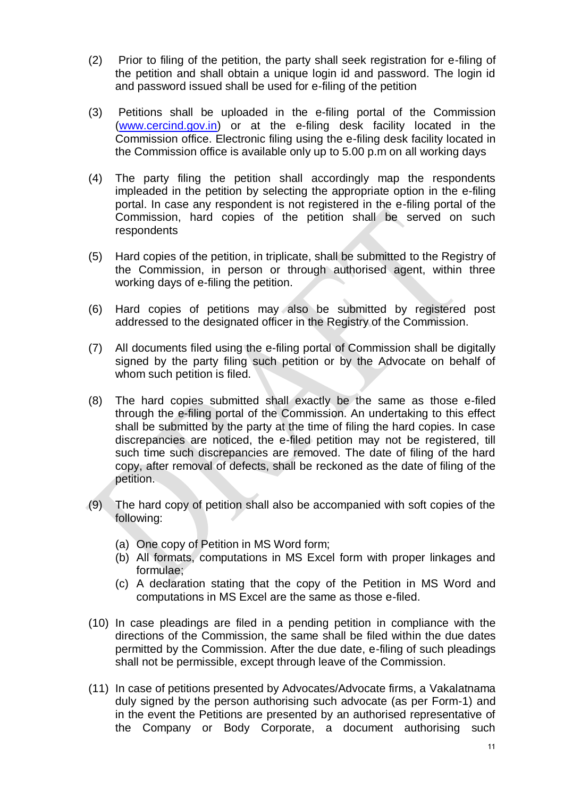- (2) Prior to filing of the petition, the party shall seek registration for e-filing of the petition and shall obtain a unique login id and password. The login id and password issued shall be used for e-filing of the petition
- (3) Petitions shall be uploaded in the e-filing portal of the Commission [\(www.cercind.gov.in\)](http://www.cercind.gov.in/) or at the e-filing desk facility located in the Commission office. Electronic filing using the e-filing desk facility located in the Commission office is available only up to 5.00 p.m on all working days
- (4) The party filing the petition shall accordingly map the respondents impleaded in the petition by selecting the appropriate option in the e-filing portal. In case any respondent is not registered in the e-filing portal of the Commission, hard copies of the petition shall be served on such respondents
- (5) Hard copies of the petition, in triplicate, shall be submitted to the Registry of the Commission, in person or through authorised agent, within three working days of e-filing the petition.
- (6) Hard copies of petitions may also be submitted by registered post addressed to the designated officer in the Registry of the Commission.
- (7) All documents filed using the e-filing portal of Commission shall be digitally signed by the party filing such petition or by the Advocate on behalf of whom such petition is filed.
- (8) The hard copies submitted shall exactly be the same as those e-filed through the e-filing portal of the Commission. An undertaking to this effect shall be submitted by the party at the time of filing the hard copies. In case discrepancies are noticed, the e-filed petition may not be registered, till such time such discrepancies are removed. The date of filing of the hard copy, after removal of defects, shall be reckoned as the date of filing of the petition.
- (9) The hard copy of petition shall also be accompanied with soft copies of the following:
	- (a) One copy of Petition in MS Word form;
	- (b) All formats, computations in MS Excel form with proper linkages and formulae;
	- (c) A declaration stating that the copy of the Petition in MS Word and computations in MS Excel are the same as those e-filed.
- (10) In case pleadings are filed in a pending petition in compliance with the directions of the Commission, the same shall be filed within the due dates permitted by the Commission. After the due date, e-filing of such pleadings shall not be permissible, except through leave of the Commission.
- (11) In case of petitions presented by Advocates/Advocate firms, a Vakalatnama duly signed by the person authorising such advocate (as per Form-1) and in the event the Petitions are presented by an authorised representative of the Company or Body Corporate, a document authorising such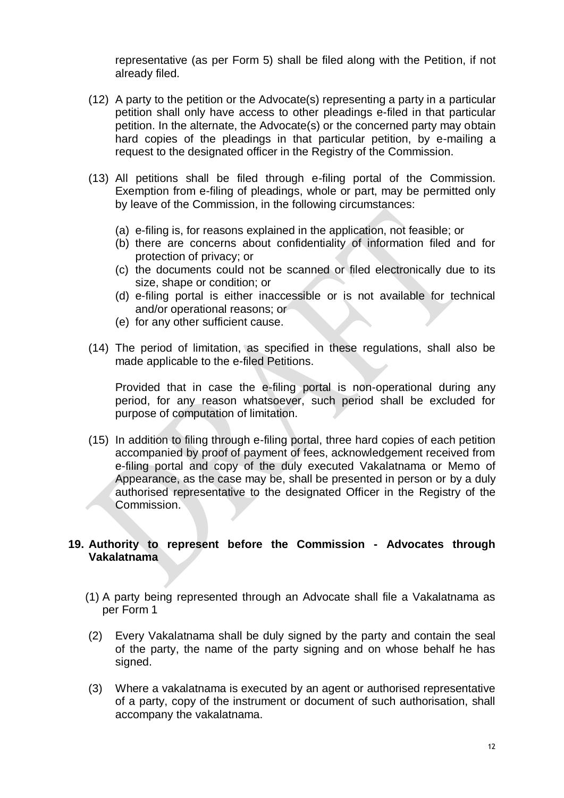representative (as per Form 5) shall be filed along with the Petition, if not already filed.

- (12) A party to the petition or the Advocate(s) representing a party in a particular petition shall only have access to other pleadings e-filed in that particular petition. In the alternate, the Advocate(s) or the concerned party may obtain hard copies of the pleadings in that particular petition, by e-mailing a request to the designated officer in the Registry of the Commission.
- (13) All petitions shall be filed through e-filing portal of the Commission. Exemption from e-filing of pleadings, whole or part, may be permitted only by leave of the Commission, in the following circumstances:
	- (a) e-filing is, for reasons explained in the application, not feasible; or
	- (b) there are concerns about confidentiality of information filed and for protection of privacy; or
	- (c) the documents could not be scanned or filed electronically due to its size, shape or condition; or
	- (d) e-filing portal is either inaccessible or is not available for technical and/or operational reasons; or
	- (e) for any other sufficient cause.
- (14) The period of limitation, as specified in these regulations, shall also be made applicable to the e-filed Petitions.

Provided that in case the e-filing portal is non-operational during any period, for any reason whatsoever, such period shall be excluded for purpose of computation of limitation.

(15) In addition to filing through e-filing portal, three hard copies of each petition accompanied by proof of payment of fees, acknowledgement received from e-filing portal and copy of the duly executed Vakalatnama or Memo of Appearance, as the case may be, shall be presented in person or by a duly authorised representative to the designated Officer in the Registry of the Commission.

## **19. Authority to represent before the Commission - Advocates through Vakalatnama**

- (1) A party being represented through an Advocate shall file a Vakalatnama as per Form 1
- (2) Every Vakalatnama shall be duly signed by the party and contain the seal of the party, the name of the party signing and on whose behalf he has signed.
- (3) Where a vakalatnama is executed by an agent or authorised representative of a party, copy of the instrument or document of such authorisation, shall accompany the vakalatnama.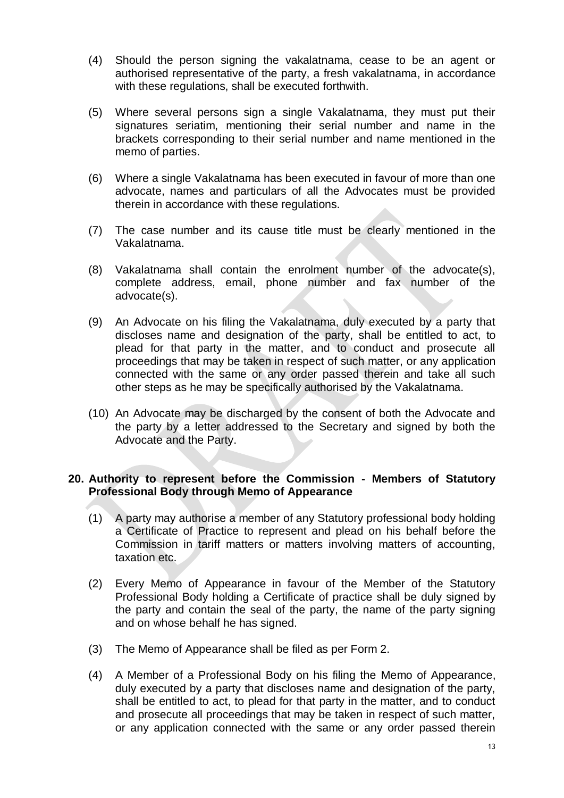- (4) Should the person signing the vakalatnama, cease to be an agent or authorised representative of the party, a fresh vakalatnama, in accordance with these regulations, shall be executed forthwith.
- (5) Where several persons sign a single Vakalatnama, they must put their signatures seriatim, mentioning their serial number and name in the brackets corresponding to their serial number and name mentioned in the memo of parties.
- (6) Where a single Vakalatnama has been executed in favour of more than one advocate, names and particulars of all the Advocates must be provided therein in accordance with these regulations.
- (7) The case number and its cause title must be clearly mentioned in the Vakalatnama.
- (8) Vakalatnama shall contain the enrolment number of the advocate(s), complete address, email, phone number and fax number of the advocate(s).
- (9) An Advocate on his filing the Vakalatnama, duly executed by a party that discloses name and designation of the party, shall be entitled to act, to plead for that party in the matter, and to conduct and prosecute all proceedings that may be taken in respect of such matter, or any application connected with the same or any order passed therein and take all such other steps as he may be specifically authorised by the Vakalatnama.
- (10) An Advocate may be discharged by the consent of both the Advocate and the party by a letter addressed to the Secretary and signed by both the Advocate and the Party.

#### **20. Authority to represent before the Commission - Members of Statutory Professional Body through Memo of Appearance**

- (1) A party may authorise a member of any Statutory professional body holding a Certificate of Practice to represent and plead on his behalf before the Commission in tariff matters or matters involving matters of accounting, taxation etc.
- (2) Every Memo of Appearance in favour of the Member of the Statutory Professional Body holding a Certificate of practice shall be duly signed by the party and contain the seal of the party, the name of the party signing and on whose behalf he has signed.
- (3) The Memo of Appearance shall be filed as per Form 2.
- (4) A Member of a Professional Body on his filing the Memo of Appearance, duly executed by a party that discloses name and designation of the party, shall be entitled to act, to plead for that party in the matter, and to conduct and prosecute all proceedings that may be taken in respect of such matter, or any application connected with the same or any order passed therein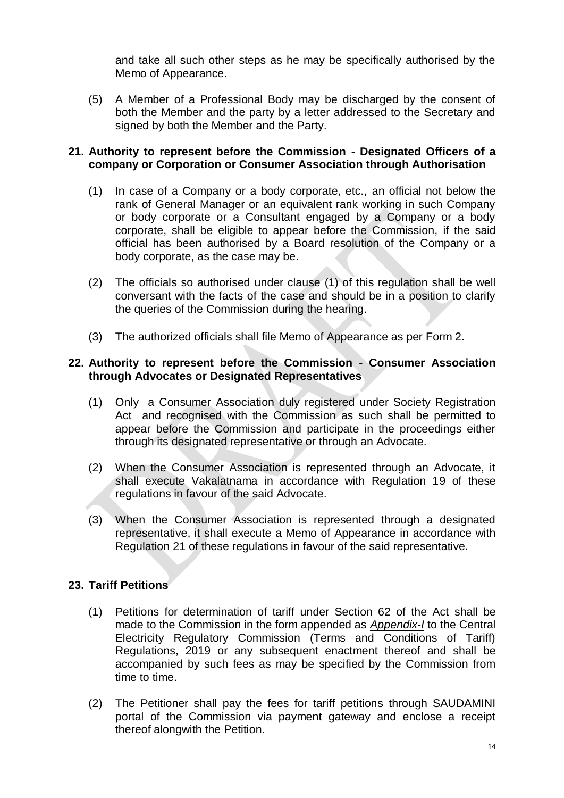and take all such other steps as he may be specifically authorised by the Memo of Appearance.

(5) A Member of a Professional Body may be discharged by the consent of both the Member and the party by a letter addressed to the Secretary and signed by both the Member and the Party.

#### **21. Authority to represent before the Commission - Designated Officers of a company or Corporation or Consumer Association through Authorisation**

- (1) In case of a Company or a body corporate, etc., an official not below the rank of General Manager or an equivalent rank working in such Company or body corporate or a Consultant engaged by a Company or a body corporate, shall be eligible to appear before the Commission, if the said official has been authorised by a Board resolution of the Company or a body corporate, as the case may be.
- (2) The officials so authorised under clause (1) of this regulation shall be well conversant with the facts of the case and should be in a position to clarify the queries of the Commission during the hearing.
- (3) The authorized officials shall file Memo of Appearance as per Form 2.

#### **22. Authority to represent before the Commission - Consumer Association through Advocates or Designated Representatives**

- (1) Only a Consumer Association duly registered under Society Registration Act and recognised with the Commission as such shall be permitted to appear before the Commission and participate in the proceedings either through its designated representative or through an Advocate.
- (2) When the Consumer Association is represented through an Advocate, it shall execute Vakalatnama in accordance with Regulation 19 of these regulations in favour of the said Advocate.
- (3) When the Consumer Association is represented through a designated representative, it shall execute a Memo of Appearance in accordance with Regulation 21 of these regulations in favour of the said representative.

### **23. Tariff Petitions**

- (1) Petitions for determination of tariff under Section 62 of the Act shall be made to the Commission in the form appended as *Appendix-I* to the Central Electricity Regulatory Commission (Terms and Conditions of Tariff) Regulations, 2019 or any subsequent enactment thereof and shall be accompanied by such fees as may be specified by the Commission from time to time.
- (2) The Petitioner shall pay the fees for tariff petitions through SAUDAMINI portal of the Commission via payment gateway and enclose a receipt thereof alongwith the Petition.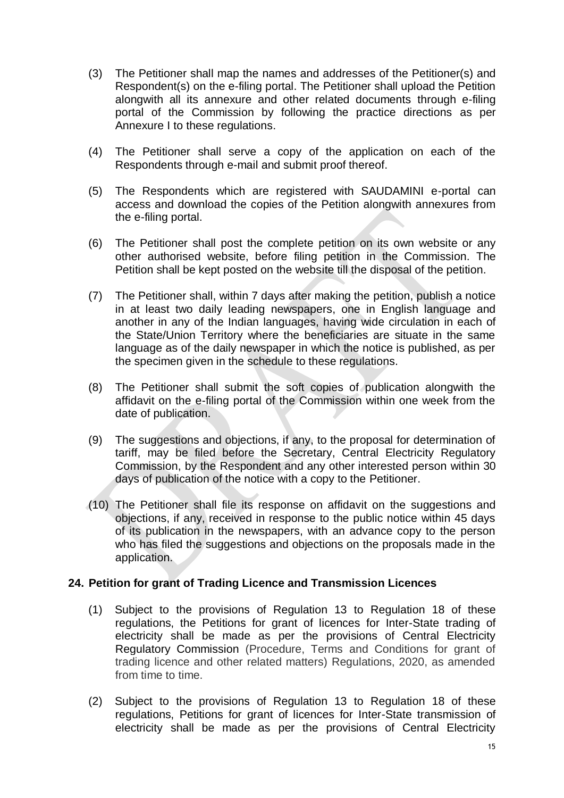- (3) The Petitioner shall map the names and addresses of the Petitioner(s) and Respondent(s) on the e-filing portal. The Petitioner shall upload the Petition alongwith all its annexure and other related documents through e-filing portal of the Commission by following the practice directions as per Annexure I to these regulations.
- (4) The Petitioner shall serve a copy of the application on each of the Respondents through e-mail and submit proof thereof.
- (5) The Respondents which are registered with SAUDAMINI e-portal can access and download the copies of the Petition alongwith annexures from the e-filing portal.
- (6) The Petitioner shall post the complete petition on its own website or any other authorised website, before filing petition in the Commission. The Petition shall be kept posted on the website till the disposal of the petition.
- (7) The Petitioner shall, within 7 days after making the petition, publish a notice in at least two daily leading newspapers, one in English language and another in any of the Indian languages, having wide circulation in each of the State/Union Territory where the beneficiaries are situate in the same language as of the daily newspaper in which the notice is published, as per the specimen given in the schedule to these regulations.
- (8) The Petitioner shall submit the soft copies of publication alongwith the affidavit on the e-filing portal of the Commission within one week from the date of publication.
- (9) The suggestions and objections, if any, to the proposal for determination of tariff, may be filed before the Secretary, Central Electricity Regulatory Commission, by the Respondent and any other interested person within 30 days of publication of the notice with a copy to the Petitioner.
- (10) The Petitioner shall file its response on affidavit on the suggestions and objections, if any, received in response to the public notice within 45 days of its publication in the newspapers, with an advance copy to the person who has filed the suggestions and objections on the proposals made in the application.

### **24. Petition for grant of Trading Licence and Transmission Licences**

- (1) Subject to the provisions of Regulation 13 to Regulation 18 of these regulations, the Petitions for grant of licences for Inter-State trading of electricity shall be made as per the provisions of Central Electricity Regulatory Commission (Procedure, Terms and Conditions for grant of trading licence and other related matters) Regulations, 2020, as amended from time to time.
- (2) Subject to the provisions of Regulation 13 to Regulation 18 of these regulations, Petitions for grant of licences for Inter-State transmission of electricity shall be made as per the provisions of Central Electricity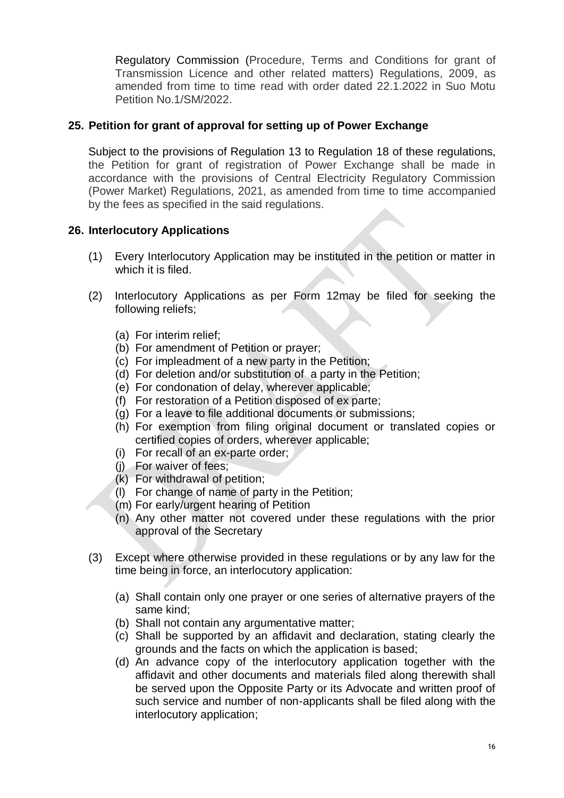Regulatory Commission (Procedure, Terms and Conditions for grant of Transmission Licence and other related matters) Regulations, 2009, as amended from time to time read with order dated 22.1.2022 in Suo Motu Petition No.1/SM/2022.

## **25. Petition for grant of approval for setting up of Power Exchange**

Subject to the provisions of Regulation 13 to Regulation 18 of these regulations, the Petition for grant of registration of Power Exchange shall be made in accordance with the provisions of Central Electricity Regulatory Commission (Power Market) Regulations, 2021, as amended from time to time accompanied by the fees as specified in the said regulations.

## **26. Interlocutory Applications**

- (1) Every Interlocutory Application may be instituted in the petition or matter in which it is filed.
- (2) Interlocutory Applications as per Form 12may be filed for seeking the following reliefs;
	- (a) For interim relief;
	- (b) For amendment of Petition or prayer;
	- (c) For impleadment of a new party in the Petition;
	- (d) For deletion and/or substitution of a party in the Petition;
	- (e) For condonation of delay, wherever applicable;
	- (f) For restoration of a Petition disposed of ex parte;
	- (g) For a leave to file additional documents or submissions;
	- (h) For exemption from filing original document or translated copies or certified copies of orders, wherever applicable;
	- (i) For recall of an ex-parte order;
	- (j) For waiver of fees;
	- $(k)$  For withdrawal of petition;
	- (l) For change of name of party in the Petition;
	- (m) For early/urgent hearing of Petition
	- (n) Any other matter not covered under these regulations with the prior approval of the Secretary
- (3) Except where otherwise provided in these regulations or by any law for the time being in force, an interlocutory application:
	- (a) Shall contain only one prayer or one series of alternative prayers of the same kind;
	- (b) Shall not contain any argumentative matter;
	- (c) Shall be supported by an affidavit and declaration, stating clearly the grounds and the facts on which the application is based;
	- (d) An advance copy of the interlocutory application together with the affidavit and other documents and materials filed along therewith shall be served upon the Opposite Party or its Advocate and written proof of such service and number of non-applicants shall be filed along with the interlocutory application;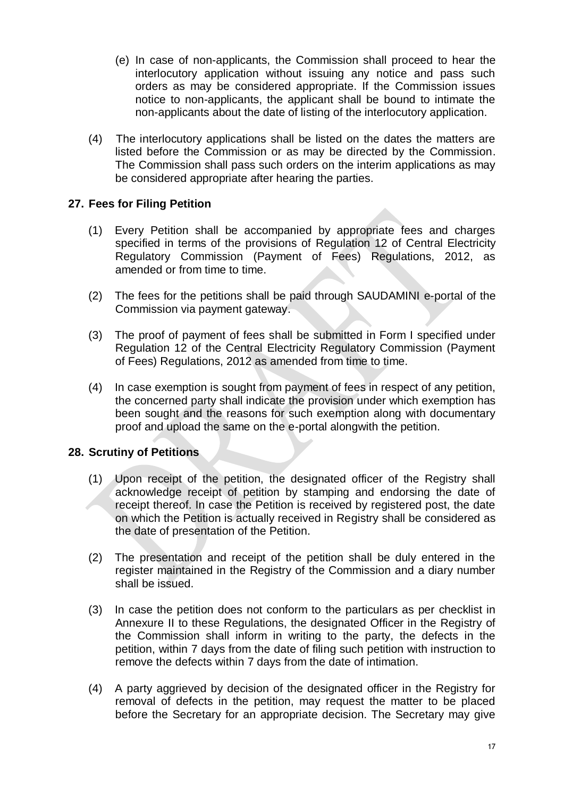- (e) In case of non-applicants, the Commission shall proceed to hear the interlocutory application without issuing any notice and pass such orders as may be considered appropriate. If the Commission issues notice to non-applicants, the applicant shall be bound to intimate the non-applicants about the date of listing of the interlocutory application.
- (4) The interlocutory applications shall be listed on the dates the matters are listed before the Commission or as may be directed by the Commission. The Commission shall pass such orders on the interim applications as may be considered appropriate after hearing the parties.

## **27. Fees for Filing Petition**

- (1) Every Petition shall be accompanied by appropriate fees and charges specified in terms of the provisions of Regulation 12 of Central Electricity Regulatory Commission (Payment of Fees) Regulations, 2012, as amended or from time to time.
- (2) The fees for the petitions shall be paid through SAUDAMINI e-portal of the Commission via payment gateway.
- (3) The proof of payment of fees shall be submitted in Form I specified under Regulation 12 of the Central Electricity Regulatory Commission (Payment of Fees) Regulations, 2012 as amended from time to time.
- (4) In case exemption is sought from payment of fees in respect of any petition, the concerned party shall indicate the provision under which exemption has been sought and the reasons for such exemption along with documentary proof and upload the same on the e-portal alongwith the petition.

### **28. Scrutiny of Petitions**

- (1) Upon receipt of the petition, the designated officer of the Registry shall acknowledge receipt of petition by stamping and endorsing the date of receipt thereof. In case the Petition is received by registered post, the date on which the Petition is actually received in Registry shall be considered as the date of presentation of the Petition.
- (2) The presentation and receipt of the petition shall be duly entered in the register maintained in the Registry of the Commission and a diary number shall be issued.
- (3) In case the petition does not conform to the particulars as per checklist in Annexure II to these Regulations, the designated Officer in the Registry of the Commission shall inform in writing to the party, the defects in the petition, within 7 days from the date of filing such petition with instruction to remove the defects within 7 days from the date of intimation.
- (4) A party aggrieved by decision of the designated officer in the Registry for removal of defects in the petition, may request the matter to be placed before the Secretary for an appropriate decision. The Secretary may give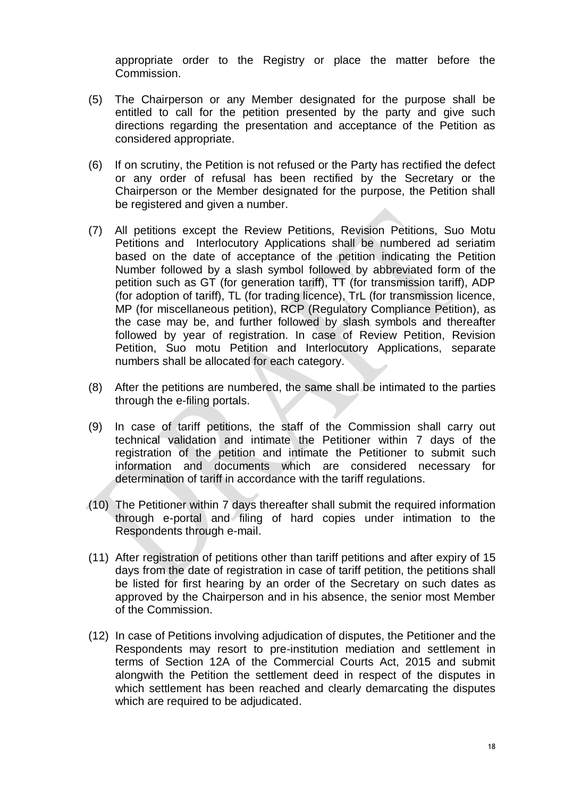appropriate order to the Registry or place the matter before the Commission.

- (5) The Chairperson or any Member designated for the purpose shall be entitled to call for the petition presented by the party and give such directions regarding the presentation and acceptance of the Petition as considered appropriate.
- (6) If on scrutiny, the Petition is not refused or the Party has rectified the defect or any order of refusal has been rectified by the Secretary or the Chairperson or the Member designated for the purpose, the Petition shall be registered and given a number.
- (7) All petitions except the Review Petitions, Revision Petitions, Suo Motu Petitions and Interlocutory Applications shall be numbered ad seriatim based on the date of acceptance of the petition indicating the Petition Number followed by a slash symbol followed by abbreviated form of the petition such as GT (for generation tariff), TT (for transmission tariff), ADP (for adoption of tariff), TL (for trading licence), TrL (for transmission licence, MP (for miscellaneous petition), RCP (Regulatory Compliance Petition), as the case may be, and further followed by slash symbols and thereafter followed by year of registration. In case of Review Petition, Revision Petition, Suo motu Petition and Interlocutory Applications, separate numbers shall be allocated for each category.
- (8) After the petitions are numbered, the same shall be intimated to the parties through the e-filing portals.
- (9) In case of tariff petitions, the staff of the Commission shall carry out technical validation and intimate the Petitioner within 7 days of the registration of the petition and intimate the Petitioner to submit such information and documents which are considered necessary for determination of tariff in accordance with the tariff regulations.
- (10) The Petitioner within 7 days thereafter shall submit the required information through e-portal and filing of hard copies under intimation to the Respondents through e-mail.
- (11) After registration of petitions other than tariff petitions and after expiry of 15 days from the date of registration in case of tariff petition, the petitions shall be listed for first hearing by an order of the Secretary on such dates as approved by the Chairperson and in his absence, the senior most Member of the Commission.
- (12) In case of Petitions involving adjudication of disputes, the Petitioner and the Respondents may resort to pre-institution mediation and settlement in terms of Section 12A of the Commercial Courts Act, 2015 and submit alongwith the Petition the settlement deed in respect of the disputes in which settlement has been reached and clearly demarcating the disputes which are required to be adjudicated.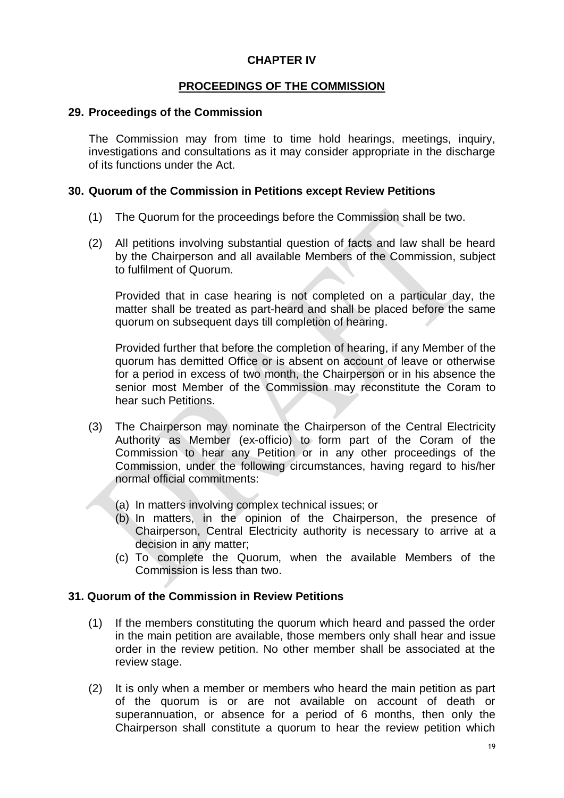## **CHAPTER IV**

## **PROCEEDINGS OF THE COMMISSION**

#### **29. Proceedings of the Commission**

The Commission may from time to time hold hearings, meetings, inquiry, investigations and consultations as it may consider appropriate in the discharge of its functions under the Act.

#### **30. Quorum of the Commission in Petitions except Review Petitions**

- (1) The Quorum for the proceedings before the Commission shall be two.
- (2) All petitions involving substantial question of facts and law shall be heard by the Chairperson and all available Members of the Commission, subject to fulfilment of Quorum.

Provided that in case hearing is not completed on a particular day, the matter shall be treated as part-heard and shall be placed before the same quorum on subsequent days till completion of hearing.

Provided further that before the completion of hearing, if any Member of the quorum has demitted Office or is absent on account of leave or otherwise for a period in excess of two month, the Chairperson or in his absence the senior most Member of the Commission may reconstitute the Coram to hear such Petitions.

- (3) The Chairperson may nominate the Chairperson of the Central Electricity Authority as Member (ex-officio) to form part of the Coram of the Commission to hear any Petition or in any other proceedings of the Commission, under the following circumstances, having regard to his/her normal official commitments:
	- (a) In matters involving complex technical issues; or
	- (b) In matters, in the opinion of the Chairperson, the presence of Chairperson, Central Electricity authority is necessary to arrive at a decision in any matter;
	- (c) To complete the Quorum, when the available Members of the Commission is less than two.

### **31. Quorum of the Commission in Review Petitions**

- (1) If the members constituting the quorum which heard and passed the order in the main petition are available, those members only shall hear and issue order in the review petition. No other member shall be associated at the review stage.
- (2) It is only when a member or members who heard the main petition as part of the quorum is or are not available on account of death or superannuation, or absence for a period of 6 months, then only the Chairperson shall constitute a quorum to hear the review petition which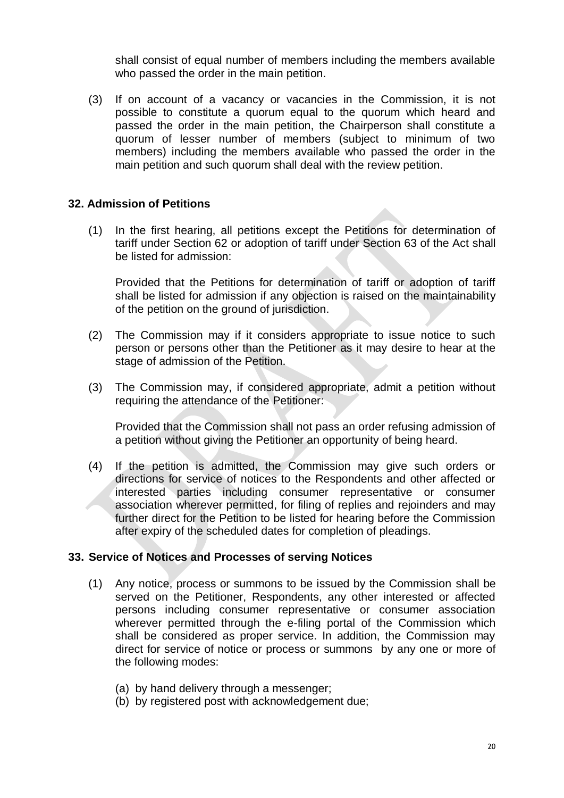shall consist of equal number of members including the members available who passed the order in the main petition.

(3) If on account of a vacancy or vacancies in the Commission, it is not possible to constitute a quorum equal to the quorum which heard and passed the order in the main petition, the Chairperson shall constitute a quorum of lesser number of members (subject to minimum of two members) including the members available who passed the order in the main petition and such quorum shall deal with the review petition.

## **32. Admission of Petitions**

(1) In the first hearing, all petitions except the Petitions for determination of tariff under Section 62 or adoption of tariff under Section 63 of the Act shall be listed for admission:

Provided that the Petitions for determination of tariff or adoption of tariff shall be listed for admission if any objection is raised on the maintainability of the petition on the ground of jurisdiction.

- (2) The Commission may if it considers appropriate to issue notice to such person or persons other than the Petitioner as it may desire to hear at the stage of admission of the Petition.
- (3) The Commission may, if considered appropriate, admit a petition without requiring the attendance of the Petitioner:

Provided that the Commission shall not pass an order refusing admission of a petition without giving the Petitioner an opportunity of being heard.

(4) If the petition is admitted, the Commission may give such orders or directions for service of notices to the Respondents and other affected or interested parties including consumer representative or consumer association wherever permitted, for filing of replies and rejoinders and may further direct for the Petition to be listed for hearing before the Commission after expiry of the scheduled dates for completion of pleadings.

### **33. Service of Notices and Processes of serving Notices**

- (1) Any notice, process or summons to be issued by the Commission shall be served on the Petitioner, Respondents, any other interested or affected persons including consumer representative or consumer association wherever permitted through the e-filing portal of the Commission which shall be considered as proper service. In addition, the Commission may direct for service of notice or process or summons by any one or more of the following modes:
	- (a) by hand delivery through a messenger;
	- (b) by registered post with acknowledgement due;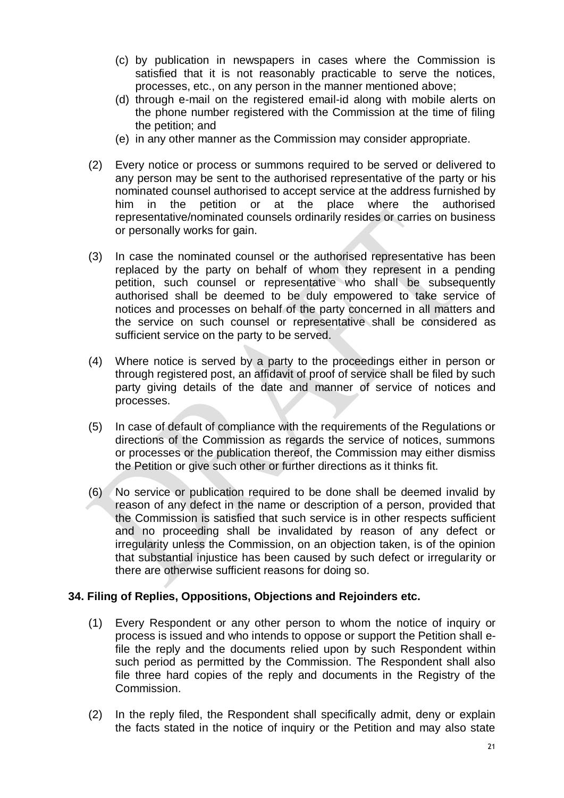- (c) by publication in newspapers in cases where the Commission is satisfied that it is not reasonably practicable to serve the notices, processes, etc., on any person in the manner mentioned above;
- (d) through e-mail on the registered email-id along with mobile alerts on the phone number registered with the Commission at the time of filing the petition; and
- (e) in any other manner as the Commission may consider appropriate.
- (2) Every notice or process or summons required to be served or delivered to any person may be sent to the authorised representative of the party or his nominated counsel authorised to accept service at the address furnished by him in the petition or at the place where the authorised representative/nominated counsels ordinarily resides or carries on business or personally works for gain.
- (3) In case the nominated counsel or the authorised representative has been replaced by the party on behalf of whom they represent in a pending petition, such counsel or representative who shall be subsequently authorised shall be deemed to be duly empowered to take service of notices and processes on behalf of the party concerned in all matters and the service on such counsel or representative shall be considered as sufficient service on the party to be served.
- (4) Where notice is served by a party to the proceedings either in person or through registered post, an affidavit of proof of service shall be filed by such party giving details of the date and manner of service of notices and processes.
- (5) In case of default of compliance with the requirements of the Regulations or directions of the Commission as regards the service of notices, summons or processes or the publication thereof, the Commission may either dismiss the Petition or give such other or further directions as it thinks fit.
- (6) No service or publication required to be done shall be deemed invalid by reason of any defect in the name or description of a person, provided that the Commission is satisfied that such service is in other respects sufficient and no proceeding shall be invalidated by reason of any defect or irregularity unless the Commission, on an objection taken, is of the opinion that substantial injustice has been caused by such defect or irregularity or there are otherwise sufficient reasons for doing so.

## **34. Filing of Replies, Oppositions, Objections and Rejoinders etc.**

- (1) Every Respondent or any other person to whom the notice of inquiry or process is issued and who intends to oppose or support the Petition shall efile the reply and the documents relied upon by such Respondent within such period as permitted by the Commission. The Respondent shall also file three hard copies of the reply and documents in the Registry of the Commission.
- (2) In the reply filed, the Respondent shall specifically admit, deny or explain the facts stated in the notice of inquiry or the Petition and may also state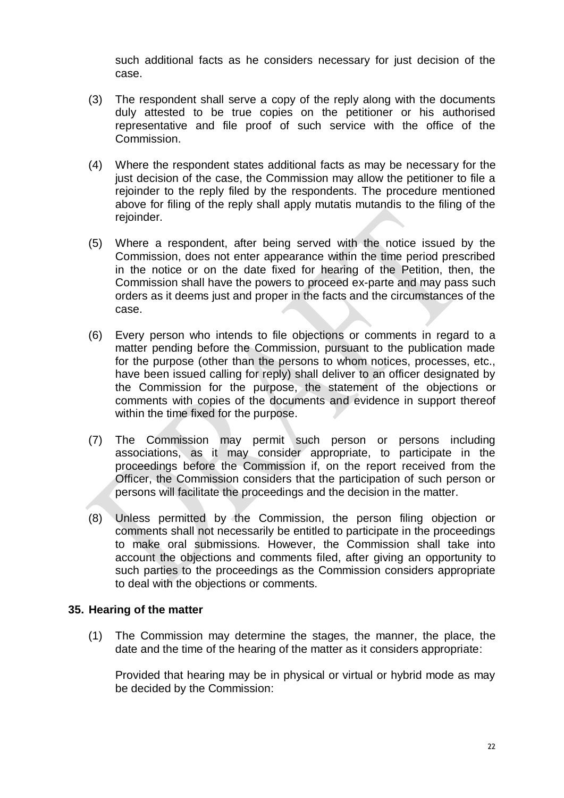such additional facts as he considers necessary for just decision of the case.

- (3) The respondent shall serve a copy of the reply along with the documents duly attested to be true copies on the petitioner or his authorised representative and file proof of such service with the office of the Commission.
- (4) Where the respondent states additional facts as may be necessary for the just decision of the case, the Commission may allow the petitioner to file a rejoinder to the reply filed by the respondents. The procedure mentioned above for filing of the reply shall apply mutatis mutandis to the filing of the rejoinder.
- (5) Where a respondent, after being served with the notice issued by the Commission, does not enter appearance within the time period prescribed in the notice or on the date fixed for hearing of the Petition, then, the Commission shall have the powers to proceed ex-parte and may pass such orders as it deems just and proper in the facts and the circumstances of the case.
- (6) Every person who intends to file objections or comments in regard to a matter pending before the Commission, pursuant to the publication made for the purpose (other than the persons to whom notices, processes, etc., have been issued calling for reply) shall deliver to an officer designated by the Commission for the purpose, the statement of the objections or comments with copies of the documents and evidence in support thereof within the time fixed for the purpose.
- (7) The Commission may permit such person or persons including associations, as it may consider appropriate, to participate in the proceedings before the Commission if, on the report received from the Officer, the Commission considers that the participation of such person or persons will facilitate the proceedings and the decision in the matter.
- (8) Unless permitted by the Commission, the person filing objection or comments shall not necessarily be entitled to participate in the proceedings to make oral submissions. However, the Commission shall take into account the objections and comments filed, after giving an opportunity to such parties to the proceedings as the Commission considers appropriate to deal with the objections or comments.

### **35. Hearing of the matter**

(1) The Commission may determine the stages, the manner, the place, the date and the time of the hearing of the matter as it considers appropriate:

Provided that hearing may be in physical or virtual or hybrid mode as may be decided by the Commission: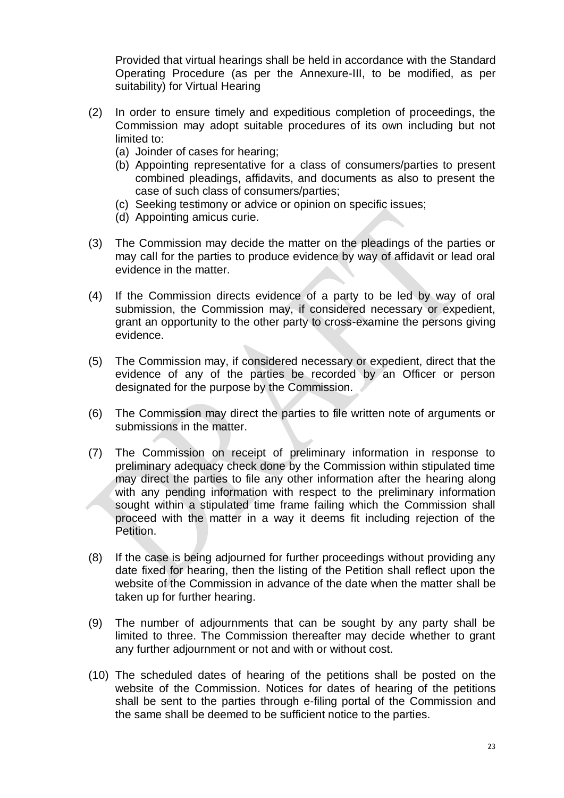Provided that virtual hearings shall be held in accordance with the Standard Operating Procedure (as per the Annexure-III, to be modified, as per suitability) for Virtual Hearing

- (2) In order to ensure timely and expeditious completion of proceedings, the Commission may adopt suitable procedures of its own including but not limited to:
	- (a) Joinder of cases for hearing;
	- (b) Appointing representative for a class of consumers/parties to present combined pleadings, affidavits, and documents as also to present the case of such class of consumers/parties;
	- (c) Seeking testimony or advice or opinion on specific issues;
	- (d) Appointing amicus curie.
- (3) The Commission may decide the matter on the pleadings of the parties or may call for the parties to produce evidence by way of affidavit or lead oral evidence in the matter.
- (4) If the Commission directs evidence of a party to be led by way of oral submission, the Commission may, if considered necessary or expedient, grant an opportunity to the other party to cross-examine the persons giving evidence.
- (5) The Commission may, if considered necessary or expedient, direct that the evidence of any of the parties be recorded by an Officer or person designated for the purpose by the Commission.
- (6) The Commission may direct the parties to file written note of arguments or submissions in the matter.
- (7) The Commission on receipt of preliminary information in response to preliminary adequacy check done by the Commission within stipulated time may direct the parties to file any other information after the hearing along with any pending information with respect to the preliminary information sought within a stipulated time frame failing which the Commission shall proceed with the matter in a way it deems fit including rejection of the Petition.
- (8) If the case is being adjourned for further proceedings without providing any date fixed for hearing, then the listing of the Petition shall reflect upon the website of the Commission in advance of the date when the matter shall be taken up for further hearing.
- (9) The number of adjournments that can be sought by any party shall be limited to three. The Commission thereafter may decide whether to grant any further adjournment or not and with or without cost.
- (10) The scheduled dates of hearing of the petitions shall be posted on the website of the Commission. Notices for dates of hearing of the petitions shall be sent to the parties through e-filing portal of the Commission and the same shall be deemed to be sufficient notice to the parties.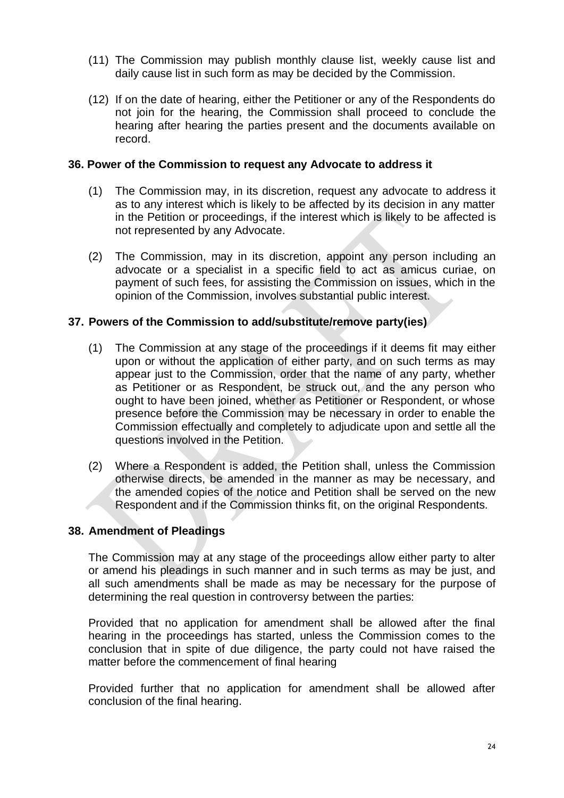- (11) The Commission may publish monthly clause list, weekly cause list and daily cause list in such form as may be decided by the Commission.
- (12) If on the date of hearing, either the Petitioner or any of the Respondents do not join for the hearing, the Commission shall proceed to conclude the hearing after hearing the parties present and the documents available on record.

#### **36. Power of the Commission to request any Advocate to address it**

- (1) The Commission may, in its discretion, request any advocate to address it as to any interest which is likely to be affected by its decision in any matter in the Petition or proceedings, if the interest which is likely to be affected is not represented by any Advocate.
- (2) The Commission, may in its discretion, appoint any person including an advocate or a specialist in a specific field to act as amicus curiae, on payment of such fees, for assisting the Commission on issues, which in the opinion of the Commission, involves substantial public interest.

### **37. Powers of the Commission to add/substitute/remove party(ies)**

- (1) The Commission at any stage of the proceedings if it deems fit may either upon or without the application of either party, and on such terms as may appear just to the Commission, order that the name of any party, whether as Petitioner or as Respondent, be struck out, and the any person who ought to have been joined, whether as Petitioner or Respondent, or whose presence before the Commission may be necessary in order to enable the Commission effectually and completely to adjudicate upon and settle all the questions involved in the Petition.
- (2) Where a Respondent is added, the Petition shall, unless the Commission otherwise directs, be amended in the manner as may be necessary, and the amended copies of the notice and Petition shall be served on the new Respondent and if the Commission thinks fit, on the original Respondents.

### **38. Amendment of Pleadings**

The Commission may at any stage of the proceedings allow either party to alter or amend his pleadings in such manner and in such terms as may be just, and all such amendments shall be made as may be necessary for the purpose of determining the real question in controversy between the parties:

Provided that no application for amendment shall be allowed after the final hearing in the proceedings has started, unless the Commission comes to the conclusion that in spite of due diligence, the party could not have raised the matter before the commencement of final hearing

Provided further that no application for amendment shall be allowed after conclusion of the final hearing.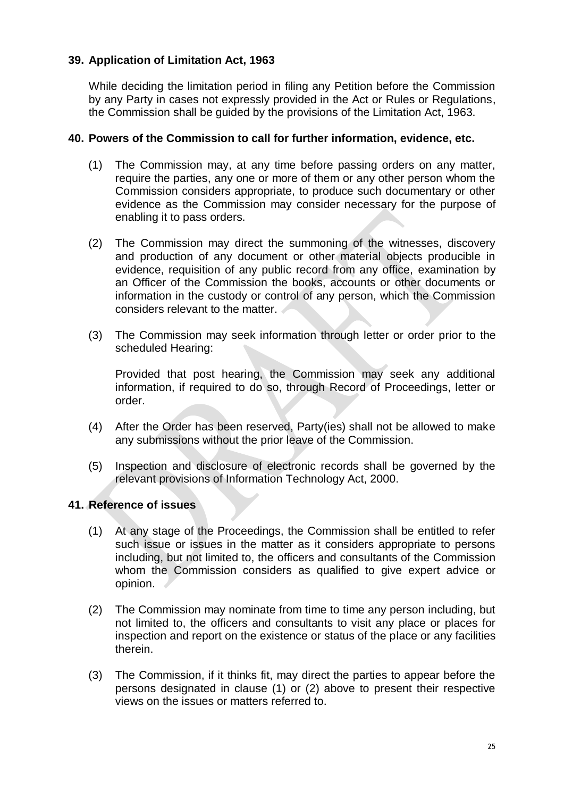## **39. Application of Limitation Act, 1963**

While deciding the limitation period in filing any Petition before the Commission by any Party in cases not expressly provided in the Act or Rules or Regulations, the Commission shall be guided by the provisions of the Limitation Act, 1963.

#### **40. Powers of the Commission to call for further information, evidence, etc.**

- (1) The Commission may, at any time before passing orders on any matter, require the parties, any one or more of them or any other person whom the Commission considers appropriate, to produce such documentary or other evidence as the Commission may consider necessary for the purpose of enabling it to pass orders.
- (2) The Commission may direct the summoning of the witnesses, discovery and production of any document or other material objects producible in evidence, requisition of any public record from any office, examination by an Officer of the Commission the books, accounts or other documents or information in the custody or control of any person, which the Commission considers relevant to the matter.
- (3) The Commission may seek information through letter or order prior to the scheduled Hearing:

Provided that post hearing, the Commission may seek any additional information, if required to do so, through Record of Proceedings, letter or order.

- (4) After the Order has been reserved, Party(ies) shall not be allowed to make any submissions without the prior leave of the Commission.
- (5) Inspection and disclosure of electronic records shall be governed by the relevant provisions of Information Technology Act, 2000.

### **41. Reference of issues**

- (1) At any stage of the Proceedings, the Commission shall be entitled to refer such issue or issues in the matter as it considers appropriate to persons including, but not limited to, the officers and consultants of the Commission whom the Commission considers as qualified to give expert advice or opinion.
- (2) The Commission may nominate from time to time any person including, but not limited to, the officers and consultants to visit any place or places for inspection and report on the existence or status of the place or any facilities therein.
- (3) The Commission, if it thinks fit, may direct the parties to appear before the persons designated in clause (1) or (2) above to present their respective views on the issues or matters referred to.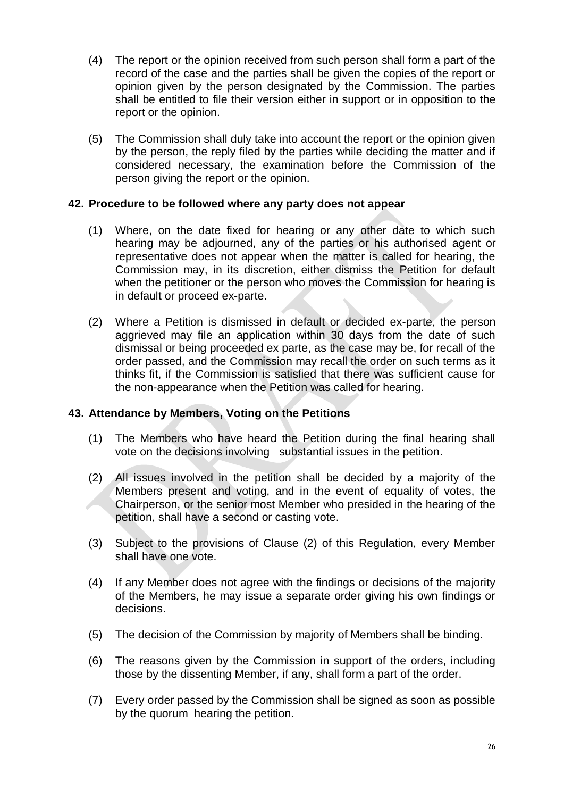- (4) The report or the opinion received from such person shall form a part of the record of the case and the parties shall be given the copies of the report or opinion given by the person designated by the Commission. The parties shall be entitled to file their version either in support or in opposition to the report or the opinion.
- (5) The Commission shall duly take into account the report or the opinion given by the person, the reply filed by the parties while deciding the matter and if considered necessary, the examination before the Commission of the person giving the report or the opinion.

### **42. Procedure to be followed where any party does not appear**

- (1) Where, on the date fixed for hearing or any other date to which such hearing may be adjourned, any of the parties or his authorised agent or representative does not appear when the matter is called for hearing, the Commission may, in its discretion, either dismiss the Petition for default when the petitioner or the person who moves the Commission for hearing is in default or proceed ex-parte.
- (2) Where a Petition is dismissed in default or decided ex-parte, the person aggrieved may file an application within 30 days from the date of such dismissal or being proceeded ex parte, as the case may be, for recall of the order passed, and the Commission may recall the order on such terms as it thinks fit, if the Commission is satisfied that there was sufficient cause for the non-appearance when the Petition was called for hearing.

## **43. Attendance by Members, Voting on the Petitions**

- (1) The Members who have heard the Petition during the final hearing shall vote on the decisions involving substantial issues in the petition.
- (2) All issues involved in the petition shall be decided by a majority of the Members present and voting, and in the event of equality of votes, the Chairperson, or the senior most Member who presided in the hearing of the petition, shall have a second or casting vote.
- (3) Subject to the provisions of Clause (2) of this Regulation, every Member shall have one vote.
- (4) If any Member does not agree with the findings or decisions of the majority of the Members, he may issue a separate order giving his own findings or decisions.
- (5) The decision of the Commission by majority of Members shall be binding.
- (6) The reasons given by the Commission in support of the orders, including those by the dissenting Member, if any, shall form a part of the order.
- (7) Every order passed by the Commission shall be signed as soon as possible by the quorum hearing the petition.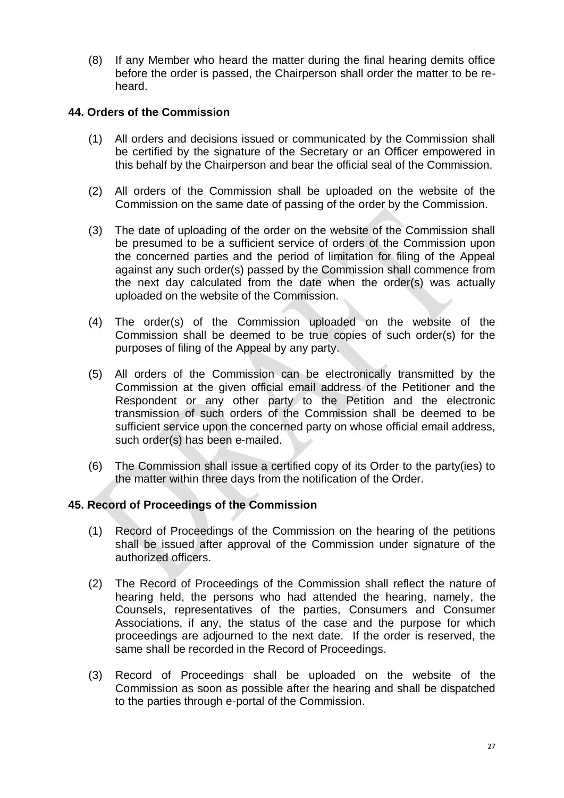(8) If any Member who heard the matter during the final hearing demits office before the order is passed, the Chairperson shall order the matter to be reheard.

### **44. Orders of the Commission**

- (1) All orders and decisions issued or communicated by the Commission shall be certified by the signature of the Secretary or an Officer empowered in this behalf by the Chairperson and bear the official seal of the Commission.
- (2) All orders of the Commission shall be uploaded on the website of the Commission on the same date of passing of the order by the Commission.
- (3) The date of uploading of the order on the website of the Commission shall be presumed to be a sufficient service of orders of the Commission upon the concerned parties and the period of limitation for filing of the Appeal against any such order(s) passed by the Commission shall commence from the next day calculated from the date when the order(s) was actually uploaded on the website of the Commission.
- (4) The order(s) of the Commission uploaded on the website of the Commission shall be deemed to be true copies of such order(s) for the purposes of filing of the Appeal by any party.
- (5) All orders of the Commission can be electronically transmitted by the Commission at the given official email address of the Petitioner and the Respondent or any other party to the Petition and the electronic transmission of such orders of the Commission shall be deemed to be sufficient service upon the concerned party on whose official email address, such order(s) has been e-mailed.
- (6) The Commission shall issue a certified copy of its Order to the party(ies) to the matter within three days from the notification of the Order.

## **45. Record of Proceedings of the Commission**

- (1) Record of Proceedings of the Commission on the hearing of the petitions shall be issued after approval of the Commission under signature of the authorized officers.
- (2) The Record of Proceedings of the Commission shall reflect the nature of hearing held, the persons who had attended the hearing, namely, the Counsels, representatives of the parties, Consumers and Consumer Associations, if any, the status of the case and the purpose for which proceedings are adjourned to the next date. If the order is reserved, the same shall be recorded in the Record of Proceedings.
- (3) Record of Proceedings shall be uploaded on the website of the Commission as soon as possible after the hearing and shall be dispatched to the parties through e-portal of the Commission.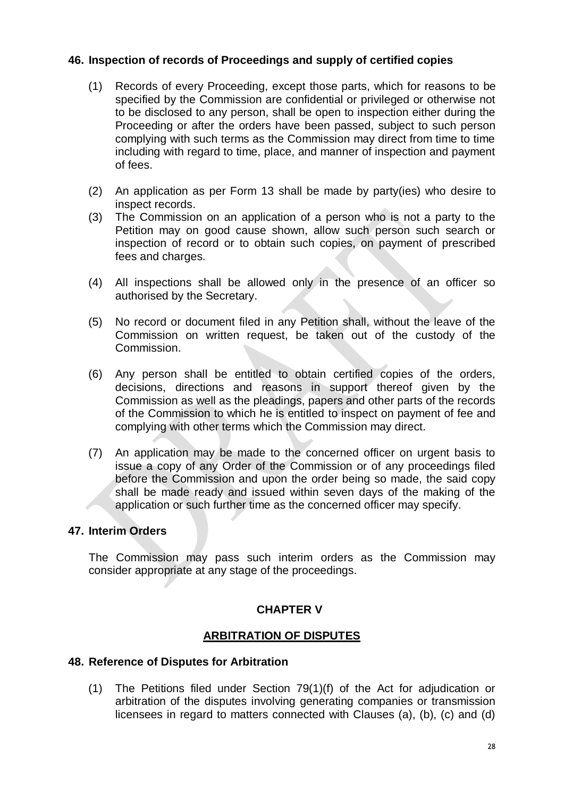### **46. Inspection of records of Proceedings and supply of certified copies**

- (1) Records of every Proceeding, except those parts, which for reasons to be specified by the Commission are confidential or privileged or otherwise not to be disclosed to any person, shall be open to inspection either during the Proceeding or after the orders have been passed, subject to such person complying with such terms as the Commission may direct from time to time including with regard to time, place, and manner of inspection and payment of fees.
- (2) An application as per Form 13 shall be made by party(ies) who desire to inspect records.
- (3) The Commission on an application of a person who is not a party to the Petition may on good cause shown, allow such person such search or inspection of record or to obtain such copies, on payment of prescribed fees and charges.
- (4) All inspections shall be allowed only in the presence of an officer so authorised by the Secretary.
- (5) No record or document filed in any Petition shall, without the leave of the Commission on written request, be taken out of the custody of the Commission.
- (6) Any person shall be entitled to obtain certified copies of the orders, decisions, directions and reasons in support thereof given by the Commission as well as the pleadings, papers and other parts of the records of the Commission to which he is entitled to inspect on payment of fee and complying with other terms which the Commission may direct.
- (7) An application may be made to the concerned officer on urgent basis to issue a copy of any Order of the Commission or of any proceedings filed before the Commission and upon the order being so made, the said copy shall be made ready and issued within seven days of the making of the application or such further time as the concerned officer may specify.

### **47. Interim Orders**

The Commission may pass such interim orders as the Commission may consider appropriate at any stage of the proceedings.

## **CHAPTER V**

## **ARBITRATION OF DISPUTES**

### **48. Reference of Disputes for Arbitration**

(1) The Petitions filed under Section 79(1)(f) of the Act for adjudication or arbitration of the disputes involving generating companies or transmission licensees in regard to matters connected with Clauses (a), (b), (c) and (d)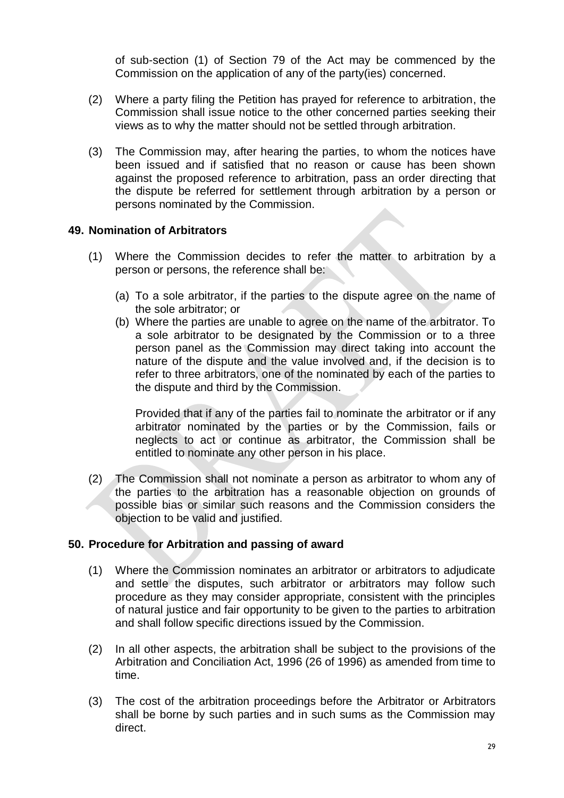of sub-section (1) of Section 79 of the Act may be commenced by the Commission on the application of any of the party(ies) concerned.

- (2) Where a party filing the Petition has prayed for reference to arbitration, the Commission shall issue notice to the other concerned parties seeking their views as to why the matter should not be settled through arbitration.
- (3) The Commission may, after hearing the parties, to whom the notices have been issued and if satisfied that no reason or cause has been shown against the proposed reference to arbitration, pass an order directing that the dispute be referred for settlement through arbitration by a person or persons nominated by the Commission.

## **49. Nomination of Arbitrators**

- (1) Where the Commission decides to refer the matter to arbitration by a person or persons, the reference shall be:
	- (a) To a sole arbitrator, if the parties to the dispute agree on the name of the sole arbitrator; or
	- (b) Where the parties are unable to agree on the name of the arbitrator. To a sole arbitrator to be designated by the Commission or to a three person panel as the Commission may direct taking into account the nature of the dispute and the value involved and, if the decision is to refer to three arbitrators, one of the nominated by each of the parties to the dispute and third by the Commission.

Provided that if any of the parties fail to nominate the arbitrator or if any arbitrator nominated by the parties or by the Commission, fails or neglects to act or continue as arbitrator, the Commission shall be entitled to nominate any other person in his place.

(2) The Commission shall not nominate a person as arbitrator to whom any of the parties to the arbitration has a reasonable objection on grounds of possible bias or similar such reasons and the Commission considers the objection to be valid and justified.

### **50. Procedure for Arbitration and passing of award**

- (1) Where the Commission nominates an arbitrator or arbitrators to adjudicate and settle the disputes, such arbitrator or arbitrators may follow such procedure as they may consider appropriate, consistent with the principles of natural justice and fair opportunity to be given to the parties to arbitration and shall follow specific directions issued by the Commission.
- (2) In all other aspects, the arbitration shall be subject to the provisions of the Arbitration and Conciliation Act, 1996 (26 of 1996) as amended from time to time.
- (3) The cost of the arbitration proceedings before the Arbitrator or Arbitrators shall be borne by such parties and in such sums as the Commission may direct.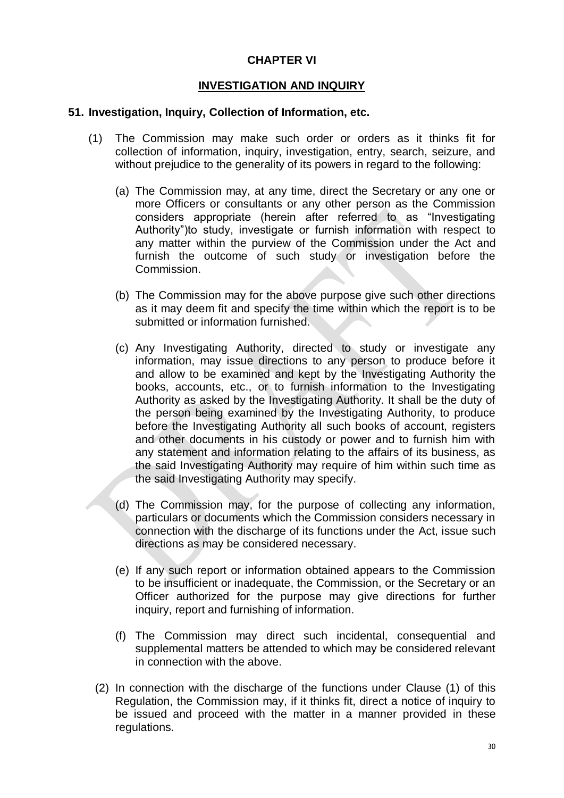### **CHAPTER VI**

## **INVESTIGATION AND INQUIRY**

#### **51. Investigation, Inquiry, Collection of Information, etc.**

- (1) The Commission may make such order or orders as it thinks fit for collection of information, inquiry, investigation, entry, search, seizure, and without prejudice to the generality of its powers in regard to the following:
	- (a) The Commission may, at any time, direct the Secretary or any one or more Officers or consultants or any other person as the Commission considers appropriate (herein after referred to as "Investigating Authority")to study, investigate or furnish information with respect to any matter within the purview of the Commission under the Act and furnish the outcome of such study or investigation before the Commission.
	- (b) The Commission may for the above purpose give such other directions as it may deem fit and specify the time within which the report is to be submitted or information furnished.
	- (c) Any Investigating Authority, directed to study or investigate any information, may issue directions to any person to produce before it and allow to be examined and kept by the Investigating Authority the books, accounts, etc., or to furnish information to the Investigating Authority as asked by the Investigating Authority. It shall be the duty of the person being examined by the Investigating Authority, to produce before the Investigating Authority all such books of account, registers and other documents in his custody or power and to furnish him with any statement and information relating to the affairs of its business, as the said Investigating Authority may require of him within such time as the said Investigating Authority may specify.
	- (d) The Commission may, for the purpose of collecting any information, particulars or documents which the Commission considers necessary in connection with the discharge of its functions under the Act, issue such directions as may be considered necessary.
	- (e) If any such report or information obtained appears to the Commission to be insufficient or inadequate, the Commission, or the Secretary or an Officer authorized for the purpose may give directions for further inquiry, report and furnishing of information.
	- (f) The Commission may direct such incidental, consequential and supplemental matters be attended to which may be considered relevant in connection with the above.
	- (2) In connection with the discharge of the functions under Clause (1) of this Regulation, the Commission may, if it thinks fit, direct a notice of inquiry to be issued and proceed with the matter in a manner provided in these regulations.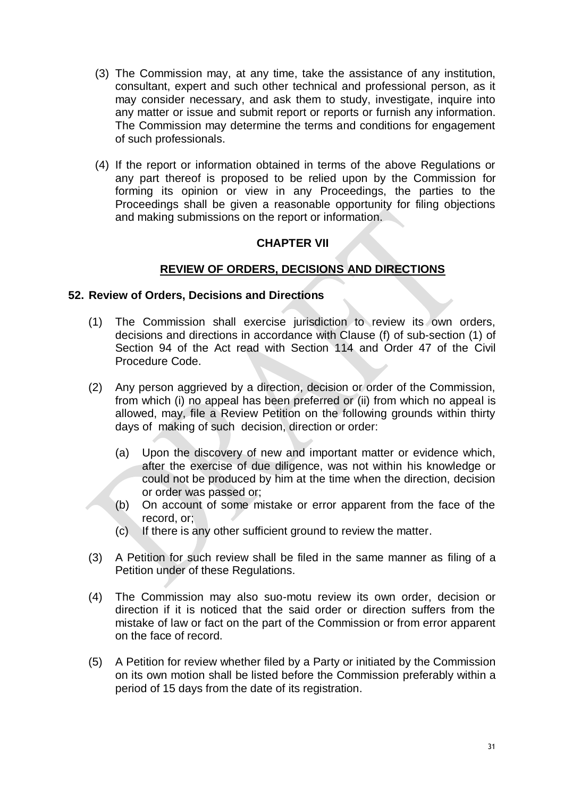- (3) The Commission may, at any time, take the assistance of any institution, consultant, expert and such other technical and professional person, as it may consider necessary, and ask them to study, investigate, inquire into any matter or issue and submit report or reports or furnish any information. The Commission may determine the terms and conditions for engagement of such professionals.
- (4) If the report or information obtained in terms of the above Regulations or any part thereof is proposed to be relied upon by the Commission for forming its opinion or view in any Proceedings, the parties to the Proceedings shall be given a reasonable opportunity for filing objections and making submissions on the report or information.

## **CHAPTER VII**

## **REVIEW OF ORDERS, DECISIONS AND DIRECTIONS**

#### **52. Review of Orders, Decisions and Directions**

- (1) The Commission shall exercise jurisdiction to review its own orders, decisions and directions in accordance with Clause (f) of sub-section (1) of Section 94 of the Act read with Section 114 and Order 47 of the Civil Procedure Code.
- (2) Any person aggrieved by a direction, decision or order of the Commission, from which (i) no appeal has been preferred or (ii) from which no appeal is allowed, may, file a Review Petition on the following grounds within thirty days of making of such decision, direction or order:
	- (a) Upon the discovery of new and important matter or evidence which, after the exercise of due diligence, was not within his knowledge or could not be produced by him at the time when the direction, decision or order was passed or;
	- (b) On account of some mistake or error apparent from the face of the record, or;
	- (c) If there is any other sufficient ground to review the matter.
- (3) A Petition for such review shall be filed in the same manner as filing of a Petition under of these Regulations.
- (4) The Commission may also suo-motu review its own order, decision or direction if it is noticed that the said order or direction suffers from the mistake of law or fact on the part of the Commission or from error apparent on the face of record.
- (5) A Petition for review whether filed by a Party or initiated by the Commission on its own motion shall be listed before the Commission preferably within a period of 15 days from the date of its registration.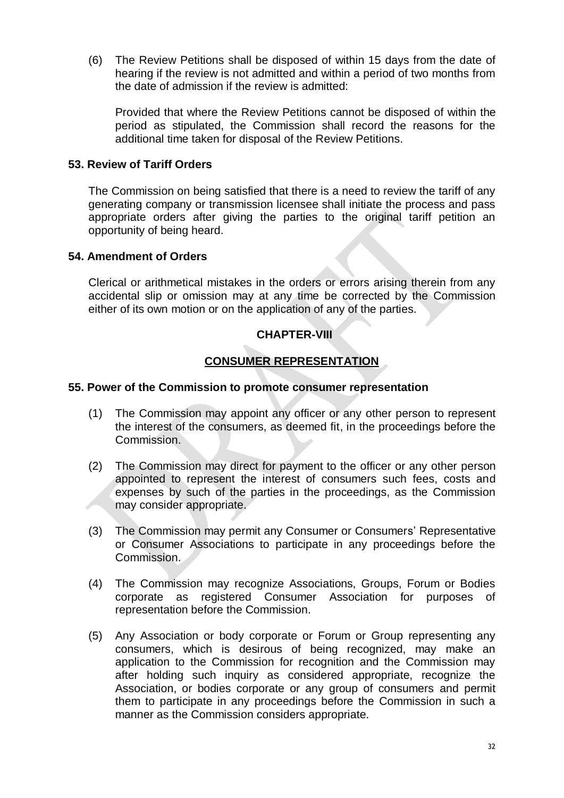(6) The Review Petitions shall be disposed of within 15 days from the date of hearing if the review is not admitted and within a period of two months from the date of admission if the review is admitted:

Provided that where the Review Petitions cannot be disposed of within the period as stipulated, the Commission shall record the reasons for the additional time taken for disposal of the Review Petitions.

#### **53. Review of Tariff Orders**

The Commission on being satisfied that there is a need to review the tariff of any generating company or transmission licensee shall initiate the process and pass appropriate orders after giving the parties to the original tariff petition an opportunity of being heard.

#### **54. Amendment of Orders**

Clerical or arithmetical mistakes in the orders or errors arising therein from any accidental slip or omission may at any time be corrected by the Commission either of its own motion or on the application of any of the parties.

## **CHAPTER-VIII**

## **CONSUMER REPRESENTATION**

#### **55. Power of the Commission to promote consumer representation**

- (1) The Commission may appoint any officer or any other person to represent the interest of the consumers, as deemed fit, in the proceedings before the Commission.
- (2) The Commission may direct for payment to the officer or any other person appointed to represent the interest of consumers such fees, costs and expenses by such of the parties in the proceedings, as the Commission may consider appropriate.
- (3) The Commission may permit any Consumer or Consumers" Representative or Consumer Associations to participate in any proceedings before the Commission.
- (4) The Commission may recognize Associations, Groups, Forum or Bodies corporate as registered Consumer Association for purposes of representation before the Commission.
- (5) Any Association or body corporate or Forum or Group representing any consumers, which is desirous of being recognized, may make an application to the Commission for recognition and the Commission may after holding such inquiry as considered appropriate, recognize the Association, or bodies corporate or any group of consumers and permit them to participate in any proceedings before the Commission in such a manner as the Commission considers appropriate.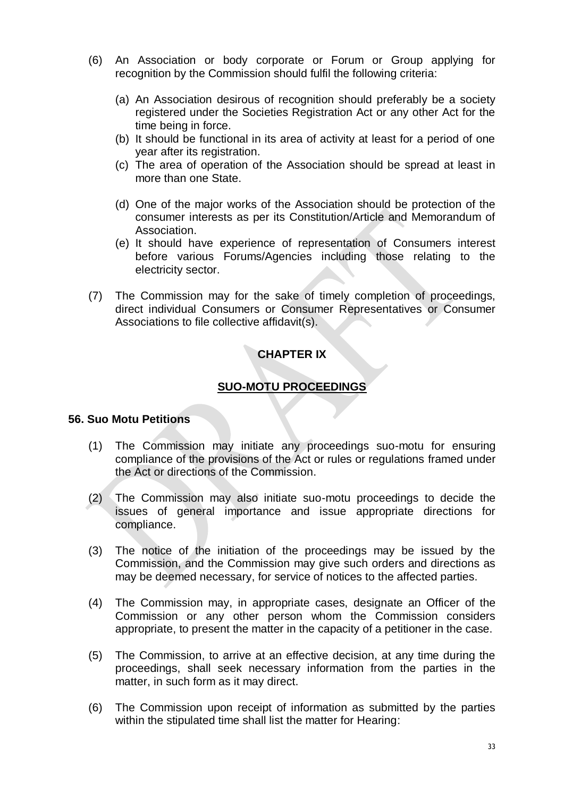- (6) An Association or body corporate or Forum or Group applying for recognition by the Commission should fulfil the following criteria:
	- (a) An Association desirous of recognition should preferably be a society registered under the Societies Registration Act or any other Act for the time being in force.
	- (b) It should be functional in its area of activity at least for a period of one year after its registration.
	- (c) The area of operation of the Association should be spread at least in more than one State.
	- (d) One of the major works of the Association should be protection of the consumer interests as per its Constitution/Article and Memorandum of Association.
	- (e) It should have experience of representation of Consumers interest before various Forums/Agencies including those relating to the electricity sector.
- (7) The Commission may for the sake of timely completion of proceedings, direct individual Consumers or Consumer Representatives or Consumer Associations to file collective affidavit(s).

# **CHAPTER IX**

# **SUO-MOTU PROCEEDINGS**

### **56. Suo Motu Petitions**

- (1) The Commission may initiate any proceedings suo-motu for ensuring compliance of the provisions of the Act or rules or regulations framed under the Act or directions of the Commission.
- (2) The Commission may also initiate suo-motu proceedings to decide the issues of general importance and issue appropriate directions for compliance.
- (3) The notice of the initiation of the proceedings may be issued by the Commission, and the Commission may give such orders and directions as may be deemed necessary, for service of notices to the affected parties.
- (4) The Commission may, in appropriate cases, designate an Officer of the Commission or any other person whom the Commission considers appropriate, to present the matter in the capacity of a petitioner in the case.
- (5) The Commission, to arrive at an effective decision, at any time during the proceedings, shall seek necessary information from the parties in the matter, in such form as it may direct.
- (6) The Commission upon receipt of information as submitted by the parties within the stipulated time shall list the matter for Hearing: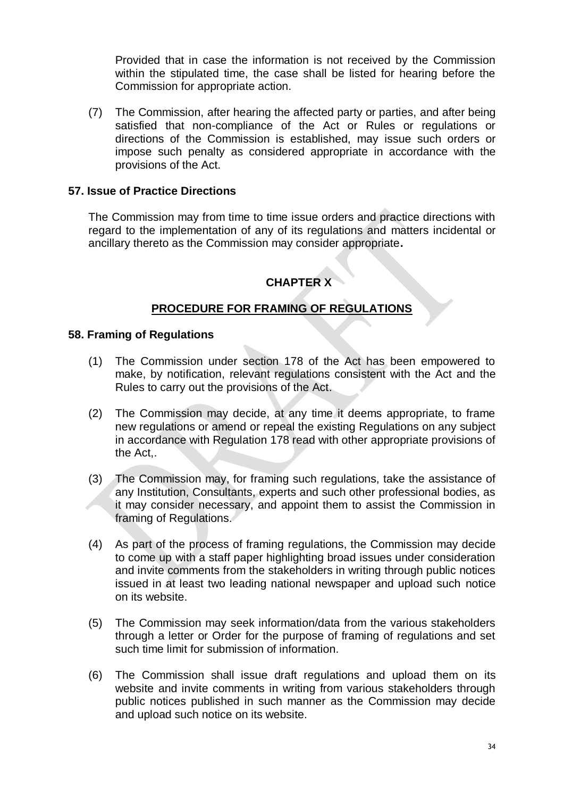Provided that in case the information is not received by the Commission within the stipulated time, the case shall be listed for hearing before the Commission for appropriate action.

(7) The Commission, after hearing the affected party or parties, and after being satisfied that non-compliance of the Act or Rules or regulations or directions of the Commission is established, may issue such orders or impose such penalty as considered appropriate in accordance with the provisions of the Act.

## **57. Issue of Practice Directions**

The Commission may from time to time issue orders and practice directions with regard to the implementation of any of its regulations and matters incidental or ancillary thereto as the Commission may consider appropriate**.** 

# **CHAPTER X**

## **PROCEDURE FOR FRAMING OF REGULATIONS**

#### **58. Framing of Regulations**

- (1) The Commission under section 178 of the Act has been empowered to make, by notification, relevant regulations consistent with the Act and the Rules to carry out the provisions of the Act.
- (2) The Commission may decide, at any time it deems appropriate, to frame new regulations or amend or repeal the existing Regulations on any subject in accordance with Regulation 178 read with other appropriate provisions of the Act,.
- (3) The Commission may, for framing such regulations, take the assistance of any Institution, Consultants, experts and such other professional bodies, as it may consider necessary, and appoint them to assist the Commission in framing of Regulations.
- (4) As part of the process of framing regulations, the Commission may decide to come up with a staff paper highlighting broad issues under consideration and invite comments from the stakeholders in writing through public notices issued in at least two leading national newspaper and upload such notice on its website.
- (5) The Commission may seek information/data from the various stakeholders through a letter or Order for the purpose of framing of regulations and set such time limit for submission of information.
- (6) The Commission shall issue draft regulations and upload them on its website and invite comments in writing from various stakeholders through public notices published in such manner as the Commission may decide and upload such notice on its website.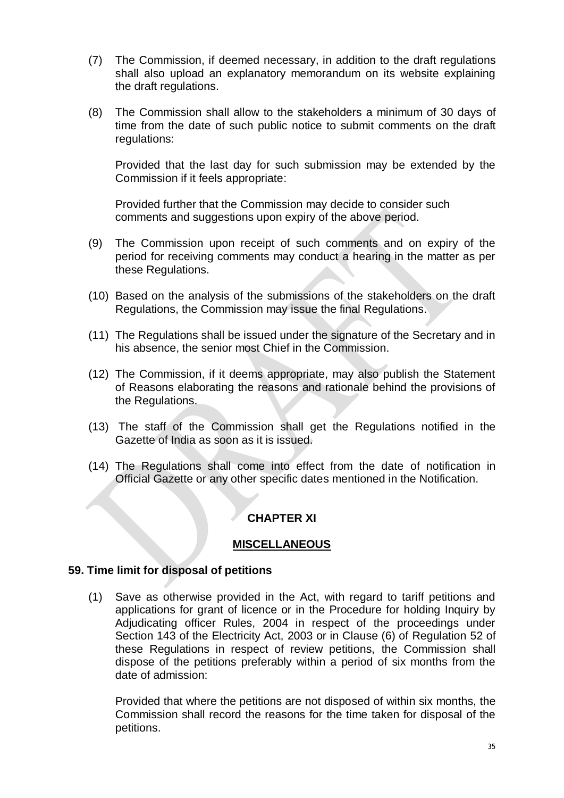- (7) The Commission, if deemed necessary, in addition to the draft regulations shall also upload an explanatory memorandum on its website explaining the draft regulations.
- (8) The Commission shall allow to the stakeholders a minimum of 30 days of time from the date of such public notice to submit comments on the draft regulations:

Provided that the last day for such submission may be extended by the Commission if it feels appropriate:

Provided further that the Commission may decide to consider such comments and suggestions upon expiry of the above period.

- (9) The Commission upon receipt of such comments and on expiry of the period for receiving comments may conduct a hearing in the matter as per these Regulations.
- (10) Based on the analysis of the submissions of the stakeholders on the draft Regulations, the Commission may issue the final Regulations.
- (11) The Regulations shall be issued under the signature of the Secretary and in his absence, the senior most Chief in the Commission.
- (12) The Commission, if it deems appropriate, may also publish the Statement of Reasons elaborating the reasons and rationale behind the provisions of the Regulations.
- (13) The staff of the Commission shall get the Regulations notified in the Gazette of India as soon as it is issued.
- (14) The Regulations shall come into effect from the date of notification in Official Gazette or any other specific dates mentioned in the Notification.

## **CHAPTER XI**

### **MISCELLANEOUS**

### **59. Time limit for disposal of petitions**

(1) Save as otherwise provided in the Act, with regard to tariff petitions and applications for grant of licence or in the Procedure for holding Inquiry by Adjudicating officer Rules, 2004 in respect of the proceedings under Section 143 of the Electricity Act, 2003 or in Clause (6) of Regulation 52 of these Regulations in respect of review petitions, the Commission shall dispose of the petitions preferably within a period of six months from the date of admission:

Provided that where the petitions are not disposed of within six months, the Commission shall record the reasons for the time taken for disposal of the petitions.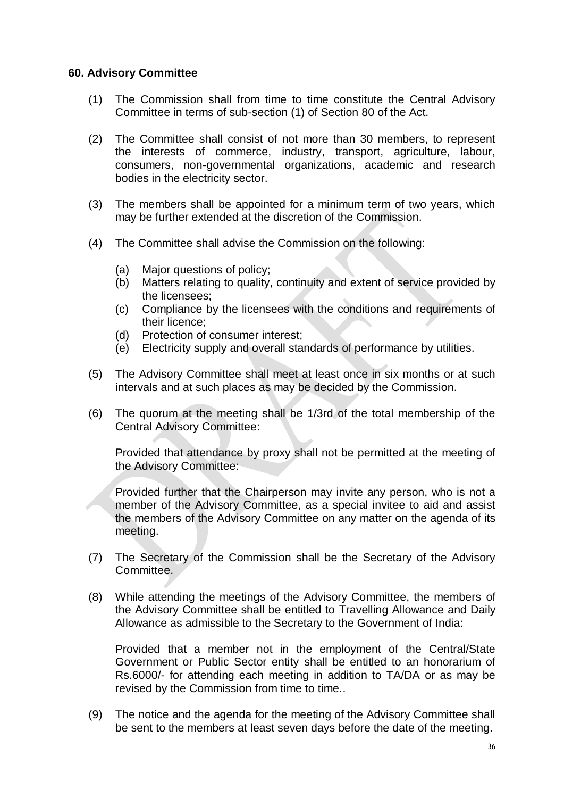#### **60. Advisory Committee**

- (1) The Commission shall from time to time constitute the Central Advisory Committee in terms of sub-section (1) of Section 80 of the Act.
- (2) The Committee shall consist of not more than 30 members, to represent the interests of commerce, industry, transport, agriculture, labour, consumers, non-governmental organizations, academic and research bodies in the electricity sector.
- (3) The members shall be appointed for a minimum term of two years, which may be further extended at the discretion of the Commission.
- (4) The Committee shall advise the Commission on the following:
	- (a) Major questions of policy;
	- (b) Matters relating to quality, continuity and extent of service provided by the licensees;
	- (c) Compliance by the licensees with the conditions and requirements of their licence;
	- (d) Protection of consumer interest;
	- (e) Electricity supply and overall standards of performance by utilities.
- (5) The Advisory Committee shall meet at least once in six months or at such intervals and at such places as may be decided by the Commission.
- (6) The quorum at the meeting shall be 1/3rd of the total membership of the Central Advisory Committee:

Provided that attendance by proxy shall not be permitted at the meeting of the Advisory Committee:

Provided further that the Chairperson may invite any person, who is not a member of the Advisory Committee, as a special invitee to aid and assist the members of the Advisory Committee on any matter on the agenda of its meeting.

- (7) The Secretary of the Commission shall be the Secretary of the Advisory Committee.
- (8) While attending the meetings of the Advisory Committee, the members of the Advisory Committee shall be entitled to Travelling Allowance and Daily Allowance as admissible to the Secretary to the Government of India:

Provided that a member not in the employment of the Central/State Government or Public Sector entity shall be entitled to an honorarium of Rs.6000/- for attending each meeting in addition to TA/DA or as may be revised by the Commission from time to time..

(9) The notice and the agenda for the meeting of the Advisory Committee shall be sent to the members at least seven days before the date of the meeting.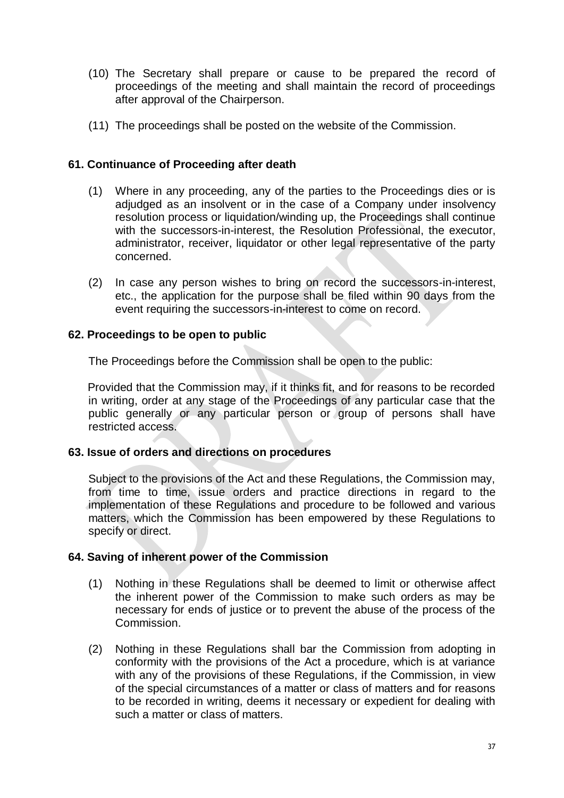- (10) The Secretary shall prepare or cause to be prepared the record of proceedings of the meeting and shall maintain the record of proceedings after approval of the Chairperson.
- (11) The proceedings shall be posted on the website of the Commission.

## **61. Continuance of Proceeding after death**

- (1) Where in any proceeding, any of the parties to the Proceedings dies or is adjudged as an insolvent or in the case of a Company under insolvency resolution process or liquidation/winding up, the Proceedings shall continue with the successors-in-interest, the Resolution Professional, the executor, administrator, receiver, liquidator or other legal representative of the party concerned.
- (2) In case any person wishes to bring on record the successors-in-interest, etc., the application for the purpose shall be filed within 90 days from the event requiring the successors-in-interest to come on record.

## **62. Proceedings to be open to public**

The Proceedings before the Commission shall be open to the public:

Provided that the Commission may, if it thinks fit, and for reasons to be recorded in writing, order at any stage of the Proceedings of any particular case that the public generally or any particular person or group of persons shall have restricted access.

## **63. Issue of orders and directions on procedures**

Subject to the provisions of the Act and these Regulations, the Commission may, from time to time, issue orders and practice directions in regard to the implementation of these Regulations and procedure to be followed and various matters, which the Commission has been empowered by these Regulations to specify or direct.

#### **64. Saving of inherent power of the Commission**

- (1) Nothing in these Regulations shall be deemed to limit or otherwise affect the inherent power of the Commission to make such orders as may be necessary for ends of justice or to prevent the abuse of the process of the Commission.
- (2) Nothing in these Regulations shall bar the Commission from adopting in conformity with the provisions of the Act a procedure, which is at variance with any of the provisions of these Regulations, if the Commission, in view of the special circumstances of a matter or class of matters and for reasons to be recorded in writing, deems it necessary or expedient for dealing with such a matter or class of matters.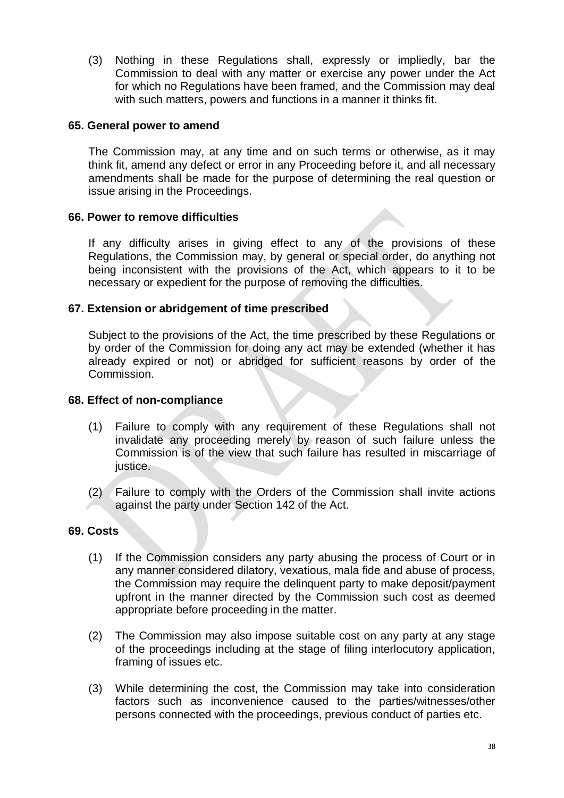(3) Nothing in these Regulations shall, expressly or impliedly, bar the Commission to deal with any matter or exercise any power under the Act for which no Regulations have been framed, and the Commission may deal with such matters, powers and functions in a manner it thinks fit.

#### **65. General power to amend**

The Commission may, at any time and on such terms or otherwise, as it may think fit, amend any defect or error in any Proceeding before it, and all necessary amendments shall be made for the purpose of determining the real question or issue arising in the Proceedings.

#### **66. Power to remove difficulties**

If any difficulty arises in giving effect to any of the provisions of these Regulations, the Commission may, by general or special order, do anything not being inconsistent with the provisions of the Act, which appears to it to be necessary or expedient for the purpose of removing the difficulties.

#### **67. Extension or abridgement of time prescribed**

Subject to the provisions of the Act, the time prescribed by these Regulations or by order of the Commission for doing any act may be extended (whether it has already expired or not) or abridged for sufficient reasons by order of the Commission.

#### **68. Effect of non-compliance**

- (1) Failure to comply with any requirement of these Regulations shall not invalidate any proceeding merely by reason of such failure unless the Commission is of the view that such failure has resulted in miscarriage of justice.
- (2) Failure to comply with the Orders of the Commission shall invite actions against the party under Section 142 of the Act.

#### **69. Costs**

- (1) If the Commission considers any party abusing the process of Court or in any manner considered dilatory, vexatious, mala fide and abuse of process, the Commission may require the delinquent party to make deposit/payment upfront in the manner directed by the Commission such cost as deemed appropriate before proceeding in the matter.
- (2) The Commission may also impose suitable cost on any party at any stage of the proceedings including at the stage of filing interlocutory application, framing of issues etc.
- (3) While determining the cost, the Commission may take into consideration factors such as inconvenience caused to the parties/witnesses/other persons connected with the proceedings, previous conduct of parties etc.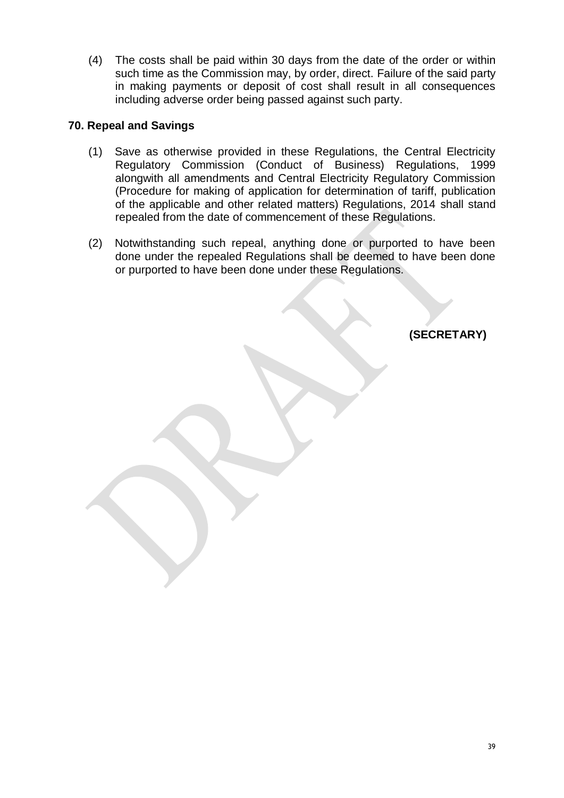(4) The costs shall be paid within 30 days from the date of the order or within such time as the Commission may, by order, direct. Failure of the said party in making payments or deposit of cost shall result in all consequences including adverse order being passed against such party.

## **70. Repeal and Savings**

- (1) Save as otherwise provided in these Regulations, the Central Electricity Regulatory Commission (Conduct of Business) Regulations, 1999 alongwith all amendments and Central Electricity Regulatory Commission (Procedure for making of application for determination of tariff, publication of the applicable and other related matters) Regulations, 2014 shall stand repealed from the date of commencement of these Regulations.
- (2) Notwithstanding such repeal, anything done or purported to have been done under the repealed Regulations shall be deemed to have been done or purported to have been done under these Regulations.

**(SECRETARY)**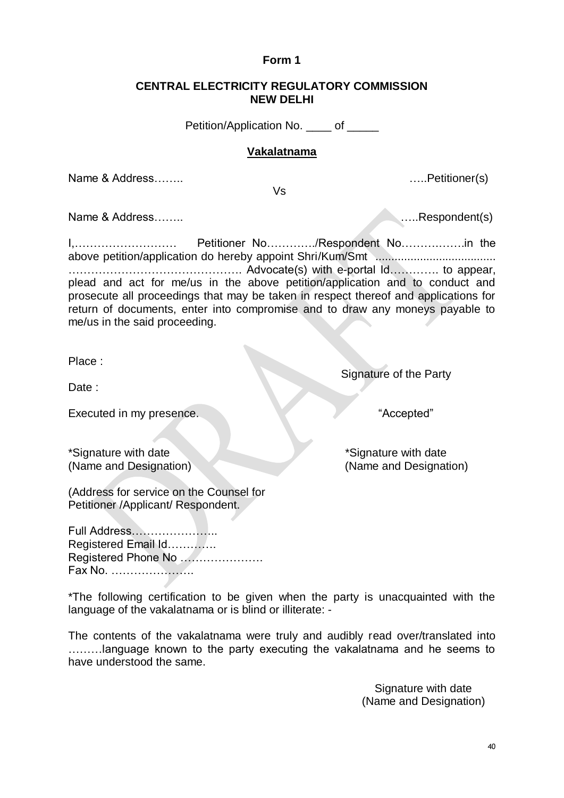Signature with date (Name and Designation)

# **CENTRAL ELECTRICITY REGULATORY COMMISSION**

**Form 1**

**NEW DELHI**

Petition/Application No. \_\_\_\_ of \_\_\_\_

## **Vakalatnama**

Vs

Name & Address…….. …..Petitioner(s)

Name & Address…….. …..Respondent(s)

I,……………………… Petitioner No…………./Respondent No……….…….in the above petition/application do hereby appoint Shri/Kum/Smt ...................................... ………………………………………. Advocate(s) with e-portal Id…………. to appear, plead and act for me/us in the above petition/application and to conduct and prosecute all proceedings that may be taken in respect thereof and applications for return of documents, enter into compromise and to draw any moneys payable to me/us in the said proceeding.

Place :

Date:

Executed in my presence. The second state of the second state of the second state  $\sim$  "Accepted"

\*Signature with date \*Signature with date

(Name and Designation) (Name and Designation)

Signature of the Party

(Address for service on the Counsel for Petitioner /Applicant/ Respondent.

Full Address………………….. Registered Email Id…………. Registered Phone No …………………. Fax No. ………………….

\*The following certification to be given when the party is unacquainted with the language of the vakalatnama or is blind or illiterate: -

The contents of the vakalatnama were truly and audibly read over/translated into ………language known to the party executing the vakalatnama and he seems to have understood the same.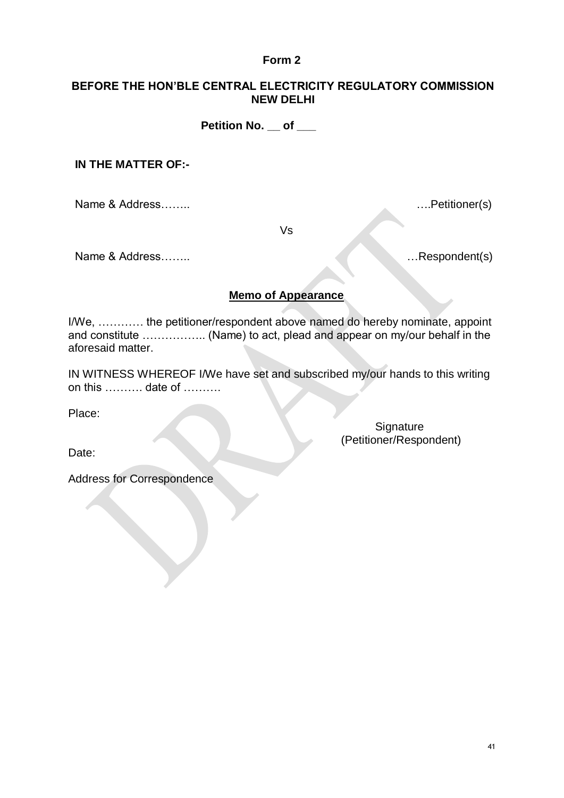#### **BEFORE THE HON'BLE CENTRAL ELECTRICITY REGULATORY COMMISSION NEW DELHI**

 **Petition No. \_\_ of \_\_\_**

#### **IN THE MATTER OF:-**

Name & Address……..….Petitioner(s)

Vs

Name & Address…….. …Respondent(s)

## **Memo of Appearance**

I/We, ………… the petitioner/respondent above named do hereby nominate, appoint and constitute …………….. (Name) to act, plead and appear on my/our behalf in the aforesaid matter.

IN WITNESS WHEREOF I/We have set and subscribed my/our hands to this writing on this ………. date of ……….

Place:

**Signature** (Petitioner/Respondent)

Date:

Address for Correspondence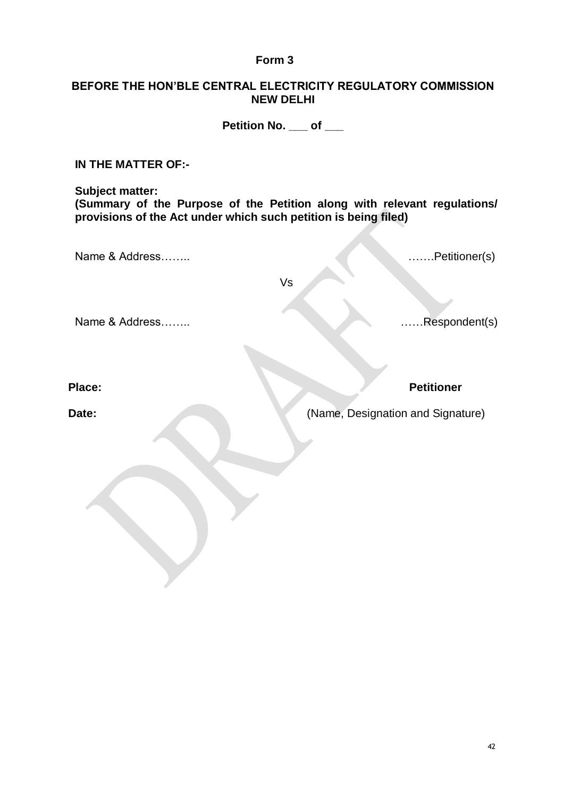#### **BEFORE THE HON'BLE CENTRAL ELECTRICITY REGULATORY COMMISSION NEW DELHI**

**Petition No. \_\_\_ of \_\_\_**

**IN THE MATTER OF:-**

**Subject matter: (Summary of the Purpose of the Petition along with relevant regulations/ provisions of the Act under which such petition is being filed)**

Name & Address…….. …….Petitioner(s)

Vs

Name & Address…….. ……Respondent(s)

**Place: Petitioner**

**Date:** (Name, Designation and Signature)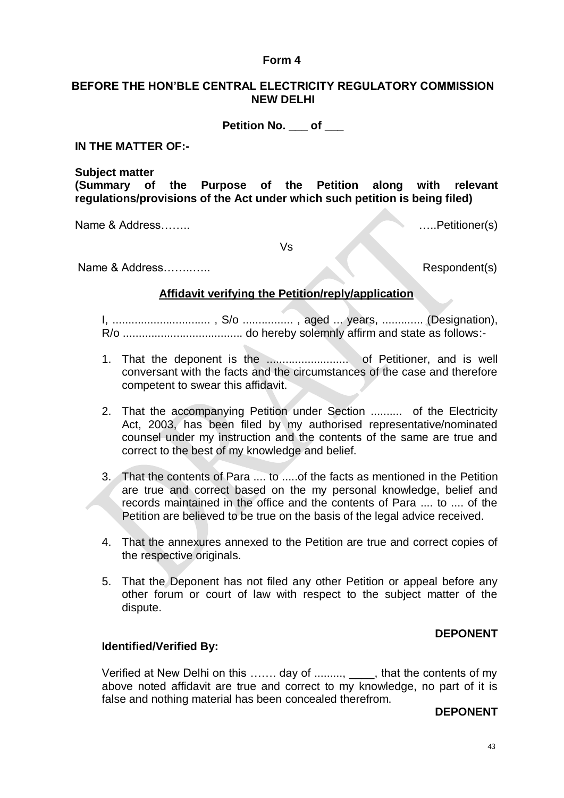#### **BEFORE THE HON'BLE CENTRAL ELECTRICITY REGULATORY COMMISSION NEW DELHI**

**Petition No. \_\_\_ of \_\_\_**

**IN THE MATTER OF:-**

**Subject matter**

**(Summary of the Purpose of the Petition along with relevant regulations/provisions of the Act under which such petition is being filed)**

Name & Address…….. …..Petitioner(s)

Vs

Name & Address……..….. Respondent(s)

#### **Affidavit verifying the Petition/reply/application**

I, ............................... , S/o ................ , aged ... years, ............. (Designation), R/o ...................................... do hereby solemnly affirm and state as follows:-

- 1. That the deponent is the .......................... of Petitioner, and is well conversant with the facts and the circumstances of the case and therefore competent to swear this affidavit.
- 2. That the accompanying Petition under Section .......... of the Electricity Act, 2003, has been filed by my authorised representative/nominated counsel under my instruction and the contents of the same are true and correct to the best of my knowledge and belief.
- 3. That the contents of Para .... to .....of the facts as mentioned in the Petition are true and correct based on the my personal knowledge, belief and records maintained in the office and the contents of Para .... to .... of the Petition are believed to be true on the basis of the legal advice received.
- 4. That the annexures annexed to the Petition are true and correct copies of the respective originals.
- 5. That the Deponent has not filed any other Petition or appeal before any other forum or court of law with respect to the subject matter of the dispute.

## **DEPONENT**

#### **Identified/Verified By:**

Verified at New Delhi on this ....... day of ........., \_\_\_\_, that the contents of my above noted affidavit are true and correct to my knowledge, no part of it is false and nothing material has been concealed therefrom.

#### **DEPONENT**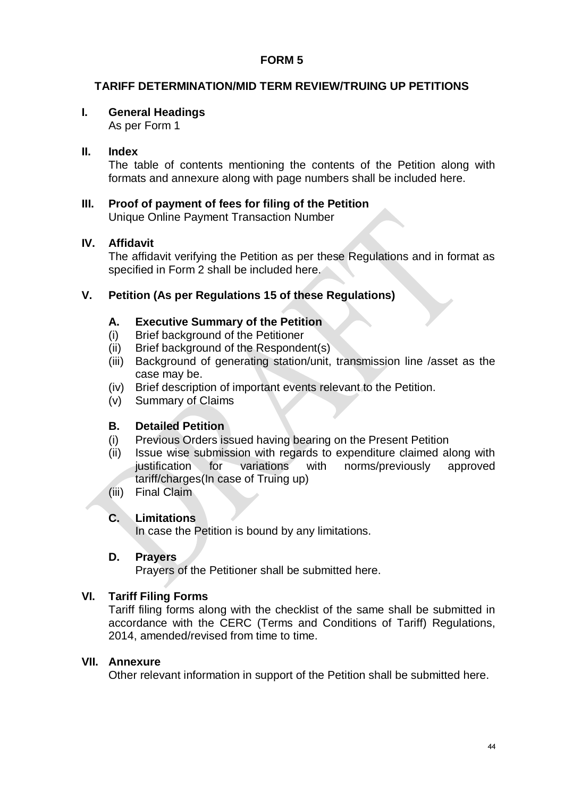## **TARIFF DETERMINATION/MID TERM REVIEW/TRUING UP PETITIONS**

## **I. General Headings**

As per Form 1

## **II. Index**

The table of contents mentioning the contents of the Petition along with formats and annexure along with page numbers shall be included here.

## **III. Proof of payment of fees for filing of the Petition**

Unique Online Payment Transaction Number

## **IV. Affidavit**

The affidavit verifying the Petition as per these Regulations and in format as specified in Form 2 shall be included here.

## **V. Petition (As per Regulations 15 of these Regulations)**

#### **A. Executive Summary of the Petition**

- (i) Brief background of the Petitioner
- (ii) Brief background of the Respondent(s)
- (iii) Background of generating station/unit, transmission line /asset as the case may be.
- (iv) Brief description of important events relevant to the Petition.
- (v) Summary of Claims

## **B. Detailed Petition**

- (i) Previous Orders issued having bearing on the Present Petition
- (ii) Issue wise submission with regards to expenditure claimed along with justification for variations with norms/previously approved tariff/charges(In case of Truing up)
- (iii) Final Claim

#### **C. Limitations**

In case the Petition is bound by any limitations.

#### **D. Prayers**

Prayers of the Petitioner shall be submitted here.

#### **VI. Tariff Filing Forms**

Tariff filing forms along with the checklist of the same shall be submitted in accordance with the CERC (Terms and Conditions of Tariff) Regulations, 2014, amended/revised from time to time.

#### **VII. Annexure**

Other relevant information in support of the Petition shall be submitted here.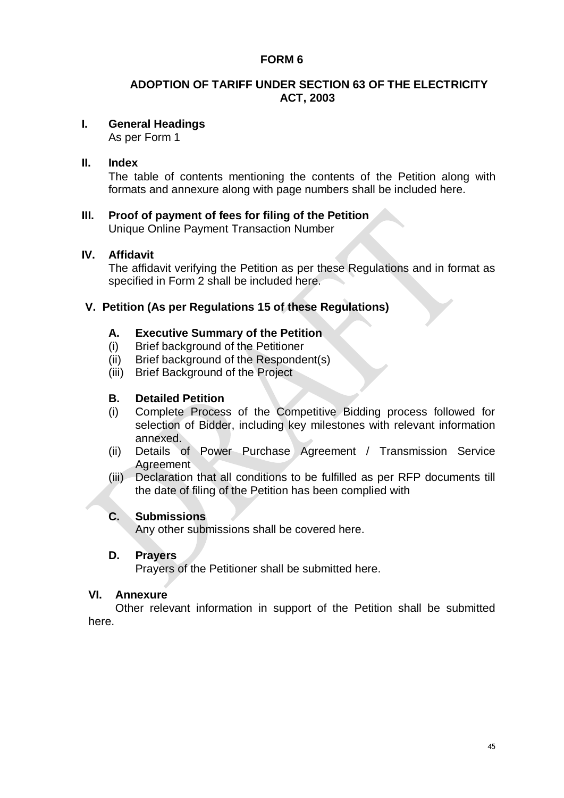## **ADOPTION OF TARIFF UNDER SECTION 63 OF THE ELECTRICITY ACT, 2003**

## **I. General Headings**

As per Form 1

#### **II. Index**

The table of contents mentioning the contents of the Petition along with formats and annexure along with page numbers shall be included here.

## **III. Proof of payment of fees for filing of the Petition**

Unique Online Payment Transaction Number

#### **IV. Affidavit**

The affidavit verifying the Petition as per these Regulations and in format as specified in Form 2 shall be included here.

## **V. Petition (As per Regulations 15 of these Regulations)**

#### **A. Executive Summary of the Petition**

- (i) Brief background of the Petitioner
- (ii) Brief background of the Respondent(s)
- (iii) Brief Background of the Project

## **B. Detailed Petition**

- (i) Complete Process of the Competitive Bidding process followed for selection of Bidder, including key milestones with relevant information annexed.
- (ii) Details of Power Purchase Agreement / Transmission Service **Agreement**
- (iii) Declaration that all conditions to be fulfilled as per RFP documents till the date of filing of the Petition has been complied with

#### **C. Submissions**

Any other submissions shall be covered here.

#### **D. Prayers**

Prayers of the Petitioner shall be submitted here.

#### **VI. Annexure**

Other relevant information in support of the Petition shall be submitted here.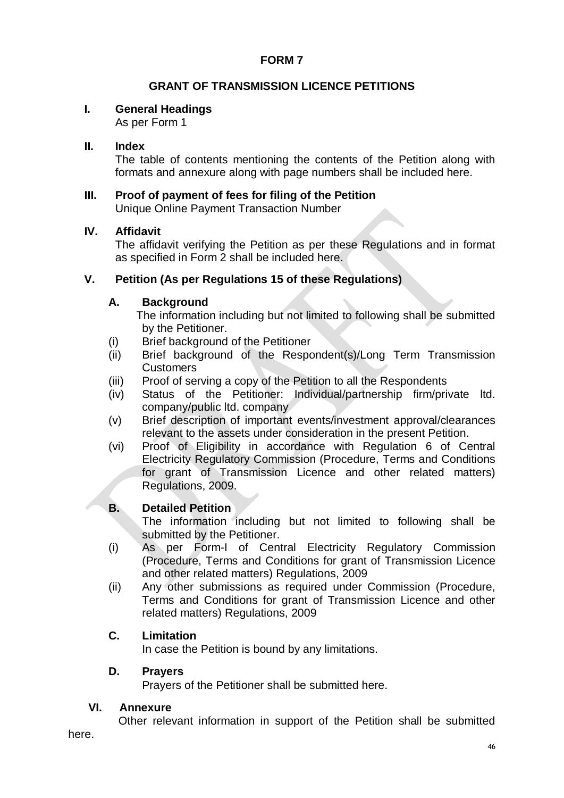## **GRANT OF TRANSMISSION LICENCE PETITIONS**

## **I. General Headings**

As per Form 1

## **II. Index**

The table of contents mentioning the contents of the Petition along with formats and annexure along with page numbers shall be included here.

# **III. Proof of payment of fees for filing of the Petition**

Unique Online Payment Transaction Number

## **IV. Affidavit**

The affidavit verifying the Petition as per these Regulations and in format as specified in Form 2 shall be included here.

## **V. Petition (As per Regulations 15 of these Regulations)**

## **A. Background**

The information including but not limited to following shall be submitted by the Petitioner.

- (i) Brief background of the Petitioner
- (ii) Brief background of the Respondent(s)/Long Term Transmission Customers
- (iii) Proof of serving a copy of the Petition to all the Respondents
- (iv) Status of the Petitioner: Individual/partnership firm/private ltd. company/public ltd. company
- (v) Brief description of important events/investment approval/clearances relevant to the assets under consideration in the present Petition.
- (vi) Proof of Eligibility in accordance with Regulation 6 of Central Electricity Regulatory Commission (Procedure, Terms and Conditions for grant of Transmission Licence and other related matters) Regulations, 2009.

## **B. Detailed Petition**

The information including but not limited to following shall be submitted by the Petitioner.

- (i) As per Form-I of Central Electricity Regulatory Commission (Procedure, Terms and Conditions for grant of Transmission Licence and other related matters) Regulations, 2009
- (ii) Any other submissions as required under Commission (Procedure, Terms and Conditions for grant of Transmission Licence and other related matters) Regulations, 2009

## **C. Limitation**

In case the Petition is bound by any limitations.

#### **D. Prayers**

Prayers of the Petitioner shall be submitted here.

#### **VI. Annexure**

Other relevant information in support of the Petition shall be submitted

here.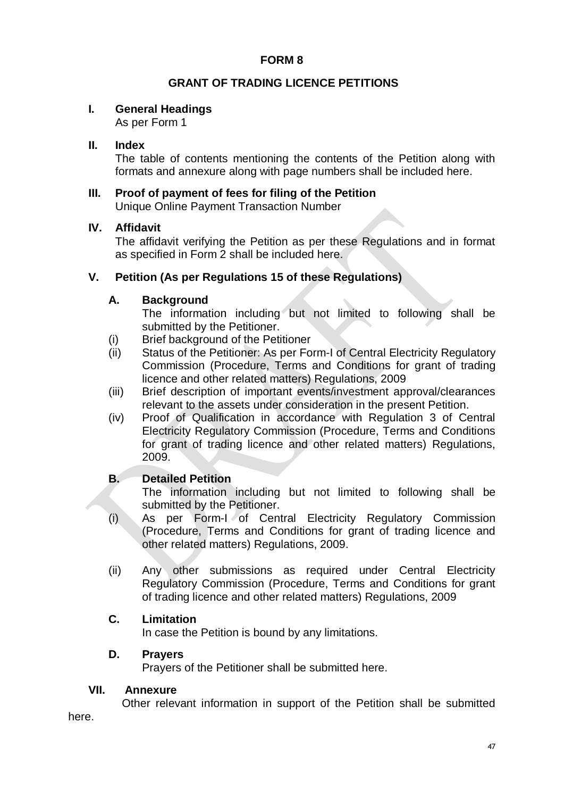## **GRANT OF TRADING LICENCE PETITIONS**

## **I. General Headings**

As per Form 1

## **II. Index**

The table of contents mentioning the contents of the Petition along with formats and annexure along with page numbers shall be included here.

## **III. Proof of payment of fees for filing of the Petition** Unique Online Payment Transaction Number

#### **IV. Affidavit**

The affidavit verifying the Petition as per these Regulations and in format as specified in Form 2 shall be included here.

## **V. Petition (As per Regulations 15 of these Regulations)**

## **A. Background**

The information including but not limited to following shall be submitted by the Petitioner.

- (i) Brief background of the Petitioner
- (ii) Status of the Petitioner: As per Form-I of Central Electricity Regulatory Commission (Procedure, Terms and Conditions for grant of trading licence and other related matters) Regulations, 2009
- (iii) Brief description of important events/investment approval/clearances relevant to the assets under consideration in the present Petition.
- (iv) Proof of Qualification in accordance with Regulation 3 of Central Electricity Regulatory Commission (Procedure, Terms and Conditions for grant of trading licence and other related matters) Regulations, 2009.

## **B. Detailed Petition**

The information including but not limited to following shall be submitted by the Petitioner.

- (i) As per Form-I of Central Electricity Regulatory Commission (Procedure, Terms and Conditions for grant of trading licence and other related matters) Regulations, 2009.
- (ii) Any other submissions as required under Central Electricity Regulatory Commission (Procedure, Terms and Conditions for grant of trading licence and other related matters) Regulations, 2009

## **C. Limitation**

In case the Petition is bound by any limitations.

#### **D. Prayers**

Prayers of the Petitioner shall be submitted here.

#### **VII. Annexure**

Other relevant information in support of the Petition shall be submitted

here.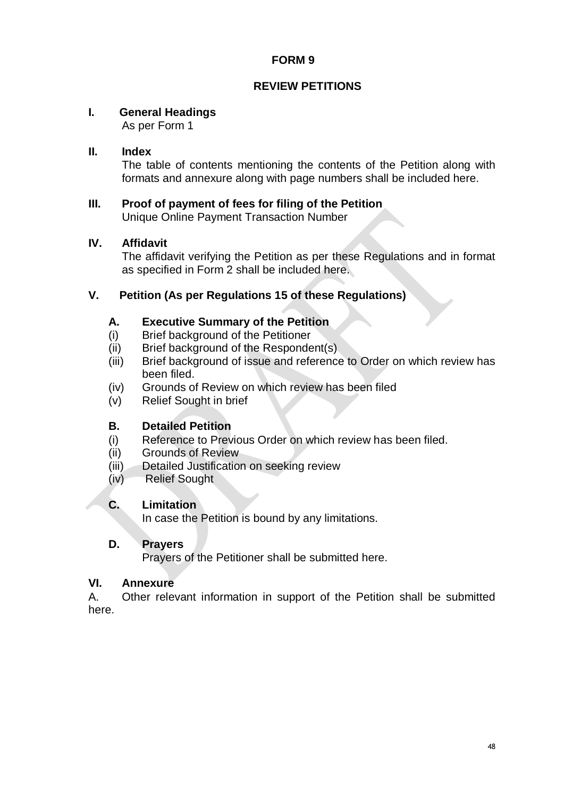## **REVIEW PETITIONS**

## **I. General Headings**

As per Form 1

## **II. Index**

The table of contents mentioning the contents of the Petition along with formats and annexure along with page numbers shall be included here.

#### **III. Proof of payment of fees for filing of the Petition** Unique Online Payment Transaction Number

## **IV. Affidavit**

The affidavit verifying the Petition as per these Regulations and in format as specified in Form 2 shall be included here.

## **V. Petition (As per Regulations 15 of these Regulations)**

## **A. Executive Summary of the Petition**

- (i) Brief background of the Petitioner
- (ii) Brief background of the Respondent(s)
- (iii) Brief background of issue and reference to Order on which review has been filed.
- (iv) Grounds of Review on which review has been filed
- (v) Relief Sought in brief

## **B. Detailed Petition**

- (i) Reference to Previous Order on which review has been filed.
- (ii) Grounds of Review
- (iii) Detailed Justification on seeking review
- (iv) Relief Sought

## **C. Limitation**

In case the Petition is bound by any limitations.

#### **D. Prayers**

Prayers of the Petitioner shall be submitted here.

#### **VI. Annexure**

A. Other relevant information in support of the Petition shall be submitted here.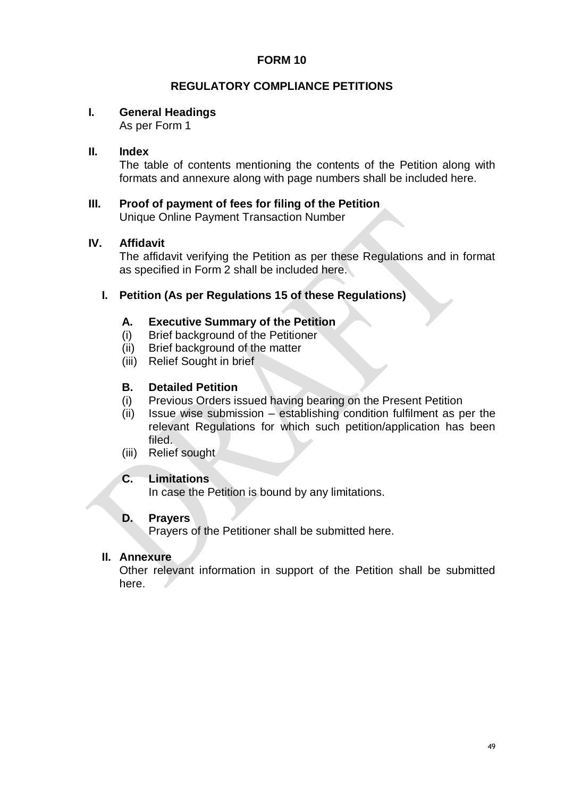## **REGULATORY COMPLIANCE PETITIONS**

## **I. General Headings**

As per Form 1

## **II. Index**

The table of contents mentioning the contents of the Petition along with formats and annexure along with page numbers shall be included here.

#### **III. Proof of payment of fees for filing of the Petition** Unique Online Payment Transaction Number

#### **IV. Affidavit**

The affidavit verifying the Petition as per these Regulations and in format as specified in Form 2 shall be included here.

#### **I. Petition (As per Regulations 15 of these Regulations)**

#### **A. Executive Summary of the Petition**

- (i) Brief background of the Petitioner
- (ii) Brief background of the matter
- (iii) Relief Sought in brief

#### **B. Detailed Petition**

- (i) Previous Orders issued having bearing on the Present Petition
- (ii) Issue wise submission establishing condition fulfilment as per the relevant Regulations for which such petition/application has been filed.
- (iii) Relief sought

## **C. Limitations**

In case the Petition is bound by any limitations.

#### **D. Prayers**

Prayers of the Petitioner shall be submitted here.

#### **II. Annexure**

Other relevant information in support of the Petition shall be submitted here.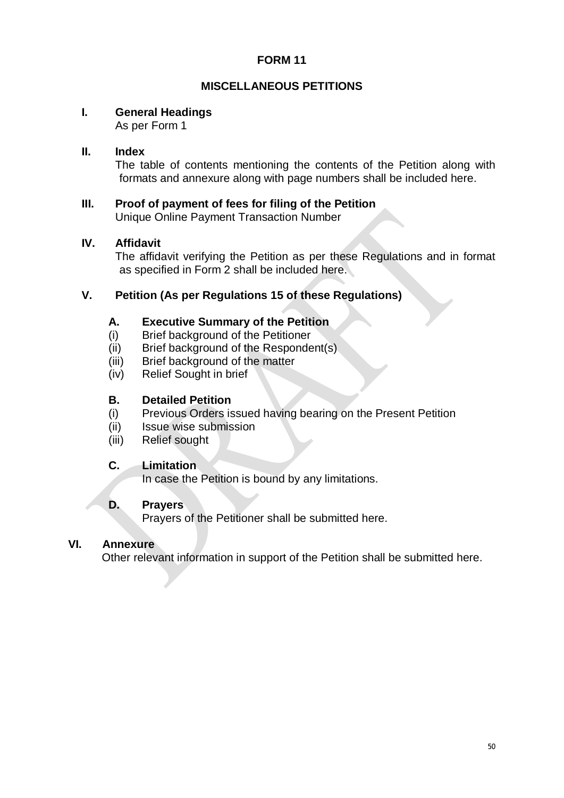## **MISCELLANEOUS PETITIONS**

## **I. General Headings**

As per Form 1

## **II. Index**

The table of contents mentioning the contents of the Petition along with formats and annexure along with page numbers shall be included here.

## **III. Proof of payment of fees for filing of the Petition**

Unique Online Payment Transaction Number

## **IV. Affidavit**

The affidavit verifying the Petition as per these Regulations and in format as specified in Form 2 shall be included here.

## **V. Petition (As per Regulations 15 of these Regulations)**

#### **A. Executive Summary of the Petition**

- (i) Brief background of the Petitioner
- (ii) Brief background of the Respondent(s)
- (iii) Brief background of the matter
- (iv) Relief Sought in brief

#### **B. Detailed Petition**

- (i) Previous Orders issued having bearing on the Present Petition
- (ii) Issue wise submission
- (iii) Relief sought

## **C. Limitation**

In case the Petition is bound by any limitations.

## **D. Prayers**

Prayers of the Petitioner shall be submitted here.

#### **VI. Annexure**

Other relevant information in support of the Petition shall be submitted here.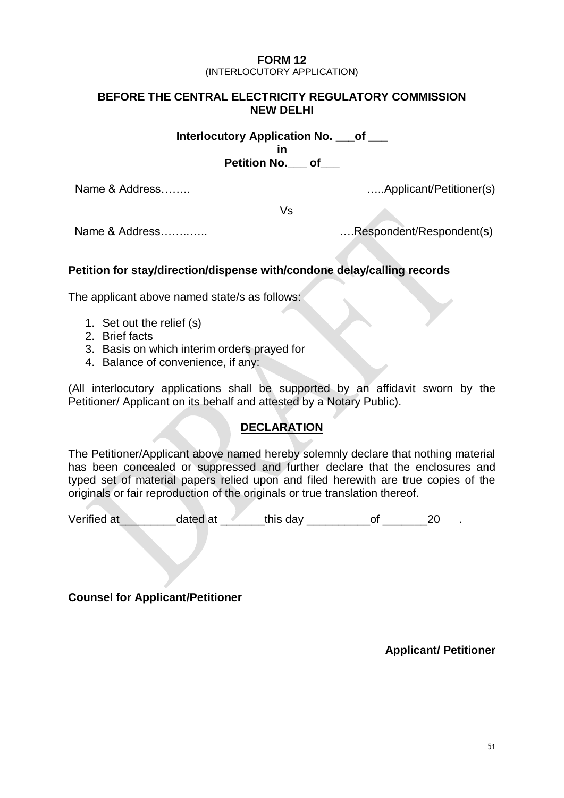#### **FORM 12** (INTERLOCUTORY APPLICATION)

## **BEFORE THE CENTRAL ELECTRICITY REGULATORY COMMISSION NEW DELHI**

**Interlocutory Application No. \_\_\_of \_\_\_ in Petition No. by of** 

Name & Address…….. …..Applicant/Petitioner(s)

Vs

Name & Address……..….. ….Respondent/Respondent(s)

## **Petition for stay/direction/dispense with/condone delay/calling records**

The applicant above named state/s as follows:

- 1. Set out the relief (s)
- 2. Brief facts
- 3. Basis on which interim orders prayed for
- 4. Balance of convenience, if any:

(All interlocutory applications shall be supported by an affidavit sworn by the Petitioner/ Applicant on its behalf and attested by a Notary Public).

#### **DECLARATION**

The Petitioner/Applicant above named hereby solemnly declare that nothing material has been concealed or suppressed and further declare that the enclosures and typed set of material papers relied upon and filed herewith are true copies of the originals or fair reproduction of the originals or true translation thereof.

Verified at\_\_\_\_\_\_\_\_\_dated at \_\_\_\_\_\_\_this day \_\_\_\_\_\_\_\_\_\_of \_\_\_\_\_\_\_20 .

**Counsel for Applicant/Petitioner**

**Applicant/ Petitioner**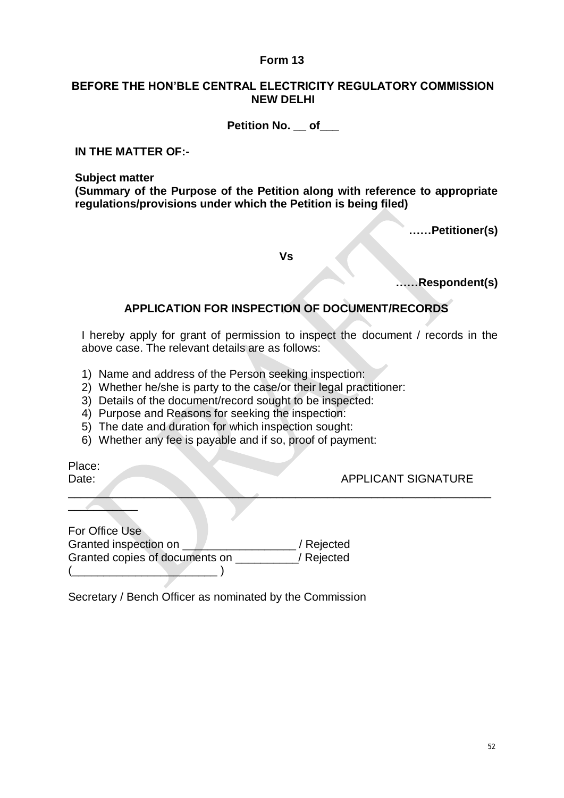#### **BEFORE THE HON'BLE CENTRAL ELECTRICITY REGULATORY COMMISSION NEW DELHI**

#### **Petition No. \_\_ of\_\_\_**

**IN THE MATTER OF:-**

**Subject matter**

**(Summary of the Purpose of the Petition along with reference to appropriate regulations/provisions under which the Petition is being filed)**

**……Petitioner(s)**

**Vs**

**……Respondent(s)**

## **APPLICATION FOR INSPECTION OF DOCUMENT/RECORDS**

I hereby apply for grant of permission to inspect the document / records in the above case. The relevant details are as follows:

 $\mathcal{L}=\mathcal{L}=\mathcal{L}=\mathcal{L}=\mathcal{L}=\mathcal{L}=\mathcal{L}=\mathcal{L}=\mathcal{L}=\mathcal{L}=\mathcal{L}=\mathcal{L}=\mathcal{L}=\mathcal{L}=\mathcal{L}=\mathcal{L}=\mathcal{L}=\mathcal{L}=\mathcal{L}=\mathcal{L}=\mathcal{L}=\mathcal{L}=\mathcal{L}=\mathcal{L}=\mathcal{L}=\mathcal{L}=\mathcal{L}=\mathcal{L}=\mathcal{L}=\mathcal{L}=\mathcal{L}=\mathcal{L}=\mathcal{L}=\mathcal{L}=\mathcal{L}=\mathcal{L}=\mathcal{$ 

- 1) Name and address of the Person seeking inspection:
- 2) Whether he/she is party to the case/or their legal practitioner:
- 3) Details of the document/record sought to be inspected:
- 4) Purpose and Reasons for seeking the inspection:
- 5) The date and duration for which inspection sought:
- 6) Whether any fee is payable and if so, proof of payment:

Place:

 $\frac{1}{2}$ 

#### Date: APPLICANT SIGNATURE

| For Office Use                 |            |
|--------------------------------|------------|
| Granted inspection on          | / Rejected |
| Granted copies of documents on | / Rejected |
|                                |            |

Secretary / Bench Officer as nominated by the Commission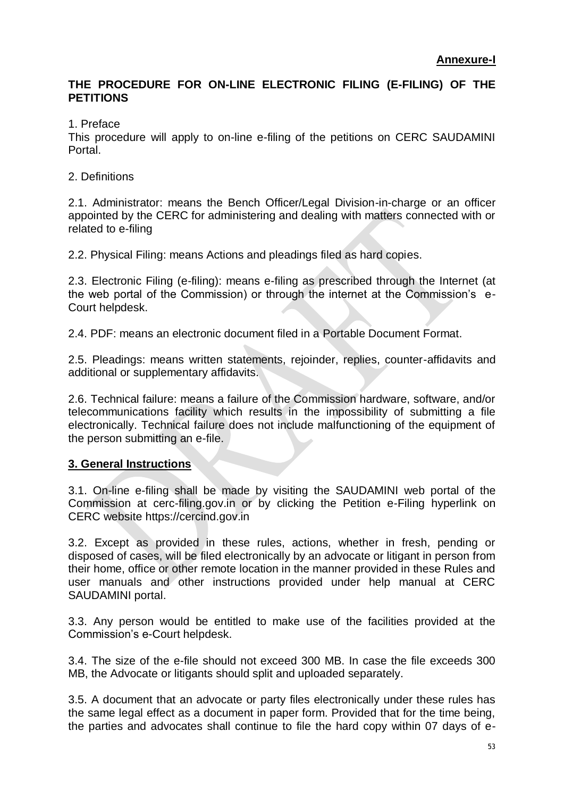## **THE PROCEDURE FOR ON-LINE ELECTRONIC FILING (E-FILING) OF THE PETITIONS**

1. Preface

This procedure will apply to on-line e-filing of the petitions on CERC SAUDAMINI Portal.

2. Definitions

2.1. Administrator: means the Bench Officer/Legal Division-in-charge or an officer appointed by the CERC for administering and dealing with matters connected with or related to e-filing

2.2. Physical Filing: means Actions and pleadings filed as hard copies.

2.3. Electronic Filing (e-filing): means e-filing as prescribed through the Internet (at the web portal of the Commission) or through the internet at the Commission"s e-Court helpdesk.

2.4. PDF: means an electronic document filed in a Portable Document Format.

2.5. Pleadings: means written statements, rejoinder, replies, counter-affidavits and additional or supplementary affidavits.

2.6. Technical failure: means a failure of the Commission hardware, software, and/or telecommunications facility which results in the impossibility of submitting a file electronically. Technical failure does not include malfunctioning of the equipment of the person submitting an e-file.

## **3. General Instructions**

3.1. On-line e-filing shall be made by visiting the SAUDAMINI web portal of the Commission at cerc-filing.gov.in or by clicking the Petition e-Filing hyperlink on CERC website https://cercind.gov.in

3.2. Except as provided in these rules, actions, whether in fresh, pending or disposed of cases, will be filed electronically by an advocate or litigant in person from their home, office or other remote location in the manner provided in these Rules and user manuals and other instructions provided under help manual at CERC SAUDAMINI portal.

3.3. Any person would be entitled to make use of the facilities provided at the Commission"s e-Court helpdesk.

3.4. The size of the e-file should not exceed 300 MB. In case the file exceeds 300 MB, the Advocate or litigants should split and uploaded separately.

3.5. A document that an advocate or party files electronically under these rules has the same legal effect as a document in paper form. Provided that for the time being, the parties and advocates shall continue to file the hard copy within 07 days of e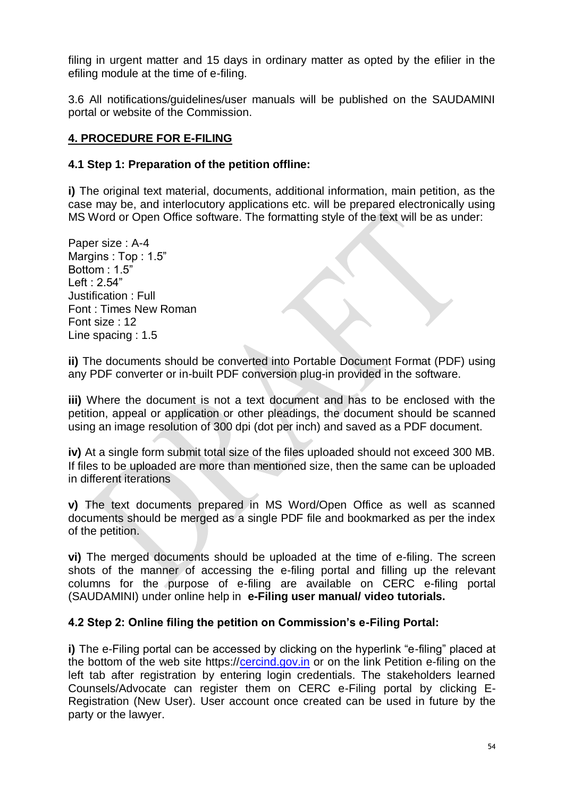filing in urgent matter and 15 days in ordinary matter as opted by the efilier in the efiling module at the time of e-filing.

3.6 All notifications/guidelines/user manuals will be published on the SAUDAMINI portal or website of the Commission.

## **4. PROCEDURE FOR E-FILING**

#### **4.1 Step 1: Preparation of the petition offline:**

**i)** The original text material, documents, additional information, main petition, as the case may be, and interlocutory applications etc. will be prepared electronically using MS Word or Open Office software. The formatting style of the text will be as under:

Paper size : A-4 Margins : Top : 1.5" Bottom : 1.5" Left : 2.54" Justification : Full Font : Times New Roman Font size : 12 Line spacing : 1.5

**ii)** The documents should be converted into Portable Document Format (PDF) using any PDF converter or in-built PDF conversion plug-in provided in the software.

**iii)** Where the document is not a text document and has to be enclosed with the petition, appeal or application or other pleadings, the document should be scanned using an image resolution of 300 dpi (dot per inch) and saved as a PDF document.

**iv)** At a single form submit total size of the files uploaded should not exceed 300 MB. If files to be uploaded are more than mentioned size, then the same can be uploaded in different iterations

**v)** The text documents prepared in MS Word/Open Office as well as scanned documents should be merged as a single PDF file and bookmarked as per the index of the petition.

**vi)** The merged documents should be uploaded at the time of e-filing. The screen shots of the manner of accessing the e-filing portal and filling up the relevant columns for the purpose of e-filing are available on CERC e-filing portal (SAUDAMINI) under online help in **e-Filing user manual/ video tutorials.**

#### **4.2 Step 2: Online filing the petition on Commission's e-Filing Portal:**

**i)** The e-Filing portal can be accessed by clicking on the hyperlink "e-filing" placed at the bottom of the web site https:/[/cercind.gov.in](http://www.cercind.gov.in/) or on the link Petition e-filing on the left tab after registration by entering login credentials. The stakeholders learned Counsels/Advocate can register them on CERC e-Filing portal by clicking E-Registration (New User). User account once created can be used in future by the party or the lawyer.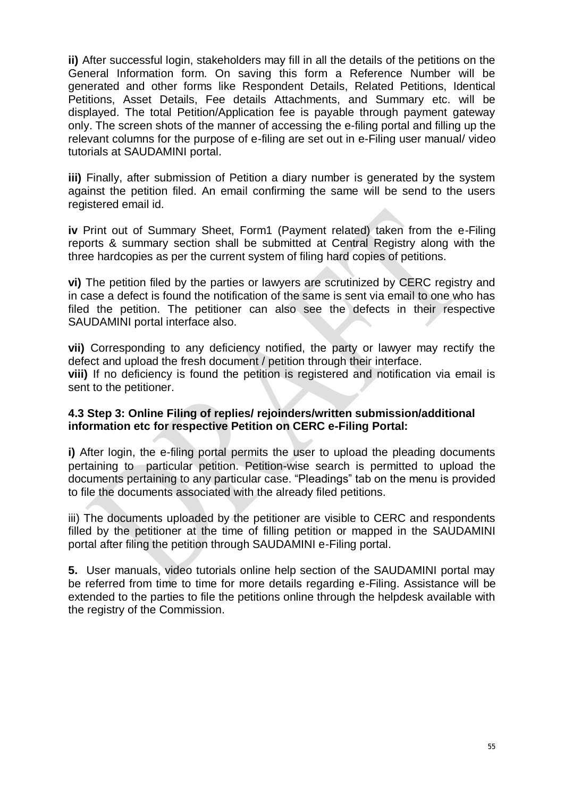**ii)** After successful login, stakeholders may fill in all the details of the petitions on the General Information form. On saving this form a Reference Number will be generated and other forms like Respondent Details, Related Petitions, Identical Petitions, Asset Details, Fee details Attachments, and Summary etc. will be displayed. The total Petition/Application fee is payable through payment gateway only. The screen shots of the manner of accessing the e-filing portal and filling up the relevant columns for the purpose of e-filing are set out in e-Filing user manual/ video tutorials at SAUDAMINI portal.

**iii)** Finally, after submission of Petition a diary number is generated by the system against the petition filed. An email confirming the same will be send to the users registered email id.

**iv** Print out of Summary Sheet, Form1 (Payment related) taken from the e-Filing reports & summary section shall be submitted at Central Registry along with the three hardcopies as per the current system of filing hard copies of petitions.

**vi)** The petition filed by the parties or lawyers are scrutinized by CERC registry and in case a defect is found the notification of the same is sent via email to one who has filed the petition. The petitioner can also see the defects in their respective SAUDAMINI portal interface also.

**vii)** Corresponding to any deficiency notified, the party or lawyer may rectify the defect and upload the fresh document / petition through their interface. **viii)** If no deficiency is found the petition is registered and notification via email is sent to the petitioner.

#### **4.3 Step 3: Online Filing of replies/ rejoinders/written submission/additional information etc for respective Petition on CERC e-Filing Portal:**

**i)** After login, the e-filing portal permits the user to upload the pleading documents pertaining to particular petition. Petition-wise search is permitted to upload the documents pertaining to any particular case. "Pleadings" tab on the menu is provided to file the documents associated with the already filed petitions.

iii) The documents uploaded by the petitioner are visible to CERC and respondents filled by the petitioner at the time of filling petition or mapped in the SAUDAMINI portal after filing the petition through SAUDAMINI e-Filing portal.

**5.** User manuals, video tutorials online help section of the SAUDAMINI portal may be referred from time to time for more details regarding e-Filing. Assistance will be extended to the parties to file the petitions online through the helpdesk available with the registry of the Commission.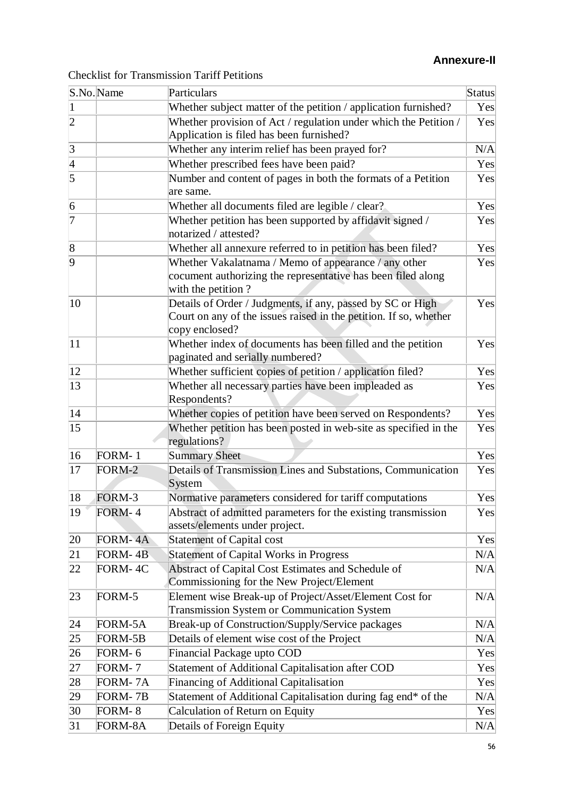# **Annexure-II**

|  |  |  | <b>Checklist for Transmission Tariff Petitions</b> |
|--|--|--|----------------------------------------------------|
|--|--|--|----------------------------------------------------|

|                 | S.No.Name | Particulars                                                                                                                                       | Status          |
|-----------------|-----------|---------------------------------------------------------------------------------------------------------------------------------------------------|-----------------|
| $\vert$ 1       |           | Whether subject matter of the petition / application furnished?                                                                                   | Yes             |
| $\overline{2}$  |           | Whether provision of Act / regulation under which the Petition /<br>Application is filed has been furnished?                                      | Yes             |
| $\vert 3 \vert$ |           | Whether any interim relief has been prayed for?                                                                                                   | N/A             |
|                 |           | Whether prescribed fees have been paid?                                                                                                           | Yes             |
| $\frac{4}{5}$   |           | Number and content of pages in both the formats of a Petition<br>are same.                                                                        | Yes             |
| 6               |           | Whether all documents filed are legible / clear?                                                                                                  | Yes             |
| $\overline{7}$  |           | Whether petition has been supported by affidavit signed /<br>notarized / attested?                                                                | Yes             |
| $\overline{8}$  |           | Whether all annexure referred to in petition has been filed?                                                                                      | Yes             |
| 9               |           | Whether Vakalatnama / Memo of appearance / any other<br>cocument authorizing the representative has been filed along<br>with the petition?        | Yes             |
| 10              |           | Details of Order / Judgments, if any, passed by SC or High<br>Court on any of the issues raised in the petition. If so, whether<br>copy enclosed? | Yes             |
| 11              |           | Whether index of documents has been filled and the petition<br>paginated and serially numbered?                                                   | Yes             |
| 12              |           | Whether sufficient copies of petition / application filed?                                                                                        | Yes             |
| 13              |           | Whether all necessary parties have been impleaded as<br>Respondents?                                                                              | Yes             |
| 14              |           | Whether copies of petition have been served on Respondents?                                                                                       | Yes             |
| 15              |           | Whether petition has been posted in web-site as specified in the<br>regulations?                                                                  | Yes             |
| 16              | FORM-1    | <b>Summary Sheet</b>                                                                                                                              | Yes             |
| 17              | FORM-2    | Details of Transmission Lines and Substations, Communication<br>System                                                                            | Yes             |
| 18              | FORM-3    | Normative parameters considered for tariff computations                                                                                           | Yes             |
| 19              | FORM-4    | Abstract of admitted parameters for the existing transmission<br>assets/elements under project.                                                   | $\mathrm{Yes} $ |
| 20              | FORM-4A   | <b>Statement of Capital cost</b>                                                                                                                  | Yes             |
| 21              | FORM-4B   | <b>Statement of Capital Works in Progress</b>                                                                                                     | N/A             |
| 22              | FORM-4C   | Abstract of Capital Cost Estimates and Schedule of<br>Commissioning for the New Project/Element                                                   | N/A             |
| 23              | FORM-5    | Element wise Break-up of Project/Asset/Element Cost for<br>Transmission System or Communication System                                            | N/A             |
| 24              | FORM-5A   | Break-up of Construction/Supply/Service packages                                                                                                  | N/A             |
| 25              | FORM-5B   | Details of element wise cost of the Project                                                                                                       | N/A             |
| 26              | FORM-6    | <b>Financial Package upto COD</b>                                                                                                                 | Yes             |
| 27              | FORM-7    | Statement of Additional Capitalisation after COD                                                                                                  | Yes             |
| 28              | FORM-7A   | Financing of Additional Capitalisation                                                                                                            | Yes             |
| 29              | FORM-7B   | Statement of Additional Capitalisation during fag end* of the                                                                                     | N/A             |
| 30              | FORM-8    | Calculation of Return on Equity                                                                                                                   | Yes             |
| 31              | FORM-8A   | Details of Foreign Equity                                                                                                                         | N/A             |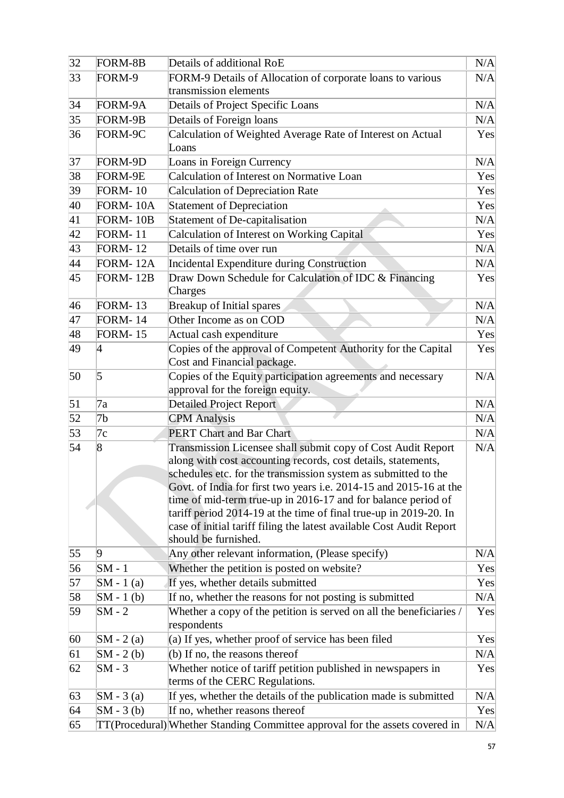| $\overline{32}$ | FORM-8B         | Details of additional RoE                                                                                                           | N/A |
|-----------------|-----------------|-------------------------------------------------------------------------------------------------------------------------------------|-----|
| 33              | FORM-9          | FORM-9 Details of Allocation of corporate loans to various                                                                          | N/A |
|                 |                 | transmission elements                                                                                                               |     |
| 34              | FORM-9A         | Details of Project Specific Loans                                                                                                   | N/A |
| 35              | FORM-9B         | Details of Foreign loans                                                                                                            | N/A |
| 36              | FORM-9C         | Calculation of Weighted Average Rate of Interest on Actual                                                                          | Yes |
|                 |                 | Loans                                                                                                                               |     |
| 37              | FORM-9D         | Loans in Foreign Currency                                                                                                           | N/A |
| 38              | FORM-9E         | Calculation of Interest on Normative Loan                                                                                           | Yes |
| 39              | <b>FORM-10</b>  | <b>Calculation of Depreciation Rate</b>                                                                                             | Yes |
| 40              | FORM-10A        | Statement of Depreciation                                                                                                           | Yes |
| 41              | FORM-10B        | Statement of De-capitalisation                                                                                                      | N/A |
| 42              | <b>FORM-11</b>  | Calculation of Interest on Working Capital                                                                                          | Yes |
| 43              | <b>FORM-12</b>  | Details of time over run                                                                                                            | N/A |
| 44              | <b>FORM-12A</b> | Incidental Expenditure during Construction                                                                                          | N/A |
| 45              | <b>FORM-12B</b> | Draw Down Schedule for Calculation of IDC & Financing<br>Charges                                                                    | Yes |
| 46              | <b>FORM-13</b>  | Breakup of Initial spares                                                                                                           | N/A |
| 47              | <b>FORM-14</b>  | Other Income as on COD                                                                                                              | N/A |
| 48              | <b>FORM-15</b>  | Actual cash expenditure                                                                                                             | Yes |
| 49              | 4               | Copies of the approval of Competent Authority for the Capital                                                                       | Yes |
|                 |                 | Cost and Financial package.                                                                                                         |     |
| 50              | 5               | Copies of the Equity participation agreements and necessary                                                                         | N/A |
|                 |                 | approval for the foreign equity.                                                                                                    |     |
| 51              | 7a              | <b>Detailed Project Report</b>                                                                                                      | N/A |
| 52              | 7b              | <b>CPM</b> Analysis                                                                                                                 | N/A |
| 53              | 7c              | <b>PERT Chart and Bar Chart</b>                                                                                                     | N/A |
| 54              | 8               | Transmission Licensee shall submit copy of Cost Audit Report                                                                        | N/A |
|                 |                 | along with cost accounting records, cost details, statements,                                                                       |     |
|                 |                 | schedules etc. for the transmission system as submitted to the                                                                      |     |
|                 |                 | Govt. of India for first two years i.e. 2014-15 and 2015-16 at the<br>time of mid-term true-up in 2016-17 and for balance period of |     |
|                 |                 | tariff period 2014-19 at the time of final true-up in 2019-20. In                                                                   |     |
|                 |                 | case of initial tariff filing the latest available Cost Audit Report                                                                |     |
|                 |                 | should be furnished.                                                                                                                |     |
| 55              | 9               | Any other relevant information, (Please specify)                                                                                    | N/A |
| 56              | $SM - 1$        | Whether the petition is posted on website?                                                                                          | Yes |
| 57              | $SM - 1$ (a)    | If yes, whether details submitted                                                                                                   | Yes |
| 58              | $SM - 1$ (b)    | If no, whether the reasons for not posting is submitted                                                                             | N/A |
| 59              | $SM - 2$        | Whether a copy of the petition is served on all the beneficiaries /                                                                 | Yes |
|                 |                 | respondents                                                                                                                         |     |
| 60              | $SM - 2(a)$     | (a) If yes, whether proof of service has been filed                                                                                 | Yes |
| 61              | $SM - 2(b)$     | (b) If no, the reasons thereof                                                                                                      | N/A |
| 62              | $SM - 3$        | Whether notice of tariff petition published in newspapers in                                                                        | Yes |
|                 |                 | terms of the CERC Regulations.                                                                                                      |     |
| 63              | $SM - 3(a)$     | If yes, whether the details of the publication made is submitted                                                                    | N/A |
| 64              | $SM - 3(b)$     | If no, whether reasons thereof                                                                                                      | Yes |
| 65              |                 | TT(Procedural) Whether Standing Committee approval for the assets covered in                                                        | N/A |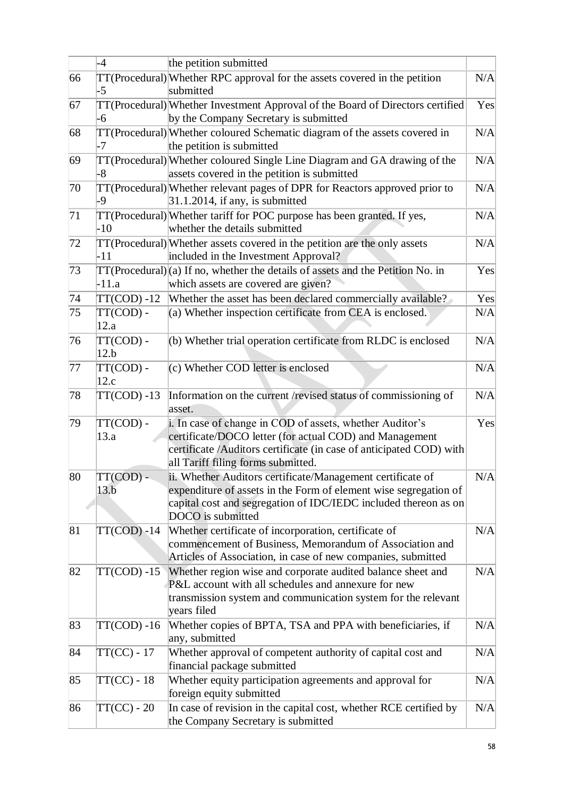|    | $-4$               | the petition submitted                                                                                    |     |
|----|--------------------|-----------------------------------------------------------------------------------------------------------|-----|
| 66 |                    | TT(Procedural) Whether RPC approval for the assets covered in the petition                                | N/A |
|    | -5                 | submitted                                                                                                 |     |
| 67 |                    | TT(Procedural) Whether Investment Approval of the Board of Directors certified                            | Yes |
|    | -6                 | by the Company Secretary is submitted                                                                     |     |
| 68 |                    | TT(Procedural) Whether coloured Schematic diagram of the assets covered in                                | N/A |
|    | -7                 | the petition is submitted                                                                                 |     |
| 69 |                    | TT(Procedural) Whether coloured Single Line Diagram and GA drawing of the                                 | N/A |
|    | $\overline{\bf 8}$ | assets covered in the petition is submitted                                                               |     |
| 70 |                    | TT(Procedural) Whether relevant pages of DPR for Reactors approved prior to                               | N/A |
|    | -9                 | $31.1.2014$ , if any, is submitted                                                                        |     |
| 71 |                    | TT(Procedural) Whether tariff for POC purpose has been granted. If yes,                                   | N/A |
|    | $-10$              | whether the details submitted                                                                             |     |
| 72 |                    | TT(Procedural) Whether assets covered in the petition are the only assets                                 | N/A |
|    | $-11$              | included in the Investment Approval?                                                                      |     |
| 73 |                    | $TT(Procedural)(a)$ If no, whether the details of assets and the Petition No. in                          | Yes |
|    | -11.a              | which assets are covered are given?                                                                       |     |
| 74 | $TT(COD) -12$      | Whether the asset has been declared commercially available?                                               | Yes |
| 75 | TT(COD) -          | (a) Whether inspection certificate from CEA is enclosed.                                                  | N/A |
|    | 12.a               |                                                                                                           |     |
| 76 | TT(COD) -          | (b) Whether trial operation certificate from RLDC is enclosed                                             | N/A |
|    | 12.b               |                                                                                                           |     |
| 77 | TT(COD) -          | (c) Whether COD letter is enclosed                                                                        | N/A |
|    | 12.c               |                                                                                                           |     |
| 78 | $TT(COD) -13$      | Information on the current /revised status of commissioning of                                            | N/A |
|    |                    | asset.                                                                                                    |     |
| 79 | TT(COD) -          | i. In case of change in COD of assets, whether Auditor's                                                  | Yes |
|    | 13.a               | certificate/DOCO letter (for actual COD) and Management                                                   |     |
|    |                    | certificate /Auditors certificate (in case of anticipated COD) with<br>all Tariff filing forms submitted. |     |
| 80 | TT(COD) -          | ii. Whether Auditors certificate/Management certificate of                                                | N/A |
|    | 13.b               | expenditure of assets in the Form of element wise segregation of                                          |     |
|    |                    | capital cost and segregation of IDC/IEDC included thereon as on                                           |     |
|    |                    | DOCO is submitted                                                                                         |     |
| 81 | $TT(COD) -14$      | Whether certificate of incorporation, certificate of                                                      | N/A |
|    |                    | commencement of Business, Memorandum of Association and                                                   |     |
|    |                    | Articles of Association, in case of new companies, submitted                                              |     |
| 82 | $TT(COD) -15$      | Whether region wise and corporate audited balance sheet and                                               | N/A |
|    |                    | P&L account with all schedules and annexure for new                                                       |     |
|    |                    | transmission system and communication system for the relevant                                             |     |
|    |                    | years filed                                                                                               |     |
| 83 | $TT(COD) - 16$     | Whether copies of BPTA, TSA and PPA with beneficiaries, if                                                | N/A |
|    |                    | any, submitted                                                                                            |     |
| 84 | $TT(CC) - 17$      | Whether approval of competent authority of capital cost and                                               | N/A |
|    |                    | financial package submitted                                                                               |     |
| 85 | $TT(CC) - 18$      | Whether equity participation agreements and approval for                                                  | N/A |
|    |                    | foreign equity submitted                                                                                  |     |
| 86 | $TT(CC) - 20$      | In case of revision in the capital cost, whether RCE certified by                                         | N/A |
|    |                    | the Company Secretary is submitted                                                                        |     |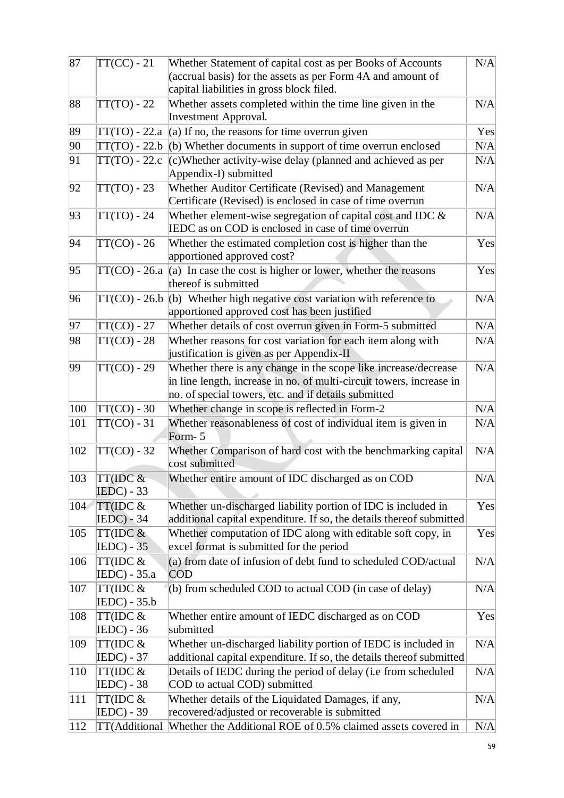| 87  | $TT(CC) - 21$            | Whether Statement of capital cost as per Books of Accounts                                               | N/A |
|-----|--------------------------|----------------------------------------------------------------------------------------------------------|-----|
|     |                          | (accrual basis) for the assets as per Form 4A and amount of                                              |     |
|     |                          | capital liabilities in gross block filed.                                                                |     |
| 88  | $TT(TO) - 22$            | Whether assets completed within the time line given in the                                               | N/A |
|     |                          | <b>Investment Approval.</b>                                                                              |     |
| 89  | TT(TO) - 22.a            | (a) If no, the reasons for time overrun given                                                            | Yes |
| 90  | $TT(TO) - 22.b$          | $(b)$ Whether documents in support of time overrun enclosed                                              | N/A |
| 91  | $TT(TO) - 22.c$          | $(c)$ Whether activity-wise delay (planned and achieved as per<br>Appendix-I) submitted                  | N/A |
| 92  | $TT(TO) - 23$            | Whether Auditor Certificate (Revised) and Management                                                     | N/A |
|     |                          | Certificate (Revised) is enclosed in case of time overrun                                                |     |
| 93  | $TT(TO) - 24$            | Whether element-wise segregation of capital cost and IDC $\&$                                            | N/A |
|     |                          | IEDC as on COD is enclosed in case of time overrun                                                       |     |
| 94  | $TT(CO) - 26$            | Whether the estimated completion cost is higher than the                                                 | Yes |
|     |                          | apportioned approved cost?                                                                               |     |
| 95  | TT(CO) - 26.a            | (a) In case the cost is higher or lower, whether the reasons                                             | Yes |
|     |                          | thereof is submitted                                                                                     |     |
| 96  | $TT(CO) - 26.b$          | $(b)$ Whether high negative cost variation with reference to                                             | N/A |
|     |                          | apportioned approved cost has been justified                                                             |     |
| 97  | $TT(CO) - 27$            | Whether details of cost overrun given in Form-5 submitted                                                | N/A |
| 98  | $TT(CO) - 28$            | Whether reasons for cost variation for each item along with<br>justification is given as per Appendix-II | N/A |
| 99  | $TT(CO) - 29$            | Whether there is any change in the scope like increase/decrease                                          | N/A |
|     |                          | in line length, increase in no. of multi-circuit towers, increase in                                     |     |
|     |                          | no. of special towers, etc. and if details submitted                                                     |     |
| 100 | $TT(CO) - 30$            | Whether change in scope is reflected in Form-2                                                           | N/A |
| 101 | $TT(CO) - 31$            | Whether reasonableness of cost of individual item is given in                                            | N/A |
|     |                          | Form-5                                                                                                   |     |
| 102 | $TT(CO) - 32$            | Whether Comparison of hard cost with the benchmarking capital                                            | N/A |
|     |                          | cost submitted                                                                                           |     |
| 103 | TT(IDC &                 | Whether entire amount of IDC discharged as on COD                                                        | N/A |
|     | $IEDC - 33$              |                                                                                                          |     |
| 104 | TT(IDC &                 | Whether un-discharged liability portion of IDC is included in                                            | Yes |
|     | $IEDC) - 34$             | additional capital expenditure. If so, the details thereof submitted                                     |     |
| 105 | TT(IDC &                 | Whether computation of IDC along with editable soft copy, in                                             | Yes |
|     | $IEDC - 35$              | excel format is submitted for the period                                                                 |     |
| 106 | TT(IDC &<br>IEDC) - 35.a | (a) from date of infusion of debt fund to scheduled COD/actual<br><b>COD</b>                             | N/A |
| 107 | TT(IDC &                 | (b) from scheduled COD to actual COD (in case of delay)                                                  | N/A |
|     | $ IEDC - 35.b $          |                                                                                                          |     |
| 108 | TT(IDC &                 | Whether entire amount of IEDC discharged as on COD                                                       | Yes |
|     | <b>IEDC</b> ) - 36       | submitted                                                                                                |     |
| 109 | TT(IDC &                 | Whether un-discharged liability portion of IEDC is included in                                           | N/A |
|     | $ EDC - 37$              | additional capital expenditure. If so, the details thereof submitted                                     |     |
| 110 | TT(IDC &                 | Details of IEDC during the period of delay (i.e from scheduled                                           | N/A |
|     | $IEDC - 38$              | COD to actual COD) submitted                                                                             |     |
| 111 | TT(IDC &                 | Whether details of the Liquidated Damages, if any,                                                       | N/A |
|     | IEDC) - 39               | recovered/adjusted or recoverable is submitted                                                           |     |
| 112 | TT(Additional            | Whether the Additional ROE of 0.5% claimed assets covered in                                             | N/A |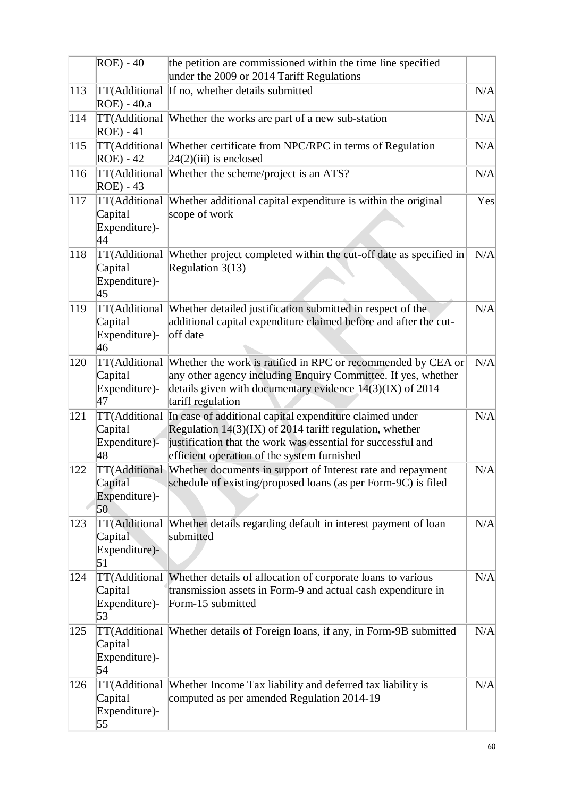|     | $ROE - 40$                                      | the petition are commissioned within the time line specified<br>under the 2009 or 2014 Tariff Regulations                                                                                                                           |     |
|-----|-------------------------------------------------|-------------------------------------------------------------------------------------------------------------------------------------------------------------------------------------------------------------------------------------|-----|
| 113 | ROE) - 40.a                                     | TT(Additional If no, whether details submitted                                                                                                                                                                                      | N/A |
| 114 | TT(Additional<br><b>ROE</b> ) - 41              | Whether the works are part of a new sub-station                                                                                                                                                                                     | N/A |
| 115 | TT(Additional<br>$ROE - 42$                     | Whether certificate from NPC/RPC in terms of Regulation<br>$24(2)$ (iii) is enclosed                                                                                                                                                | N/A |
| 116 | TT(Additional<br>$ROE) - 43$                    | Whether the scheme/project is an ATS?                                                                                                                                                                                               | N/A |
| 117 | TT(Additional<br>Capital<br>Expenditure)-<br>44 | Whether additional capital expenditure is within the original<br>scope of work                                                                                                                                                      | Yes |
| 118 | TT(Additional<br>Capital<br>Expenditure)-<br>45 | Whether project completed within the cut-off date as specified in<br>Regulation $3(13)$                                                                                                                                             | N/A |
| 119 | TT(Additional<br>Capital<br>Expenditure)-<br>46 | Whether detailed justification submitted in respect of the<br>additional capital expenditure claimed before and after the cut-<br>off date                                                                                          | N/A |
| 120 | Capital<br>Expenditure)-<br>47                  | TT(Additional Whether the work is ratified in RPC or recommended by CEA or<br>any other agency including Enquiry Committee. If yes, whether<br>details given with documentary evidence $14(3)(IX)$ of 2014<br>tariff regulation     | N/A |
| 121 | TT(Additional<br>Capital<br>Expenditure)-<br>48 | In case of additional capital expenditure claimed under<br>Regulation $14(3)(IX)$ of 2014 tariff regulation, whether<br>justification that the work was essential for successful and<br>efficient operation of the system furnished | N/A |
| 122 | Capital<br>Expenditure)-<br>50                  | TT(Additional Whether documents in support of Interest rate and repayment<br>schedule of existing/proposed loans (as per Form-9C) is filed                                                                                          | N/A |
| 123 | TT(Additional<br>Capital<br>Expenditure)-<br>51 | Whether details regarding default in interest payment of loan<br>submitted                                                                                                                                                          | N/A |
| 124 | TT(Additional<br>Capital<br>Expenditure)-<br>53 | Whether details of allocation of corporate loans to various<br>transmission assets in Form-9 and actual cash expenditure in<br>Form-15 submitted                                                                                    | N/A |
| 125 | Capital<br>Expenditure)-<br>54                  | TT(Additional Whether details of Foreign loans, if any, in Form-9B submitted                                                                                                                                                        | N/A |
| 126 | Capital<br>Expenditure)-<br>55                  | TT(Additional  Whether Income Tax liability and deferred tax liability is<br>computed as per amended Regulation 2014-19                                                                                                             | N/A |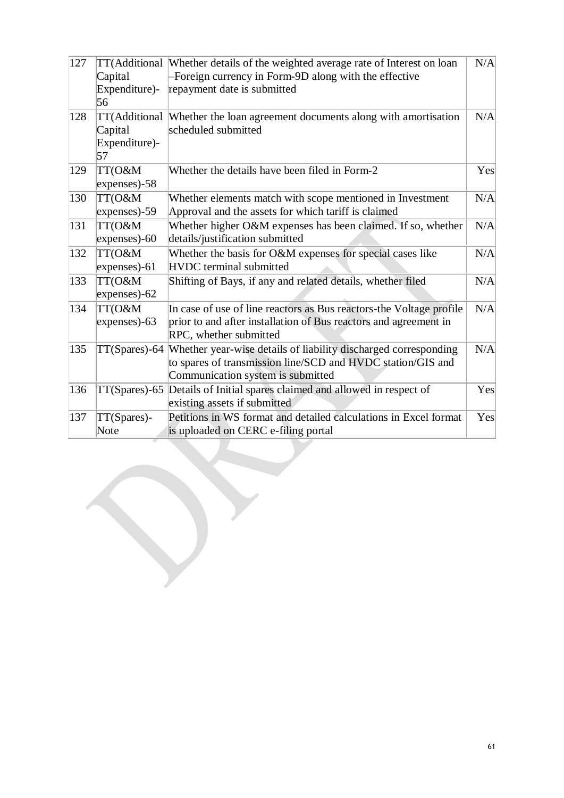| 127 | Capital<br>Expenditure)-<br>56 | TT(Additional Whether details of the weighted average rate of Interest on loan<br>Foreign currency in Form-9D along with the effective<br>repayment date is submitted | N/A |
|-----|--------------------------------|-----------------------------------------------------------------------------------------------------------------------------------------------------------------------|-----|
| 128 | Capital<br>Expenditure)-<br>57 | TT(Additional Whether the loan agreement documents along with amortisation<br>scheduled submitted                                                                     | N/A |
| 129 | TT(O&M<br>expenses)-58         | Whether the details have been filed in Form-2                                                                                                                         | Yes |
| 130 | TT(O&M<br>expenses)-59         | Whether elements match with scope mentioned in Investment<br>Approval and the assets for which tariff is claimed                                                      | N/A |
| 131 | TT(O&M<br>expenses)-60         | Whether higher O&M expenses has been claimed. If so, whether<br>details/justification submitted                                                                       | N/A |
| 132 | TT(O&M<br>expenses)-61         | Whether the basis for O&M expenses for special cases like<br><b>HVDC</b> terminal submitted                                                                           | N/A |
| 133 | TT(O&M<br>expenses)-62         | Shifting of Bays, if any and related details, whether filed                                                                                                           | N/A |
| 134 | TT(O&M<br>expenses)-63         | In case of use of line reactors as Bus reactors-the Voltage profile<br>prior to and after installation of Bus reactors and agreement in<br>RPC, whether submitted     | N/A |
| 135 | TT(Spares)-64                  | Whether year-wise details of liability discharged corresponding<br>to spares of transmission line/SCD and HVDC station/GIS and<br>Communication system is submitted   | N/A |
| 136 | $TT(Sparses) - 65$             | Details of Initial spares claimed and allowed in respect of<br>existing assets if submitted                                                                           | Yes |
| 137 | TT(Spares)-<br>Note            | Petitions in WS format and detailed calculations in Excel format<br>is uploaded on CERC e-filing portal                                                               | Yes |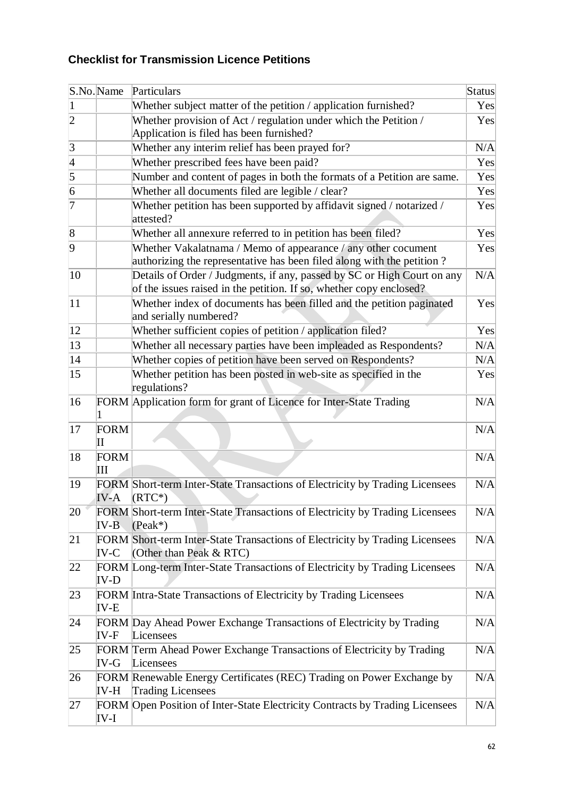# **Checklist for Transmission Licence Petitions**

|                 | S.No.Name                         | Particulars                                                                                                                                    | Status |
|-----------------|-----------------------------------|------------------------------------------------------------------------------------------------------------------------------------------------|--------|
| $\vert$         |                                   | Whether subject matter of the petition / application furnished?                                                                                | Yes    |
| $\overline{2}$  |                                   | Whether provision of Act / regulation under which the Petition /                                                                               | Yes    |
|                 |                                   | Application is filed has been furnished?                                                                                                       |        |
| $\vert 3 \vert$ |                                   | Whether any interim relief has been prayed for?                                                                                                | N/A    |
| $\frac{4}{5}$   |                                   | Whether prescribed fees have been paid?                                                                                                        | Yes    |
|                 |                                   | Number and content of pages in both the formats of a Petition are same.                                                                        | Yes    |
| $\overline{6}$  |                                   | Whether all documents filed are legible / clear?                                                                                               | Yes    |
| 7               |                                   | Whether petition has been supported by affidavit signed / notarized /<br>attested?                                                             | Yes    |
| $\vert 8$       |                                   | Whether all annexure referred to in petition has been filed?                                                                                   | Yes    |
| 9               |                                   | Whether Vakalatnama / Memo of appearance / any other cocument<br>authorizing the representative has been filed along with the petition?        | Yes    |
| 10              |                                   | Details of Order / Judgments, if any, passed by SC or High Court on any<br>of the issues raised in the petition. If so, whether copy enclosed? | N/A    |
| 11              |                                   | Whether index of documents has been filled and the petition paginated<br>and serially numbered?                                                | Yes    |
| 12              |                                   | Whether sufficient copies of petition / application filed?                                                                                     | Yes    |
| 13              |                                   | Whether all necessary parties have been impleaded as Respondents?                                                                              | N/A    |
| 14              |                                   | Whether copies of petition have been served on Respondents?                                                                                    | N/A    |
| 15              |                                   | Whether petition has been posted in web-site as specified in the<br>regulations?                                                               | Yes    |
| 16              |                                   | FORM Application form for grant of Licence for Inter-State Trading                                                                             | N/A    |
| 17              | <b>FORM</b><br>$\rm II$           |                                                                                                                                                | N/A    |
| 18              | <b>FORM</b><br>$\mathop{\rm III}$ |                                                                                                                                                | N/A    |
| 19              | <b>IV-A</b>                       | FORM Short-term Inter-State Transactions of Electricity by Trading Licensees<br>$(RTC^*)$                                                      | N/A    |
| 20              | IV-B                              | FORM Short-term Inter-State Transactions of Electricity by Trading Licensees<br>$(Peak^*)$                                                     | N/A    |
| 21              | $IV-C$                            | FORM Short-term Inter-State Transactions of Electricity by Trading Licensees<br>(Other than Peak & RTC)                                        | N/A    |
| 22              | IV-D                              | FORM Long-term Inter-State Transactions of Electricity by Trading Licensees                                                                    | N/A    |
| 23              | IV-E                              | FORM Intra-State Transactions of Electricity by Trading Licensees                                                                              | N/A    |
| 24              | IV-F                              | FORM Day Ahead Power Exchange Transactions of Electricity by Trading<br>Licensees                                                              | N/A    |
| 25              | IV-G                              | FORM Term Ahead Power Exchange Transactions of Electricity by Trading<br>Licensees                                                             | N/A    |
| 26              | IV-H                              | FORM Renewable Energy Certificates (REC) Trading on Power Exchange by<br><b>Trading Licensees</b>                                              | N/A    |
| 27              | IV-I                              | FORM Open Position of Inter-State Electricity Contracts by Trading Licensees                                                                   | N/A    |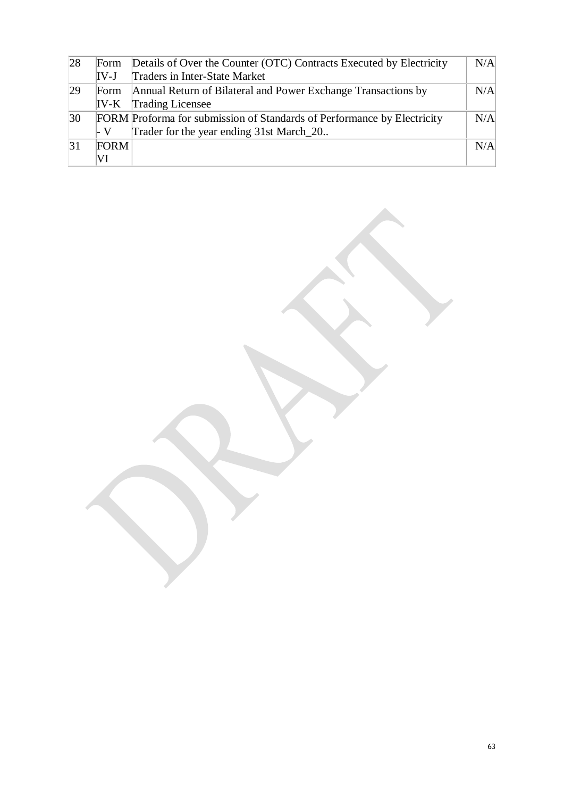| 28           | Form   | Details of Over the Counter (OTC) Contracts Executed by Electricity     | N/A |
|--------------|--------|-------------------------------------------------------------------------|-----|
|              | $IV-J$ | Traders in Inter-State Market                                           |     |
| 29           | Form   | Annual Return of Bilateral and Power Exchange Transactions by           | N/A |
|              | $IV-K$ | <b>Trading Licensee</b>                                                 |     |
| $ 30\rangle$ |        | FORM Proforma for submission of Standards of Performance by Electricity | N/A |
|              | ⊦ V    | Trader for the year ending 31st March 20                                |     |
| 31           | FORM   |                                                                         | N/A |
|              | VI     |                                                                         |     |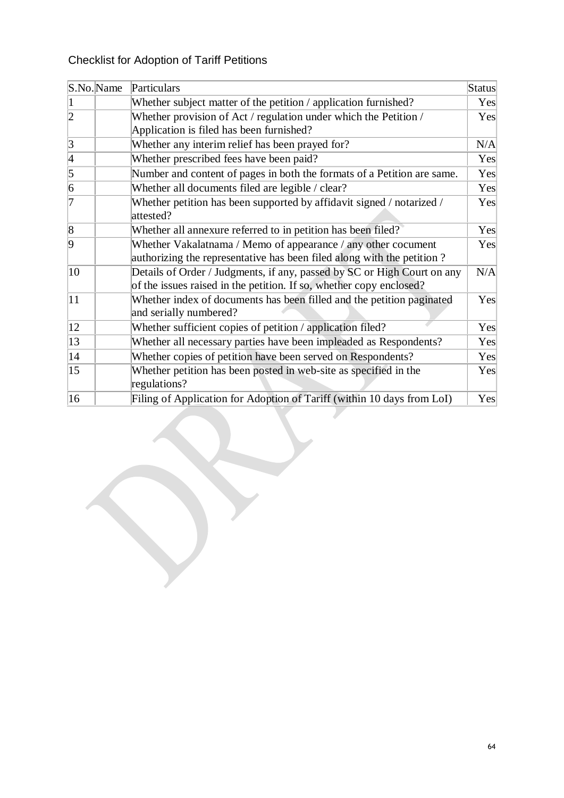# Checklist for Adoption of Tariff Petitions

| S.No. Name     | Particulars                                                                                                                                    | Status |
|----------------|------------------------------------------------------------------------------------------------------------------------------------------------|--------|
|                | Whether subject matter of the petition / application furnished?                                                                                | Yes    |
| $\overline{2}$ | Whether provision of Act / regulation under which the Petition /<br>Application is filed has been furnished?                                   | Yes    |
| $\vert$ 3      | Whether any interim relief has been prayed for?                                                                                                | N/A    |
| $\vert 4$      | Whether prescribed fees have been paid?                                                                                                        | Yes    |
| $\overline{5}$ | Number and content of pages in both the formats of a Petition are same.                                                                        | Yes    |
| $\overline{6}$ | Whether all documents filed are legible / clear?                                                                                               | Yes    |
| 7              | Whether petition has been supported by affidavit signed / notarized /<br>attested?                                                             | Yes    |
| $\overline{8}$ | Whether all annexure referred to in petition has been filed?                                                                                   | Yes    |
| $\overline{9}$ | Whether Vakalatnama / Memo of appearance / any other cocument<br>authorizing the representative has been filed along with the petition?        | Yes    |
| 10             | Details of Order / Judgments, if any, passed by SC or High Court on any<br>of the issues raised in the petition. If so, whether copy enclosed? | N/A    |
| 11             | Whether index of documents has been filled and the petition paginated<br>and serially numbered?                                                | Yes    |
| 12             | Whether sufficient copies of petition / application filed?                                                                                     | Yes    |
| 13             | Whether all necessary parties have been impleaded as Respondents?                                                                              | Yes    |
| 14             | Whether copies of petition have been served on Respondents?                                                                                    | Yes    |
| 15             | Whether petition has been posted in web-site as specified in the<br>regulations?                                                               | Yes    |
| 16             | Filing of Application for Adoption of Tariff (within 10 days from LoI)                                                                         | Yes    |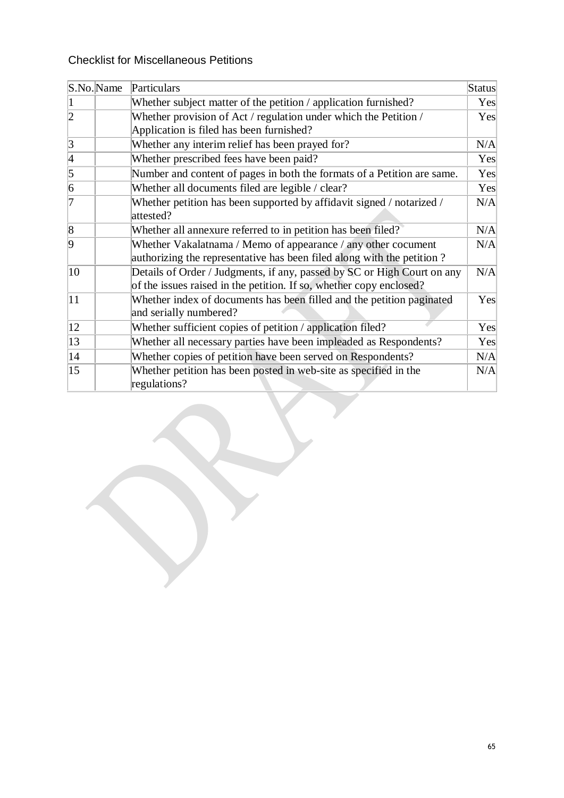# Checklist for Miscellaneous Petitions

| S.No.Name       | Particulars                                                                                                                                    | Status |
|-----------------|------------------------------------------------------------------------------------------------------------------------------------------------|--------|
|                 | Whether subject matter of the petition / application furnished?                                                                                | Yes    |
| $\overline{2}$  | Whether provision of Act / regulation under which the Petition /<br>Application is filed has been furnished?                                   | Yes    |
| $\vert 3 \vert$ | Whether any interim relief has been prayed for?                                                                                                | N/A    |
| $\vert 4$       | Whether prescribed fees have been paid?                                                                                                        | Yes    |
| $\overline{5}$  | Number and content of pages in both the formats of a Petition are same.                                                                        | Yes    |
| $\overline{6}$  | Whether all documents filed are legible / clear?                                                                                               | Yes    |
| 7               | Whether petition has been supported by affidavit signed / notarized /<br>attested?                                                             | N/A    |
| $\overline{8}$  | Whether all annexure referred to in petition has been filed?                                                                                   | N/A    |
| $\overline{9}$  | Whether Vakalatnama / Memo of appearance / any other cocument<br>authorizing the representative has been filed along with the petition?        | N/A    |
| 10              | Details of Order / Judgments, if any, passed by SC or High Court on any<br>of the issues raised in the petition. If so, whether copy enclosed? | N/A    |
| 11              | Whether index of documents has been filled and the petition paginated<br>and serially numbered?                                                | Yes    |
| 12              | Whether sufficient copies of petition / application filed?                                                                                     | Yes    |
| 13              | Whether all necessary parties have been impleaded as Respondents?                                                                              | Yes    |
| 14              | Whether copies of petition have been served on Respondents?                                                                                    | N/A    |
| 15              | Whether petition has been posted in web-site as specified in the<br>regulations?                                                               | N/A    |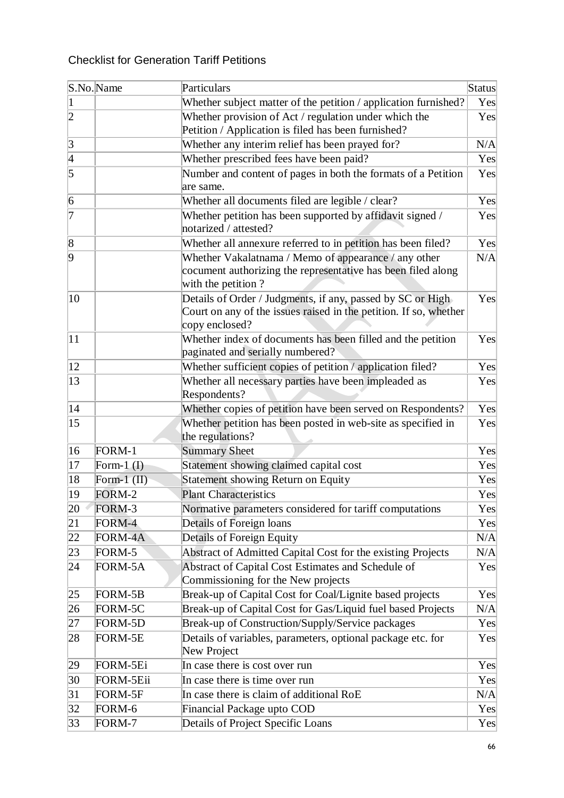# Checklist for Generation Tariff Petitions

|                 | S.No.Name      | Particulars                                                                                                                                       | Status |
|-----------------|----------------|---------------------------------------------------------------------------------------------------------------------------------------------------|--------|
| $\mathbf{1}$    |                | Whether subject matter of the petition / application furnished?                                                                                   | Yes    |
| $\overline{2}$  |                | Whether provision of Act / regulation under which the                                                                                             | Yes    |
|                 |                | Petition / Application is filed has been furnished?                                                                                               |        |
| $\vert 3 \vert$ |                | Whether any interim relief has been prayed for?                                                                                                   | N/A    |
| $\frac{4}{5}$   |                | Whether prescribed fees have been paid?                                                                                                           | Yes    |
|                 |                | Number and content of pages in both the formats of a Petition<br>are same.                                                                        | Yes    |
| 6               |                | Whether all documents filed are legible / clear?                                                                                                  | Yes    |
| 7               |                | Whether petition has been supported by affidavit signed /<br>notarized / attested?                                                                | Yes    |
| $\sqrt{8}$      |                | Whether all annexure referred to in petition has been filed?                                                                                      | Yes    |
| $\overline{9}$  |                | Whether Vakalatnama / Memo of appearance / any other<br>cocument authorizing the representative has been filed along<br>with the petition?        | N/A    |
| 10              |                | Details of Order / Judgments, if any, passed by SC or High<br>Court on any of the issues raised in the petition. If so, whether<br>copy enclosed? | Yes    |
| 11              |                | Whether index of documents has been filled and the petition<br>paginated and serially numbered?                                                   | Yes    |
| 12              |                | Whether sufficient copies of petition / application filed?                                                                                        | Yes    |
| 13              |                | Whether all necessary parties have been impleaded as<br>Respondents?                                                                              | Yes    |
| 14              |                | Whether copies of petition have been served on Respondents?                                                                                       | Yes    |
| 15              |                | Whether petition has been posted in web-site as specified in<br>the regulations?                                                                  | Yes    |
| 16              | FORM-1         | <b>Summary Sheet</b>                                                                                                                              | Yes    |
| 17              | Form- $1(I)$   | Statement showing claimed capital cost                                                                                                            | Yes    |
| 18              | Form- $1$ (II) | <b>Statement showing Return on Equity</b>                                                                                                         | Yes    |
| 19              | FORM-2         | <b>Plant Characteristics</b>                                                                                                                      | Yes    |
| 20              | FORM-3         | Normative parameters considered for tariff computations                                                                                           | Yes    |
| 21              | FORM-4         | Details of Foreign loans                                                                                                                          | Yes    |
| 22              | FORM-4A        | Details of Foreign Equity                                                                                                                         | N/A    |
| 23              | FORM-5         | Abstract of Admitted Capital Cost for the existing Projects                                                                                       | N/A    |
| 24              | FORM-5A        | Abstract of Capital Cost Estimates and Schedule of<br>Commissioning for the New projects                                                          | Yes    |
| 25              | FORM-5B        | Break-up of Capital Cost for Coal/Lignite based projects                                                                                          | Yes    |
| 26              | FORM-5C        | Break-up of Capital Cost for Gas/Liquid fuel based Projects                                                                                       | N/A    |
| 27              | FORM-5D        | Break-up of Construction/Supply/Service packages                                                                                                  | Yes    |
| 28              | FORM-5E        | Details of variables, parameters, optional package etc. for<br>New Project                                                                        | Yes    |
| 29              | FORM-5Ei       | In case there is cost over run                                                                                                                    | Yes    |
| 30              | FORM-5Eii      | In case there is time over run                                                                                                                    | Yes    |
| 31              | FORM-5F        | In case there is claim of additional RoE                                                                                                          | N/A    |
| 32              | FORM-6         | Financial Package upto COD                                                                                                                        | Yes    |
| 33              | FORM-7         | Details of Project Specific Loans                                                                                                                 | Yes    |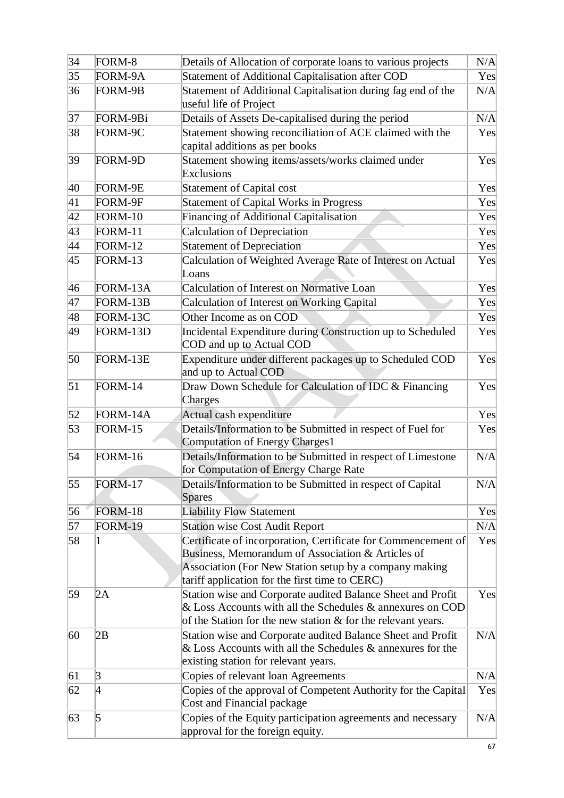| 34 | FORM-8         | Details of Allocation of corporate loans to various projects                                                                                                                                                                   | N/A |
|----|----------------|--------------------------------------------------------------------------------------------------------------------------------------------------------------------------------------------------------------------------------|-----|
| 35 | FORM-9A        | Statement of Additional Capitalisation after COD                                                                                                                                                                               | Yes |
| 36 | FORM-9B        | Statement of Additional Capitalisation during fag end of the<br>useful life of Project                                                                                                                                         | N/A |
| 37 | FORM-9Bi       | Details of Assets De-capitalised during the period                                                                                                                                                                             | N/A |
| 38 | FORM-9C        | Statement showing reconciliation of ACE claimed with the<br>capital additions as per books                                                                                                                                     | Yes |
| 39 | FORM-9D        | Statement showing items/assets/works claimed under<br><b>Exclusions</b>                                                                                                                                                        | Yes |
| 40 | FORM-9E        | <b>Statement of Capital cost</b>                                                                                                                                                                                               | Yes |
| 41 | FORM-9F        | <b>Statement of Capital Works in Progress</b>                                                                                                                                                                                  | Yes |
| 42 | FORM-10        | Financing of Additional Capitalisation                                                                                                                                                                                         | Yes |
| 43 | <b>FORM-11</b> | Calculation of Depreciation                                                                                                                                                                                                    | Yes |
| 44 | FORM-12        | <b>Statement of Depreciation</b>                                                                                                                                                                                               | Yes |
| 45 | FORM-13        | Calculation of Weighted Average Rate of Interest on Actual<br>Loans                                                                                                                                                            | Yes |
| 46 | FORM-13A       | Calculation of Interest on Normative Loan                                                                                                                                                                                      | Yes |
| 47 | FORM-13B       | <b>Calculation of Interest on Working Capital</b>                                                                                                                                                                              | Yes |
| 48 | FORM-13C       | Other Income as on COD                                                                                                                                                                                                         | Yes |
| 49 | FORM-13D       | Incidental Expenditure during Construction up to Scheduled<br>COD and up to Actual COD                                                                                                                                         | Yes |
| 50 | FORM-13E       | Expenditure under different packages up to Scheduled COD<br>and up to Actual COD                                                                                                                                               | Yes |
| 51 | FORM-14        | Draw Down Schedule for Calculation of IDC & Financing<br>Charges                                                                                                                                                               | Yes |
| 52 | FORM-14A       | Actual cash expenditure                                                                                                                                                                                                        | Yes |
| 53 | <b>FORM-15</b> | Details/Information to be Submitted in respect of Fuel for<br>Computation of Energy Charges1                                                                                                                                   | Yes |
| 54 | FORM-16        | Details/Information to be Submitted in respect of Limestone<br>for Computation of Energy Charge Rate                                                                                                                           | N/A |
| 55 | FORM-17        | Details/Information to be Submitted in respect of Capital<br><b>Spares</b>                                                                                                                                                     | N/A |
| 56 | <b>FORM-18</b> | <b>Liability Flow Statement</b>                                                                                                                                                                                                | Yes |
| 57 | <b>FORM-19</b> | <b>Station wise Cost Audit Report</b>                                                                                                                                                                                          | N/A |
| 58 |                | Certificate of incorporation, Certificate for Commencement of<br>Business, Memorandum of Association & Articles of<br>Association (For New Station setup by a company making<br>tariff application for the first time to CERC) | Yes |
| 59 | 2A             | Station wise and Corporate audited Balance Sheet and Profit<br>& Loss Accounts with all the Schedules & annexures on COD<br>of the Station for the new station & for the relevant years.                                       | Yes |
| 60 | 2B             | Station wise and Corporate audited Balance Sheet and Profit<br>$\&$ Loss Accounts with all the Schedules $\&$ annexures for the<br>existing station for relevant years.                                                        | N/A |
| 61 | 3              | Copies of relevant loan Agreements                                                                                                                                                                                             | N/A |
| 62 | 4              | Copies of the approval of Competent Authority for the Capital<br>Cost and Financial package                                                                                                                                    | Yes |
| 63 | 5              | Copies of the Equity participation agreements and necessary<br>approval for the foreign equity.                                                                                                                                | N/A |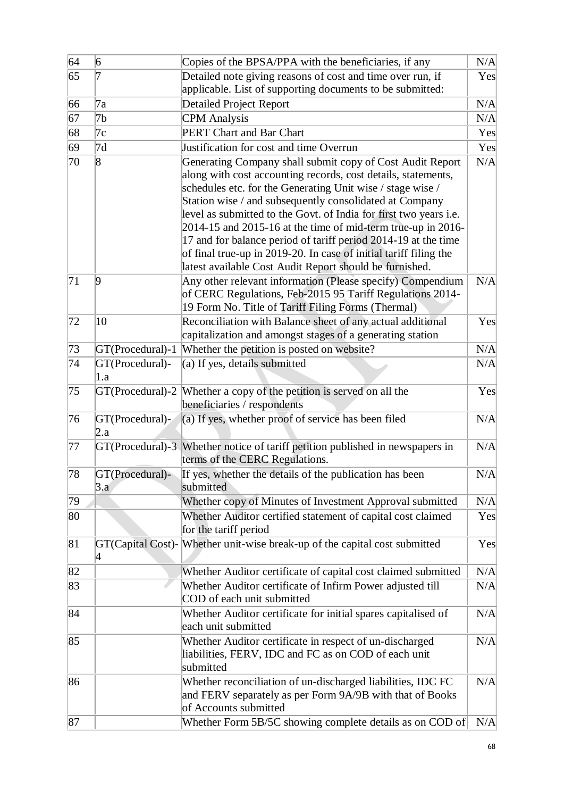| 64 | $\vert 6 \vert$        | Copies of the BPSA/PPA with the beneficiaries, if any                                                                                                                                                                                                                                                                                                                                                                                                                                                                                                                                            | N/A |
|----|------------------------|--------------------------------------------------------------------------------------------------------------------------------------------------------------------------------------------------------------------------------------------------------------------------------------------------------------------------------------------------------------------------------------------------------------------------------------------------------------------------------------------------------------------------------------------------------------------------------------------------|-----|
| 65 | 7                      | Detailed note giving reasons of cost and time over run, if                                                                                                                                                                                                                                                                                                                                                                                                                                                                                                                                       | Yes |
|    |                        | applicable. List of supporting documents to be submitted:                                                                                                                                                                                                                                                                                                                                                                                                                                                                                                                                        |     |
| 66 | 7a                     | <b>Detailed Project Report</b>                                                                                                                                                                                                                                                                                                                                                                                                                                                                                                                                                                   | N/A |
| 67 | 7b                     | <b>CPM</b> Analysis                                                                                                                                                                                                                                                                                                                                                                                                                                                                                                                                                                              | N/A |
| 68 | 7c                     | PERT Chart and Bar Chart                                                                                                                                                                                                                                                                                                                                                                                                                                                                                                                                                                         | Yes |
| 69 | 7d                     | Justification for cost and time Overrun                                                                                                                                                                                                                                                                                                                                                                                                                                                                                                                                                          | Yes |
| 70 | 8                      | Generating Company shall submit copy of Cost Audit Report<br>along with cost accounting records, cost details, statements,<br>schedules etc. for the Generating Unit wise / stage wise /<br>Station wise / and subsequently consolidated at Company<br>level as submitted to the Govt. of India for first two years i.e.<br>$2014-15$ and $2015-16$ at the time of mid-term true-up in $2016-$<br>17 and for balance period of tariff period 2014-19 at the time<br>of final true-up in 2019-20. In case of initial tariff filing the<br>latest available Cost Audit Report should be furnished. | N/A |
| 71 | 9                      | Any other relevant information (Please specify) Compendium<br>of CERC Regulations, Feb-2015 95 Tariff Regulations 2014-<br>19 Form No. Title of Tariff Filing Forms (Thermal)                                                                                                                                                                                                                                                                                                                                                                                                                    | N/A |
| 72 | 10                     | Reconciliation with Balance sheet of any actual additional<br>capitalization and amongst stages of a generating station                                                                                                                                                                                                                                                                                                                                                                                                                                                                          | Yes |
| 73 | GT(Procedural)-1       | Whether the petition is posted on website?                                                                                                                                                                                                                                                                                                                                                                                                                                                                                                                                                       | N/A |
| 74 | GT(Procedural)-<br>1.a | (a) If yes, details submitted                                                                                                                                                                                                                                                                                                                                                                                                                                                                                                                                                                    | N/A |
| 75 |                        | GT(Procedural)-2 Whether a copy of the petition is served on all the<br>beneficiaries / respondents                                                                                                                                                                                                                                                                                                                                                                                                                                                                                              | Yes |
| 76 | GT(Procedural)-<br>2.a | (a) If yes, whether proof of service has been filed                                                                                                                                                                                                                                                                                                                                                                                                                                                                                                                                              | N/A |
| 77 |                        | GT(Procedural)-3 Whether notice of tariff petition published in newspapers in<br>terms of the CERC Regulations.                                                                                                                                                                                                                                                                                                                                                                                                                                                                                  | N/A |
| 78 | GT(Procedural)-<br>3.a | If yes, whether the details of the publication has been<br>submitted                                                                                                                                                                                                                                                                                                                                                                                                                                                                                                                             | N/A |
| 79 |                        | Whether copy of Minutes of Investment Approval submitted                                                                                                                                                                                                                                                                                                                                                                                                                                                                                                                                         | N/A |
| 80 |                        | Whether Auditor certified statement of capital cost claimed<br>for the tariff period                                                                                                                                                                                                                                                                                                                                                                                                                                                                                                             | Yes |
| 81 | 4                      | GT(Capital Cost)- Whether unit-wise break-up of the capital cost submitted                                                                                                                                                                                                                                                                                                                                                                                                                                                                                                                       | Yes |
| 82 |                        | Whether Auditor certificate of capital cost claimed submitted                                                                                                                                                                                                                                                                                                                                                                                                                                                                                                                                    | N/A |
| 83 |                        | Whether Auditor certificate of Infirm Power adjusted till<br>COD of each unit submitted                                                                                                                                                                                                                                                                                                                                                                                                                                                                                                          | N/A |
| 84 |                        | Whether Auditor certificate for initial spares capitalised of<br>each unit submitted                                                                                                                                                                                                                                                                                                                                                                                                                                                                                                             | N/A |
| 85 |                        | Whether Auditor certificate in respect of un-discharged<br>liabilities, FERV, IDC and FC as on COD of each unit<br>submitted                                                                                                                                                                                                                                                                                                                                                                                                                                                                     | N/A |
| 86 |                        | Whether reconciliation of un-discharged liabilities, IDC FC<br>and FERV separately as per Form 9A/9B with that of Books<br>of Accounts submitted                                                                                                                                                                                                                                                                                                                                                                                                                                                 | N/A |
| 87 |                        | Whether Form 5B/5C showing complete details as on COD of                                                                                                                                                                                                                                                                                                                                                                                                                                                                                                                                         | N/A |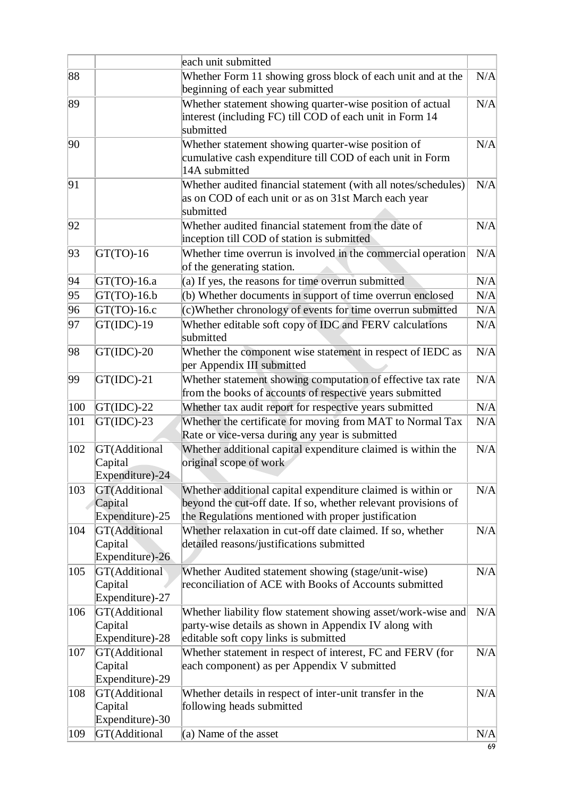|                                                    | each unit submitted                                                                                                                                            |                                                                                                                                                                                                     |
|----------------------------------------------------|----------------------------------------------------------------------------------------------------------------------------------------------------------------|-----------------------------------------------------------------------------------------------------------------------------------------------------------------------------------------------------|
|                                                    |                                                                                                                                                                | N/A                                                                                                                                                                                                 |
|                                                    | beginning of each year submitted                                                                                                                               |                                                                                                                                                                                                     |
|                                                    | Whether statement showing quarter-wise position of actual<br>interest (including FC) till COD of each unit in Form 14<br>submitted                             | N/A                                                                                                                                                                                                 |
|                                                    | Whether statement showing quarter-wise position of<br>cumulative cash expenditure till COD of each unit in Form<br>14A submitted                               | N/A                                                                                                                                                                                                 |
|                                                    | Whether audited financial statement (with all notes/schedules)<br>as on COD of each unit or as on 31st March each year<br>submitted                            | N/A                                                                                                                                                                                                 |
|                                                    | Whether audited financial statement from the date of<br>inception till COD of station is submitted                                                             | N/A                                                                                                                                                                                                 |
| $GT(TO)-16$                                        | Whether time overrun is involved in the commercial operation<br>of the generating station.                                                                     | N/A                                                                                                                                                                                                 |
| $GT(TO)-16.a$                                      | (a) If yes, the reasons for time overrun submitted                                                                                                             | N/A                                                                                                                                                                                                 |
| $GT(TO)-16.b$                                      | (b) Whether documents in support of time overrun enclosed                                                                                                      | N/A                                                                                                                                                                                                 |
| $GT(TO)-16.c$                                      | (c) Whether chronology of events for time overrun submitted                                                                                                    | N/A                                                                                                                                                                                                 |
| $GT(IDC)-19$                                       | Whether editable soft copy of IDC and FERV calculations<br>submitted                                                                                           | N/A                                                                                                                                                                                                 |
| $GT(IDC)-20$                                       | Whether the component wise statement in respect of IEDC as                                                                                                     | N/A                                                                                                                                                                                                 |
| $GT(IDC)-21$                                       | Whether statement showing computation of effective tax rate<br>from the books of accounts of respective years submitted                                        | N/A                                                                                                                                                                                                 |
| $GT(IDC)-22$                                       | Whether tax audit report for respective years submitted                                                                                                        | N/A                                                                                                                                                                                                 |
| $GT(IDC)-23$                                       | Whether the certificate for moving from MAT to Normal Tax                                                                                                      | N/A                                                                                                                                                                                                 |
| GT(Additional<br>Capital<br>Expenditure)-24        | Whether additional capital expenditure claimed is within the<br>original scope of work                                                                         | N/A                                                                                                                                                                                                 |
| GT(Additional<br>Capital                           | Whether additional capital expenditure claimed is within or<br>beyond the cut-off date. If so, whether relevant provisions of                                  | N/A                                                                                                                                                                                                 |
| <b>GT(Additional</b><br>Capital<br>Expenditure)-26 | Whether relaxation in cut-off date claimed. If so, whether<br>detailed reasons/justifications submitted                                                        | N/A                                                                                                                                                                                                 |
| GT(Additional<br>Capital<br>Expenditure)-27        | Whether Audited statement showing (stage/unit-wise)<br>reconciliation of ACE with Books of Accounts submitted                                                  | N/A                                                                                                                                                                                                 |
| GT(Additional<br>Capital<br>Expenditure)-28        | Whether liability flow statement showing asset/work-wise and<br>party-wise details as shown in Appendix IV along with<br>editable soft copy links is submitted | N/A                                                                                                                                                                                                 |
| GT(Additional<br>Capital<br>Expenditure)-29        | Whether statement in respect of interest, FC and FERV (for<br>each component) as per Appendix V submitted                                                      | N/A                                                                                                                                                                                                 |
| GT(Additional<br>Capital                           | Whether details in respect of inter-unit transfer in the<br>following heads submitted                                                                          | N/A                                                                                                                                                                                                 |
| GT(Additional                                      | $(a)$ Name of the asset                                                                                                                                        | N/A                                                                                                                                                                                                 |
|                                                    | Expenditure)-25<br>Expenditure)-30                                                                                                                             | Whether Form 11 showing gross block of each unit and at the<br>per Appendix III submitted<br>Rate or vice-versa during any year is submitted<br>the Regulations mentioned with proper justification |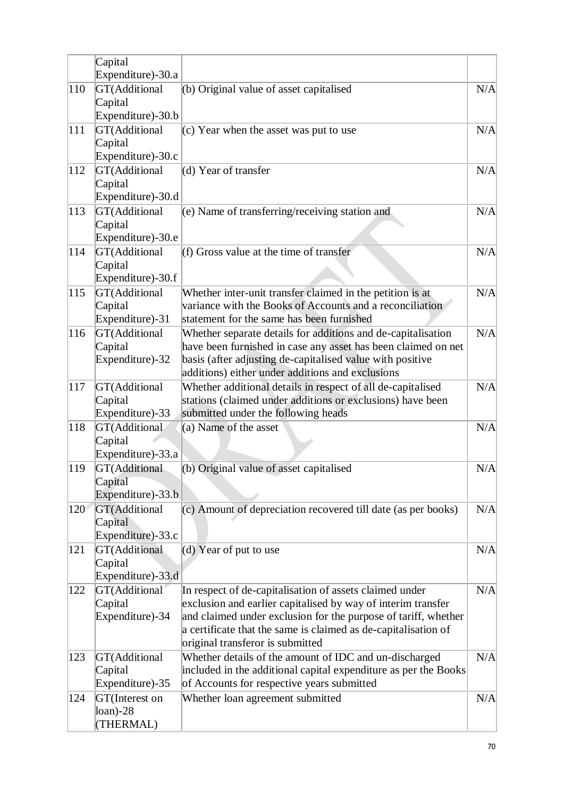|     | Capital                                               |                                                                                                                                                                                                                                                                                                 |     |
|-----|-------------------------------------------------------|-------------------------------------------------------------------------------------------------------------------------------------------------------------------------------------------------------------------------------------------------------------------------------------------------|-----|
|     | Expenditure)-30.a                                     |                                                                                                                                                                                                                                                                                                 |     |
| 110 | GT(Additional<br>Capital                              | (b) Original value of asset capitalised                                                                                                                                                                                                                                                         | N/A |
|     | Expenditure)-30.b                                     |                                                                                                                                                                                                                                                                                                 |     |
| 111 | GT(Additional<br>Capital<br>Expenditure)-30.c         | $(c)$ Year when the asset was put to use                                                                                                                                                                                                                                                        | N/A |
| 112 | GT(Additional                                         | (d) Year of transfer                                                                                                                                                                                                                                                                            | N/A |
|     | Capital<br>Expenditure)-30.d                          |                                                                                                                                                                                                                                                                                                 |     |
| 113 | GT(Additional<br>Capital<br>Expenditure)-30.e         | (e) Name of transferring/receiving station and                                                                                                                                                                                                                                                  | N/A |
| 114 | GT(Additional<br>Capital<br>Expenditure)-30.f         | (f) Gross value at the time of transfer                                                                                                                                                                                                                                                         | N/A |
| 115 | GT(Additional<br>Capital<br>Expenditure)-31           | Whether inter-unit transfer claimed in the petition is at<br>variance with the Books of Accounts and a reconciliation<br>statement for the same has been furnished                                                                                                                              | N/A |
| 116 | GT(Additional<br>Capital<br>Expenditure)-32           | Whether separate details for additions and de-capitalisation<br>have been furnished in case any asset has been claimed on net<br>basis (after adjusting de-capitalised value with positive<br>additions) either under additions and exclusions                                                  | N/A |
| 117 | GT(Additional<br>Capital<br>Expenditure)-33           | Whether additional details in respect of all de-capitalised<br>stations (claimed under additions or exclusions) have been<br>submitted under the following heads                                                                                                                                | N/A |
| 118 | GT(Additional<br>Capital<br>Expenditure)-33.a         | (a) Name of the asset                                                                                                                                                                                                                                                                           | N/A |
| 119 | <b>GT</b> (Additional<br>Capital<br>Expenditure)-33.b | (b) Original value of asset capitalised                                                                                                                                                                                                                                                         | N/A |
| 120 | GT(Additional<br>Capital<br>Expenditure)-33.c         | (c) Amount of depreciation recovered till date (as per books)                                                                                                                                                                                                                                   | N/A |
| 121 | <b>GT(Additional</b><br>Capital<br>Expenditure)-33.d  | (d) Year of put to use                                                                                                                                                                                                                                                                          | N/A |
| 122 | GT(Additional<br>Capital<br>Expenditure)-34           | In respect of de-capitalisation of assets claimed under<br>exclusion and earlier capitalised by way of interim transfer<br>and claimed under exclusion for the purpose of tariff, whether<br>a certificate that the same is claimed as de-capitalisation of<br>original transferor is submitted | N/A |
| 123 | GT(Additional<br>Capital<br>Expenditure)-35           | Whether details of the amount of IDC and un-discharged<br>included in the additional capital expenditure as per the Books<br>of Accounts for respective years submitted                                                                                                                         | N/A |
| 124 | GT(Interest on<br>$loan$ -28<br>(THERMAL)             | Whether loan agreement submitted                                                                                                                                                                                                                                                                | N/A |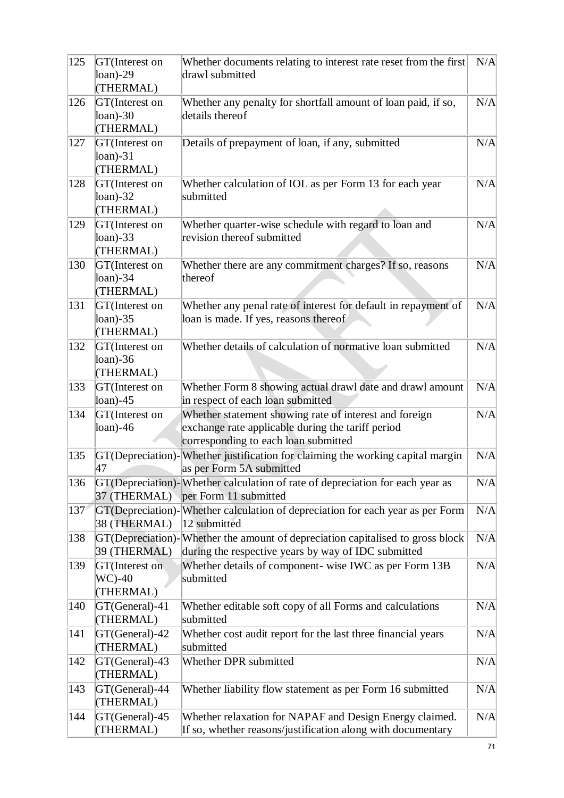| 125         | GT(Interest on<br>$loan$ -29<br>(THERMAL)         | Whether documents relating to interest rate reset from the first<br>drawl submitted                                                                 | N/A |
|-------------|---------------------------------------------------|-----------------------------------------------------------------------------------------------------------------------------------------------------|-----|
| 126         | GT(Interest on<br>$loan$ -30<br>(THERMAL)         | Whether any penalty for shortfall amount of loan paid, if so,<br>details thereof                                                                    | N/A |
| 127         | GT(Interest on<br>$loan$ -31<br>(THERMAL)         | Details of prepayment of loan, if any, submitted                                                                                                    | N/A |
| 128         | GT(Interest on<br>$loan$ -32<br>(THERMAL)         | Whether calculation of IOL as per Form 13 for each year<br>submitted                                                                                | N/A |
| 129         | GT(Interest on<br>loan) $-33$<br>(THERMAL)        | Whether quarter-wise schedule with regard to loan and<br>revision thereof submitted                                                                 | N/A |
| 130         | GT(Interest on<br>$\lambda$ loan)-34<br>(THERMAL) | Whether there are any commitment charges? If so, reasons<br>thereof                                                                                 | N/A |
| 131         | GT(Interest on<br>loan) $-35$<br>(THERMAL)        | Whether any penal rate of interest for default in repayment of<br>loan is made. If yes, reasons thereof                                             | N/A |
| 132         | GT(Interest on<br>$\lambda$ loan)-36<br>(THERMAL) | Whether details of calculation of normative loan submitted                                                                                          | N/A |
| 133         | GT(Interest on<br>$\alpha$ n $)$ -45              | Whether Form 8 showing actual drawl date and drawl amount<br>in respect of each loan submitted                                                      | N/A |
| 134         | GT(Interest on<br>$\lambda$ loan)-46              | Whether statement showing rate of interest and foreign<br>exchange rate applicable during the tariff period<br>corresponding to each loan submitted | N/A |
| 135         | 47                                                | GT(Depreciation)-Whether justification for claiming the working capital margin<br>as per Form 5A submitted                                          | N/A |
| 136         | 37 (THERMAL)                                      | GT(Depreciation)-Whether calculation of rate of depreciation for each year as<br>per Form 11 submitted                                              | N/A |
| $137^\circ$ | 38 (THERMAL)                                      | GT(Depreciation)-Whether calculation of depreciation for each year as per Form<br>12 submitted                                                      | N/A |
| 138         | 39 (THERMAL)                                      | GT(Depreciation)-Whether the amount of depreciation capitalised to gross block<br>during the respective years by way of IDC submitted               | N/A |
| 139         | GT(Interest on<br>$WC$ -40<br>(THERMAL)           | Whether details of component- wise IWC as per Form 13B<br>submitted                                                                                 | N/A |
| 140         | GT(General)-41<br>(THERMAL)                       | Whether editable soft copy of all Forms and calculations<br>submitted                                                                               | N/A |
| 141         | GT(General)-42<br>(THERMAL)                       | Whether cost audit report for the last three financial years<br>submitted                                                                           | N/A |
| 142         | GT(General)-43<br>(THERMAL)                       | Whether DPR submitted                                                                                                                               | N/A |
| 143         | GT(General)-44<br>(THERMAL)                       | Whether liability flow statement as per Form 16 submitted                                                                                           | N/A |
| 144         | GT(General)-45<br>(THERMAL)                       | Whether relaxation for NAPAF and Design Energy claimed.<br>If so, whether reasons/justification along with documentary                              | N/A |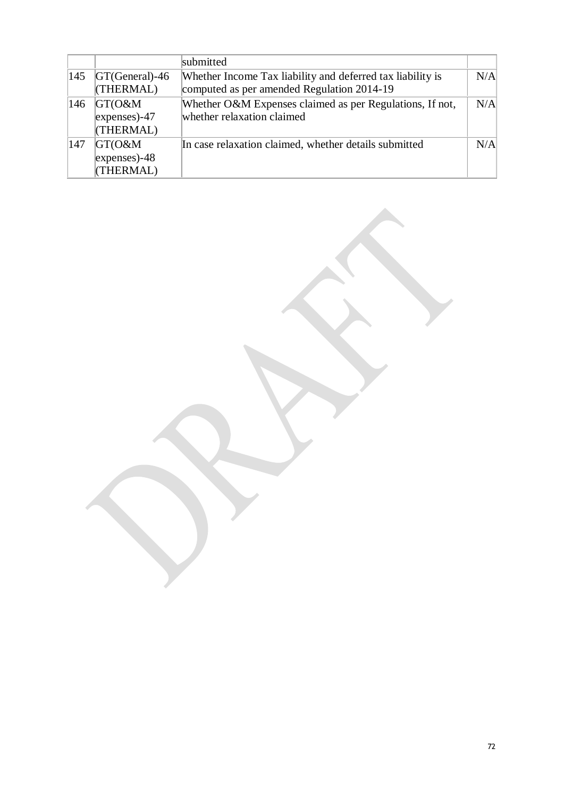|     |                       | submitted                                                  |     |
|-----|-----------------------|------------------------------------------------------------|-----|
| 145 | $ GT(General) - 46 $  | Whether Income Tax liability and deferred tax liability is | N/A |
|     | (THERMAL)             | computed as per amended Regulation 2014-19                 |     |
| 146 | $GT(O\&M)$            | Whether O&M Expenses claimed as per Regulations, If not,   | N/A |
|     | $\alpha$ expenses)-47 | whether relaxation claimed                                 |     |
|     | (THERMAL)             |                                                            |     |
| 147 | $GT(O\&M)$            | In case relaxation claimed, whether details submitted      | N/A |
|     | $expenses) - 48$      |                                                            |     |
|     | (THERMAL)             |                                                            |     |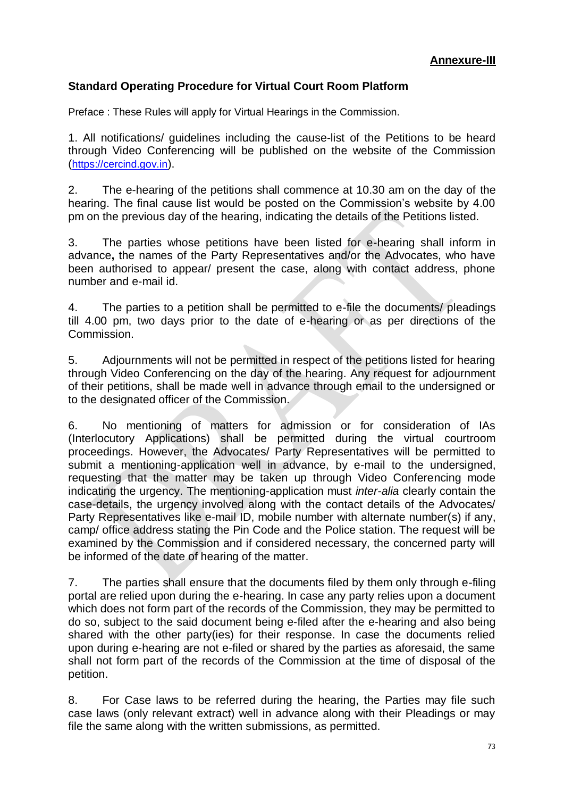## **Standard Operating Procedure for Virtual Court Room Platform**

Preface : These Rules will apply for Virtual Hearings in the Commission.

1. All notifications/ guidelines including the cause-list of the Petitions to be heard through Video Conferencing will be published on the website of the Commission ([https://cercind.gov.in](https://cercind.gov.in/)).

2. The e-hearing of the petitions shall commence at 10.30 am on the day of the hearing. The final cause list would be posted on the Commission's website by 4.00 pm on the previous day of the hearing, indicating the details of the Petitions listed.

3. The parties whose petitions have been listed for e-hearing shall inform in advance**,** the names of the Party Representatives and/or the Advocates, who have been authorised to appear/ present the case, along with contact address, phone number and e-mail id.

4. The parties to a petition shall be permitted to e-file the documents/ pleadings till 4.00 pm, two days prior to the date of e-hearing or as per directions of the Commission.

5. Adjournments will not be permitted in respect of the petitions listed for hearing through Video Conferencing on the day of the hearing. Any request for adjournment of their petitions, shall be made well in advance through email to the undersigned or to the designated officer of the Commission.

6. No mentioning of matters for admission or for consideration of IAs (Interlocutory Applications) shall be permitted during the virtual courtroom proceedings. However, the Advocates/ Party Representatives will be permitted to submit a mentioning-application well in advance, by e-mail to the undersigned, requesting that the matter may be taken up through Video Conferencing mode indicating the urgency. The mentioning-application must *inter-alia* clearly contain the case-details, the urgency involved along with the contact details of the Advocates/ Party Representatives like e-mail ID, mobile number with alternate number(s) if any, camp/ office address stating the Pin Code and the Police station. The request will be examined by the Commission and if considered necessary, the concerned party will be informed of the date of hearing of the matter.

7. The parties shall ensure that the documents filed by them only through e-filing portal are relied upon during the e-hearing. In case any party relies upon a document which does not form part of the records of the Commission, they may be permitted to do so, subject to the said document being e-filed after the e-hearing and also being shared with the other party(ies) for their response. In case the documents relied upon during e-hearing are not e-filed or shared by the parties as aforesaid, the same shall not form part of the records of the Commission at the time of disposal of the petition.

8. For Case laws to be referred during the hearing, the Parties may file such case laws (only relevant extract) well in advance along with their Pleadings or may file the same along with the written submissions, as permitted.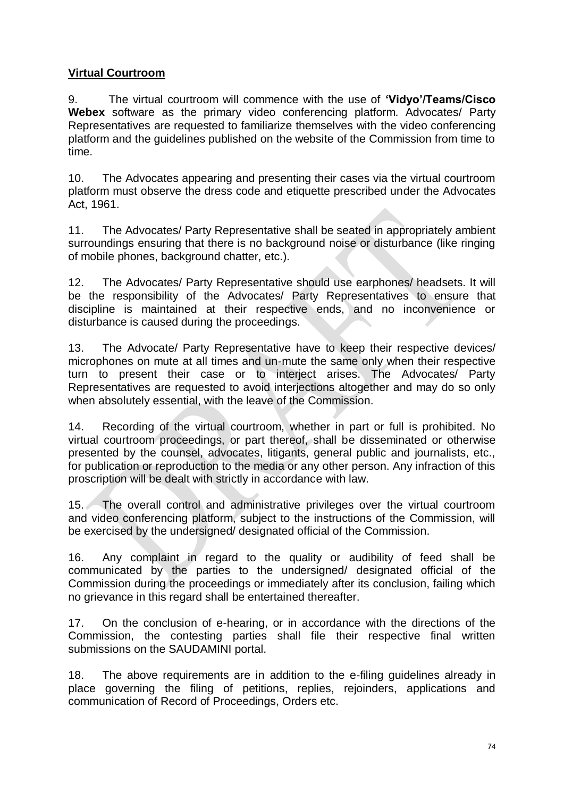## **Virtual Courtroom**

9. The virtual courtroom will commence with the use of **'Vidyo'/Teams/Cisco Webex** software as the primary video conferencing platform. Advocates/ Party Representatives are requested to familiarize themselves with the video conferencing platform and the guidelines published on the website of the Commission from time to time.

10. The Advocates appearing and presenting their cases via the virtual courtroom platform must observe the dress code and etiquette prescribed under the Advocates Act, 1961.

11. The Advocates/ Party Representative shall be seated in appropriately ambient surroundings ensuring that there is no background noise or disturbance (like ringing of mobile phones, background chatter, etc.).

12. The Advocates/ Party Representative should use earphones/ headsets. It will be the responsibility of the Advocates/ Party Representatives to ensure that discipline is maintained at their respective ends, and no inconvenience or disturbance is caused during the proceedings.

13. The Advocate/ Party Representative have to keep their respective devices/ microphones on mute at all times and un-mute the same only when their respective turn to present their case or to interject arises. The Advocates/ Party Representatives are requested to avoid interjections altogether and may do so only when absolutely essential, with the leave of the Commission.

14. Recording of the virtual courtroom, whether in part or full is prohibited. No virtual courtroom proceedings, or part thereof, shall be disseminated or otherwise presented by the counsel, advocates, litigants, general public and journalists, etc., for publication or reproduction to the media or any other person. Any infraction of this proscription will be dealt with strictly in accordance with law.

15. The overall control and administrative privileges over the virtual courtroom and video conferencing platform, subject to the instructions of the Commission, will be exercised by the undersigned/ designated official of the Commission.

16. Any complaint in regard to the quality or audibility of feed shall be communicated by the parties to the undersigned/ designated official of the Commission during the proceedings or immediately after its conclusion, failing which no grievance in this regard shall be entertained thereafter.

17. On the conclusion of e-hearing, or in accordance with the directions of the Commission, the contesting parties shall file their respective final written submissions on the SAUDAMINI portal.

18. The above requirements are in addition to the e-filing guidelines already in place governing the filing of petitions, replies, rejoinders, applications and communication of Record of Proceedings, Orders etc.